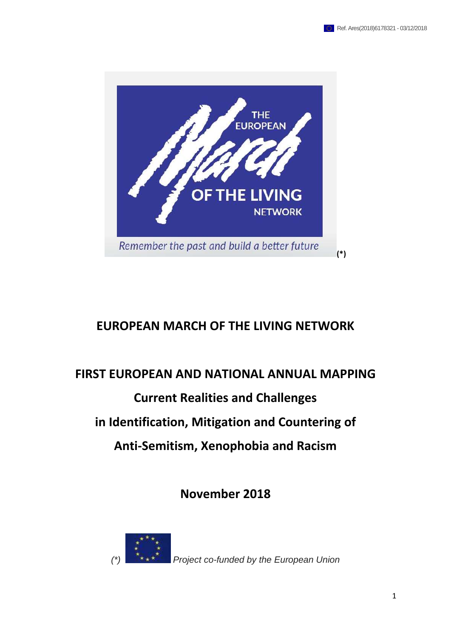

## **EUROPEAN MARCH OF THE LIVING NETWORK**

# **FIRST EUROPEAN AND NATIONAL ANNUAL MAPPING Current Realities and Challenges in Identification, Mitigation and Countering of Anti-Semitism, Xenophobia and Racism**

**November 2018**

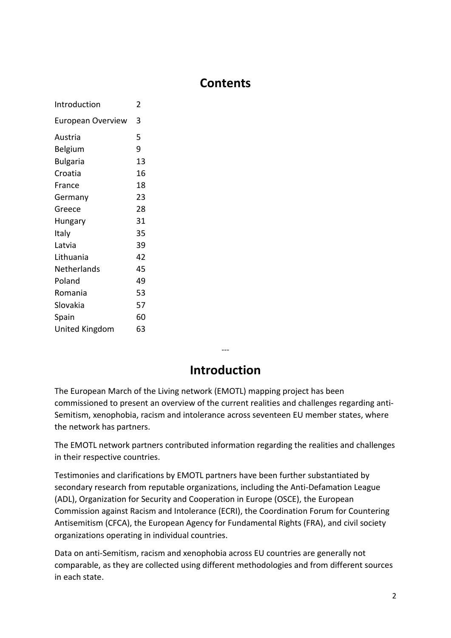## **Contents**

| Introduction             | 2  |
|--------------------------|----|
| <b>European Overview</b> | 3  |
| Austria                  | 5  |
| Belgium                  | 9  |
| <b>Bulgaria</b>          | 13 |
| Croatia                  | 16 |
| France                   | 18 |
| Germany                  | 23 |
| Greece                   | 28 |
| Hungary                  | 31 |
| Italy                    | 35 |
| Latvia                   | 39 |
| Lithuania                | 42 |
| Netherlands              | 45 |
| Poland                   | 49 |
| Romania                  | 53 |
| Slovakia                 | 57 |
| Spain                    | 60 |
| United Kingdom           | 63 |

**Introduction**

---

The European March of the Living network (EMOTL) mapping project has been commissioned to present an overview of the current realities and challenges regarding anti-Semitism, xenophobia, racism and intolerance across seventeen EU member states, where the network has partners.

The EMOTL network partners contributed information regarding the realities and challenges in their respective countries.

Testimonies and clarifications by EMOTL partners have been further substantiated by secondary research from reputable organizations, including the Anti-Defamation League (ADL), Organization for Security and Cooperation in Europe (OSCE), the European Commission against Racism and Intolerance (ECRI), the Coordination Forum for Countering Antisemitism (CFCA), the European Agency for Fundamental Rights (FRA), and civil society organizations operating in individual countries.

Data on anti-Semitism, racism and xenophobia across EU countries are generally not comparable, as they are collected using different methodologies and from different sources in each state.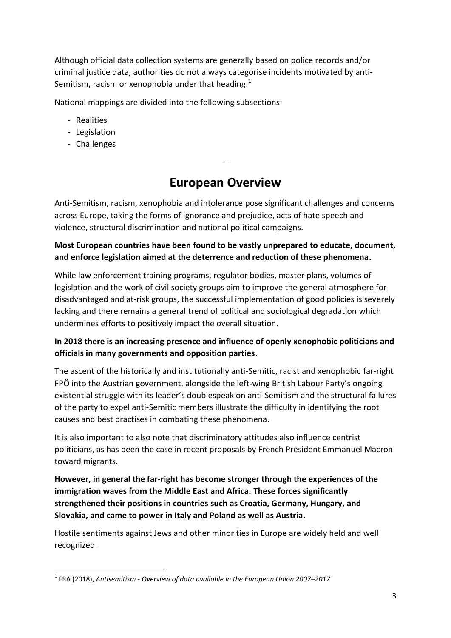Although official data collection systems are generally based on police records and/or criminal justice data, authorities do not always categorise incidents motivated by anti-Semitism, racism or xenophobia under that heading.<sup>1</sup>

National mappings are divided into the following subsections:

- Realities
- Legislation
- Challenges

## **European Overview**

---

Anti-Semitism, racism, xenophobia and intolerance pose significant challenges and concerns across Europe, taking the forms of ignorance and prejudice, acts of hate speech and violence, structural discrimination and national political campaigns.

## **Most European countries have been found to be vastly unprepared to educate, document, and enforce legislation aimed at the deterrence and reduction of these phenomena.**

While law enforcement training programs, regulator bodies, master plans, volumes of legislation and the work of civil society groups aim to improve the general atmosphere for disadvantaged and at-risk groups, the successful implementation of good policies is severely lacking and there remains a general trend of political and sociological degradation which undermines efforts to positively impact the overall situation.

## **In 2018 there is an increasing presence and influence of openly xenophobic politicians and officials in many governments and opposition parties**.

The ascent of the historically and institutionally anti-Semitic, racist and xenophobic far-right FPÖ into the Austrian government, alongside the left-wing British Labour Party's ongoing existential struggle with its leader's doublespeak on anti-Semitism and the structural failures of the party to expel anti-Semitic members illustrate the difficulty in identifying the root causes and best practises in combating these phenomena.

It is also important to also note that discriminatory attitudes also influence centrist politicians, as has been the case in recent proposals by French President Emmanuel Macron toward migrants.

**However, in general the far-right has become stronger through the experiences of the immigration waves from the Middle East and Africa. These forces significantly strengthened their positions in countries such as Croatia, Germany, Hungary, and Slovakia, and came to power in Italy and Poland as well as Austria.**

Hostile sentiments against Jews and other minorities in Europe are widely held and well recognized.

**<sup>.</sup>** 1 FRA (2018), *Antisemitism - Overview of data available in the European Union 2007–2017*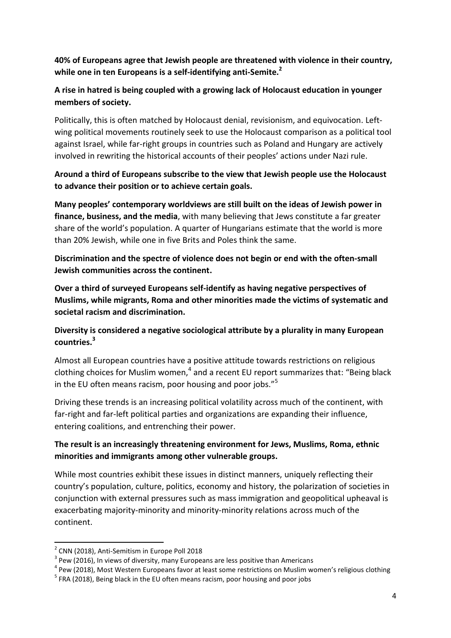**40% of Europeans agree that Jewish people are threatened with violence in their country, while one in ten Europeans is a self-identifying anti-Semite.<sup>2</sup>**

## **A rise in hatred is being coupled with a growing lack of Holocaust education in younger members of society.**

Politically, this is often matched by Holocaust denial, revisionism, and equivocation. Leftwing political movements routinely seek to use the Holocaust comparison as a political tool against Israel, while far-right groups in countries such as Poland and Hungary are actively involved in rewriting the historical accounts of their peoples' actions under Nazi rule.

## **Around a third of Europeans subscribe to the view that Jewish people use the Holocaust to advance their position or to achieve certain goals.**

**Many peoples' contemporary worldviews are still built on the ideas of Jewish power in finance, business, and the media**, with many believing that Jews constitute a far greater share of the world's population. A quarter of Hungarians estimate that the world is more than 20% Jewish, while one in five Brits and Poles think the same.

**Discrimination and the spectre of violence does not begin or end with the often-small Jewish communities across the continent.** 

**Over a third of surveyed Europeans self-identify as having negative perspectives of Muslims, while migrants, Roma and other minorities made the victims of systematic and societal racism and discrimination.**

## **Diversity is considered a negative sociological attribute by a plurality in many European countries. 3**

Almost all European countries have a positive attitude towards restrictions on religious clothing choices for Muslim women, $^4$  and a recent EU report summarizes that: "Being black in the EU often means racism, poor housing and poor jobs."<sup>5</sup>

Driving these trends is an increasing political volatility across much of the continent, with far-right and far-left political parties and organizations are expanding their influence, entering coalitions, and entrenching their power.

## **The result is an increasingly threatening environment for Jews, Muslims, Roma, ethnic minorities and immigrants among other vulnerable groups.**

While most countries exhibit these issues in distinct manners, uniquely reflecting their country's population, culture, politics, economy and history, the polarization of societies in conjunction with external pressures such as mass immigration and geopolitical upheaval is exacerbating majority-minority and minority-minority relations across much of the continent.

<sup>&</sup>lt;sup>2</sup> CNN (2018), Anti-Semitism in Europe Poll 2018

 $3$  Pew (2016), In views of diversity, many Europeans are less positive than Americans

<sup>&</sup>lt;sup>4</sup> Pew (2018), Most Western Europeans favor at least some restrictions on Muslim women's religious clothing

<sup>&</sup>lt;sup>5</sup> FRA (2018), Being black in the EU often means racism, poor housing and poor jobs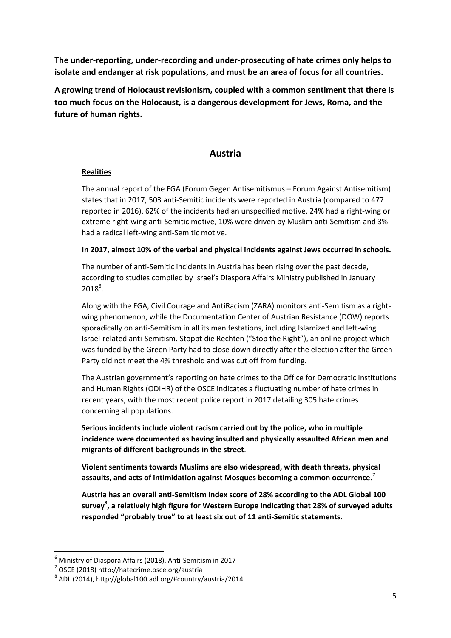**The under-reporting, under-recording and under-prosecuting of hate crimes only helps to isolate and endanger at risk populations, and must be an area of focus for all countries.**

**A growing trend of Holocaust revisionism, coupled with a common sentiment that there is too much focus on the Holocaust, is a dangerous development for Jews, Roma, and the future of human rights.**

## **Austria**

---

## **Realities**

The annual report of the FGA (Forum Gegen Antisemitismus – Forum Against Antisemitism) states that in 2017, 503 anti-Semitic incidents were reported in Austria (compared to 477 reported in 2016). 62% of the incidents had an unspecified motive, 24% had a right-wing or extreme right-wing anti-Semitic motive, 10% were driven by Muslim anti-Semitism and 3% had a radical left-wing anti-Semitic motive.

#### **In 2017, almost 10% of the verbal and physical incidents against Jews occurred in schools.**

The number of anti-Semitic incidents in Austria has been rising over the past decade, according to studies compiled by Israel's Diaspora Affairs Ministry published in January  $2018^6$ .

Along with the FGA, Civil Courage and AntiRacism (ZARA) monitors anti-Semitism as a rightwing phenomenon, while the Documentation Center of Austrian Resistance (DÖW) reports sporadically on anti-Semitism in all its manifestations, including Islamized and left-wing Israel-related anti-Semitism. Stoppt die Rechten ("Stop the Right"), an online project which was funded by the Green Party had to close down directly after the election after the Green Party did not meet the 4% threshold and was cut off from funding.

The Austrian government's reporting on hate crimes to the Office for Democratic Institutions and Human Rights (ODIHR) of the OSCE indicates a fluctuating number of hate crimes in recent years, with the most recent police report in 2017 detailing 305 hate crimes concerning all populations.

**Serious incidents include violent racism carried out by the police, who in multiple incidence were documented as having insulted and physically assaulted African men and migrants of different backgrounds in the street**.

**Violent sentiments towards Muslims are also widespread, with death threats, physical assaults, and acts of intimidation against Mosques becoming a common occurrence.<sup>7</sup>**

**Austria has an overall anti-Semitism index score of 28% according to the ADL Global 100 survey<sup>8</sup> , a relatively high figure for Western Europe indicating that 28% of surveyed adults responded "probably true" to at least six out of 11 anti-Semitic statements**.

<sup>6</sup> Ministry of Diaspora Affairs (2018), Anti-Semitism in 2017

<sup>7</sup> OSCE (2018) http://hatecrime.osce.org/austria

<sup>8</sup> ADL (2014), http://global100.adl.org/#country/austria/2014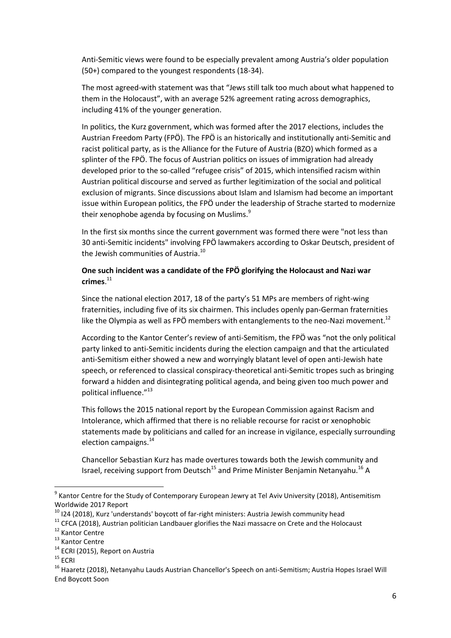Anti-Semitic views were found to be especially prevalent among Austria's older population (50+) compared to the youngest respondents (18-34).

The most agreed-with statement was that "Jews still talk too much about what happened to them in the Holocaust", with an average 52% agreement rating across demographics, including 41% of the younger generation.

In politics, the Kurz government, which was formed after the 2017 elections, includes the Austrian Freedom Party (FPÖ). The FPÖ is an historically and institutionally anti-Semitic and racist political party, as is the Alliance for the Future of Austria (BZO) which formed as a splinter of the FPÖ. The focus of Austrian politics on issues of immigration had already developed prior to the so-called "refugee crisis" of 2015, which intensified racism within Austrian political discourse and served as further legitimization of the social and political exclusion of migrants. Since discussions about Islam and Islamism had become an important issue within European politics, the FPÖ under the leadership of Strache started to modernize their xenophobe agenda by focusing on Muslims.<sup>9</sup>

In the first six months since the current government was formed there were "not less than 30 anti-Semitic incidents" involving FPÖ lawmakers according to Oskar Deutsch, president of the Jewish communities of Austria.<sup>10</sup>

## **One such incident was a candidate of the FPÖ glorifying the Holocaust and Nazi war crimes**. 11

Since the national election 2017, 18 of the party's 51 MPs are members of right-wing fraternities, including five of its six chairmen. This includes openly pan-German fraternities like the Olympia as well as FPÖ members with entanglements to the neo-Nazi movement.<sup>12</sup>

According to the Kantor Center's review of anti-Semitism, the FPÖ was "not the only political party linked to anti-Semitic incidents during the election campaign and that the articulated anti-Semitism either showed a new and worryingly blatant level of open anti-Jewish hate speech, or referenced to classical conspiracy-theoretical anti-Semitic tropes such as bringing forward a hidden and disintegrating political agenda, and being given too much power and political influence."<sup>13</sup>

This follows the 2015 national report by the European Commission against Racism and Intolerance, which affirmed that there is no reliable recourse for racist or xenophobic statements made by politicians and called for an increase in vigilance, especially surrounding election campaigns. $14$ 

Chancellor Sebastian Kurz has made overtures towards both the Jewish community and Israel, receiving support from Deutsch<sup>15</sup> and Prime Minister Benjamin Netanyahu.<sup>16</sup> A

 9 Kantor Centre for the Study of Contemporary European Jewry at Tel Aviv University (2018), Antisemitism Worldwide 2017 Report

 $10$  I24 (2018), Kurz 'understands' boycott of far-right ministers: Austria Jewish community head

 $11$  CFCA (2018), Austrian politician Landbauer glorifies the Nazi massacre on Crete and the Holocaust

<sup>12</sup> Kantor Centre

<sup>&</sup>lt;sup>13</sup> Kantor Centre

<sup>&</sup>lt;sup>14</sup> ECRI (2015), Report on Austria

 $15$  ECRI

<sup>&</sup>lt;sup>16</sup> Haaretz (2018), Netanyahu Lauds Austrian Chancellor's Speech on anti-Semitism; Austria Hopes Israel Will End Boycott Soon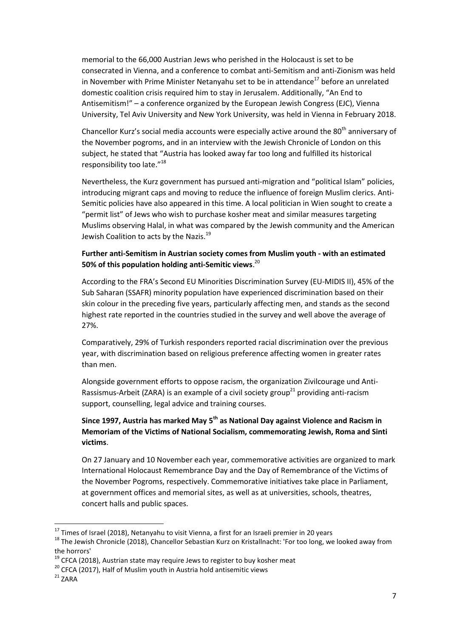memorial to the 66,000 Austrian Jews who perished in the Holocaust is set to be consecrated in Vienna, and a conference to combat anti-Semitism and anti-Zionism was held in November with Prime Minister Netanyahu set to be in attendance $^{17}$  before an unrelated domestic coalition crisis required him to stay in Jerusalem. Additionally, "An End to Antisemitism!" – a conference organized by the European Jewish Congress (EJC), Vienna University, Tel Aviv University and New York University, was held in Vienna in February 2018.

Chancellor Kurz's social media accounts were especially active around the  $80<sup>th</sup>$  anniversary of the November pogroms, and in an interview with the Jewish Chronicle of London on this subject, he stated that "Austria has looked away far too long and fulfilled its historical responsibility too late."<sup>18</sup>

Nevertheless, the Kurz government has pursued anti-migration and "political Islam" policies, introducing migrant caps and moving to reduce the influence of foreign Muslim clerics. Anti-Semitic policies have also appeared in this time. A local politician in Wien sought to create a "permit list" of Jews who wish to purchase kosher meat and similar measures targeting Muslims observing Halal, in what was compared by the Jewish community and the American Jewish Coalition to acts by the Nazis.<sup>19</sup>

## **Further anti-Semitism in Austrian society comes from Muslim youth - with an estimated 50% of this population holding anti-Semitic views**. 20

According to the FRA's Second EU Minorities Discrimination Survey (EU-MIDIS II), 45% of the Sub Saharan (SSAFR) minority population have experienced discrimination based on their skin colour in the preceding five years, particularly affecting men, and stands as the second highest rate reported in the countries studied in the survey and well above the average of 27%.

Comparatively, 29% of Turkish responders reported racial discrimination over the previous year, with discrimination based on religious preference affecting women in greater rates than men.

Alongside government efforts to oppose racism, the organization Zivilcourage und Anti-Rassismus-Arbeit (ZARA) is an example of a civil society group<sup>21</sup> providing anti-racism support, counselling, legal advice and training courses.

## **Since 1997, Austria has marked May 5th as National Day against Violence and Racism in Memoriam of the Victims of National Socialism, commemorating Jewish, Roma and Sinti victims**.

On 27 January and 10 November each year, commemorative activities are organized to mark International Holocaust Remembrance Day and the Day of Remembrance of the Victims of the November Pogroms, respectively. Commemorative initiatives take place in Parliament, at government offices and memorial sites, as well as at universities, schools, theatres, concert halls and public spaces.

 $^{17}$  Times of Israel (2018), Netanyahu to visit Vienna, a first for an Israeli premier in 20 years

<sup>&</sup>lt;sup>18</sup> The Jewish Chronicle (2018), Chancellor Sebastian Kurz on Kristallnacht: 'For too long, we looked away from the horrors'

 $19$  CFCA (2018), Austrian state may require Jews to register to buy kosher meat

 $20$  CFCA (2017), Half of Muslim youth in Austria hold antisemitic views

 $21$  ZARA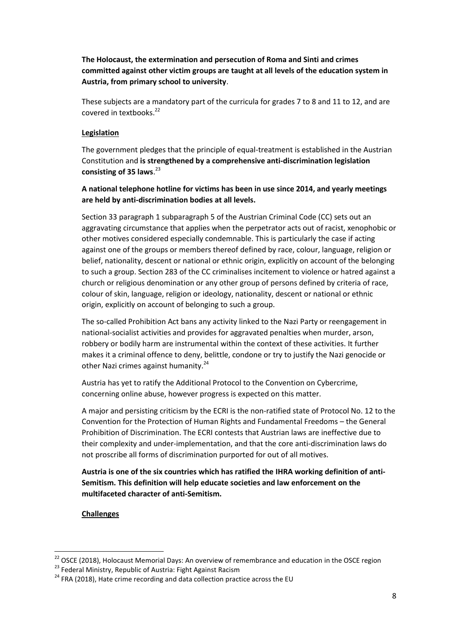**The Holocaust, the extermination and persecution of Roma and Sinti and crimes committed against other victim groups are taught at all levels of the education system in Austria, from primary school to university**.

These subjects are a mandatory part of the curricula for grades 7 to 8 and 11 to 12, and are covered in textbooks.<sup>22</sup>

#### **Legislation**

The government pledges that the principle of equal-treatment is established in the Austrian Constitution and **is strengthened by a comprehensive anti-discrimination legislation consisting of 35 laws**. 23

#### **A national telephone hotline for victims has been in use since 2014, and yearly meetings are held by anti-discrimination bodies at all levels.**

Section 33 paragraph 1 subparagraph 5 of the Austrian Criminal Code (CC) sets out an aggravating circumstance that applies when the perpetrator acts out of racist, xenophobic or other motives considered especially condemnable. This is particularly the case if acting against one of the groups or members thereof defined by race, colour, language, religion or belief, nationality, descent or national or ethnic origin, explicitly on account of the belonging to such a group. Section 283 of the CC criminalises incitement to violence or hatred against a church or religious denomination or any other group of persons defined by criteria of race, colour of skin, language, religion or ideology, nationality, descent or national or ethnic origin, explicitly on account of belonging to such a group.

The so-called Prohibition Act bans any activity linked to the Nazi Party or reengagement in national-socialist activities and provides for aggravated penalties when murder, arson, robbery or bodily harm are instrumental within the context of these activities. It further makes it a criminal offence to deny, belittle, condone or try to justify the Nazi genocide or other Nazi crimes against humanity.<sup>24</sup>

Austria has yet to ratify the Additional Protocol to the Convention on Cybercrime, concerning online abuse, however progress is expected on this matter.

A major and persisting criticism by the ECRI is the non-ratified state of Protocol No. 12 to the Convention for the Protection of Human Rights and Fundamental Freedoms – the General Prohibition of Discrimination. The ECRI contests that Austrian laws are ineffective due to their complexity and under-implementation, and that the core anti-discrimination laws do not proscribe all forms of discrimination purported for out of all motives.

**Austria is one of the six countries which has ratified the IHRA working definition of anti-Semitism. This definition will help educate societies and law enforcement on the multifaceted character of anti-Semitism.**

#### **Challenges**

 $^{22}$  OSCE (2018), Holocaust Memorial Days: An overview of remembrance and education in the OSCE region

<sup>&</sup>lt;sup>23</sup> Federal Ministry, Republic of Austria: Fight Against Racism

 $24$  FRA (2018). Hate crime recording and data collection practice across the EU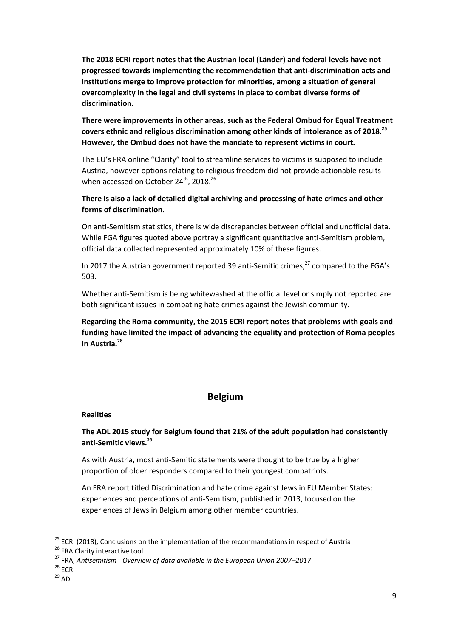**The 2018 ECRI report notes that the Austrian local (Länder) and federal levels have not progressed towards implementing the recommendation that anti-discrimination acts and institutions merge to improve protection for minorities, among a situation of general overcomplexity in the legal and civil systems in place to combat diverse forms of discrimination.**

**There were improvements in other areas, such as the Federal Ombud for Equal Treatment covers ethnic and religious discrimination among other kinds of intolerance as of 2018. 25 However, the Ombud does not have the mandate to represent victims in court.**

The EU's FRA online "Clarity" tool to streamline services to victims is supposed to include Austria, however options relating to religious freedom did not provide actionable results when accessed on October 24<sup>th</sup>, 2018.<sup>26</sup>

#### **There is also a lack of detailed digital archiving and processing of hate crimes and other forms of discrimination**.

On anti-Semitism statistics, there is wide discrepancies between official and unofficial data. While FGA figures quoted above portray a significant quantitative anti-Semitism problem, official data collected represented approximately 10% of these figures.

In 2017 the Austrian government reported 39 anti-Semitic crimes.<sup>27</sup> compared to the FGA's 503.

Whether anti-Semitism is being whitewashed at the official level or simply not reported are both significant issues in combating hate crimes against the Jewish community.

**Regarding the Roma community, the 2015 ECRI report notes that problems with goals and funding have limited the impact of advancing the equality and protection of Roma peoples in Austria.<sup>28</sup>**

## **Belgium**

#### **Realities**

#### **The ADL 2015 study for Belgium found that 21% of the adult population had consistently anti-Semitic views.<sup>29</sup>**

As with Austria, most anti-Semitic statements were thought to be true by a higher proportion of older responders compared to their youngest compatriots.

An FRA report titled Discrimination and hate crime against Jews in EU Member States: experiences and perceptions of anti-Semitism, published in 2013, focused on the experiences of Jews in Belgium among other member countries.

 $25$  ECRI (2018), Conclusions on the implementation of the recommandations in respect of Austria

<sup>&</sup>lt;sup>26</sup> FRA Clarity interactive tool

<sup>27</sup> FRA, *Antisemitism - Overview of data available in the European Union 2007–2017*

<sup>28</sup> ECRI

 $29$  ADL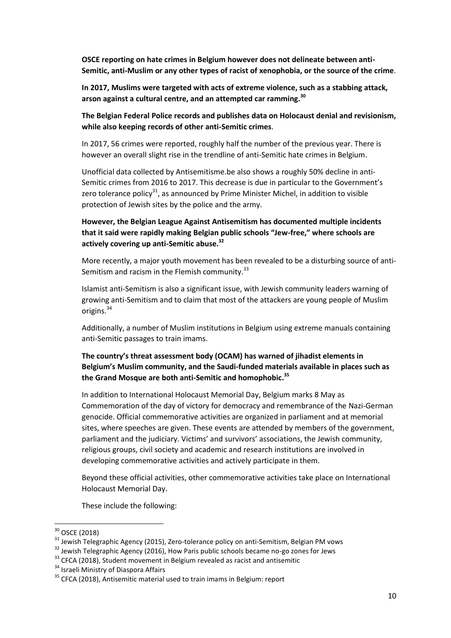**OSCE reporting on hate crimes in Belgium however does not delineate between anti-Semitic, anti-Muslim or any other types of racist of xenophobia, or the source of the crime**.

**In 2017, Muslims were targeted with acts of extreme violence, such as a stabbing attack, arson against a cultural centre, and an attempted car ramming.<sup>30</sup>**

**The Belgian Federal Police records and publishes data on Holocaust denial and revisionism, while also keeping records of other anti-Semitic crimes**.

In 2017, 56 crimes were reported, roughly half the number of the previous year. There is however an overall slight rise in the trendline of anti-Semitic hate crimes in Belgium.

Unofficial data collected by Antisemitisme.be also shows a roughly 50% decline in anti-Semitic crimes from 2016 to 2017. This decrease is due in particular to the Government's zero tolerance policy<sup>31</sup>, as announced by Prime Minister Michel, in addition to visible protection of Jewish sites by the police and the army.

**However, the Belgian League Against Antisemitism has documented multiple incidents that it said were rapidly making Belgian public schools "Jew-free," where schools are actively covering up anti-Semitic abuse.<sup>32</sup>**

More recently, a major youth movement has been revealed to be a disturbing source of anti-Semitism and racism in the Flemish community.<sup>33</sup>

Islamist anti-Semitism is also a significant issue, with Jewish community leaders warning of growing anti-Semitism and to claim that most of the attackers are young people of Muslim origins.<sup>34</sup>

Additionally, a number of Muslim institutions in Belgium using extreme manuals containing anti-Semitic passages to train imams.

**The country's threat assessment body (OCAM) has warned of jihadist elements in Belgium's Muslim community, and the Saudi-funded materials available in places such as the Grand Mosque are both anti-Semitic and homophobic.<sup>35</sup>**

In addition to International Holocaust Memorial Day, Belgium marks 8 May as Commemoration of the day of victory for democracy and remembrance of the Nazi-German genocide. Official commemorative activities are organized in parliament and at memorial sites, where speeches are given. These events are attended by members of the government, parliament and the judiciary. Victims' and survivors' associations, the Jewish community, religious groups, civil society and academic and research institutions are involved in developing commemorative activities and actively participate in them.

Beyond these official activities, other commemorative activities take place on International Holocaust Memorial Day.

These include the following:

 $30$  OSCE (2018)

 $31$  Jewish Telegraphic Agency (2015), Zero-tolerance policy on anti-Semitism, Belgian PM vows

<sup>&</sup>lt;sup>32</sup> Jewish Telegraphic Agency (2016), How Paris public schools became no-go zones for Jews

 $33$  CFCA (2018), Student movement in Belgium revealed as racist and antisemitic

<sup>&</sup>lt;sup>34</sup> Israeli Ministry of Diaspora Affairs

<sup>&</sup>lt;sup>35</sup> CFCA (2018), Antisemitic material used to train imams in Belgium: report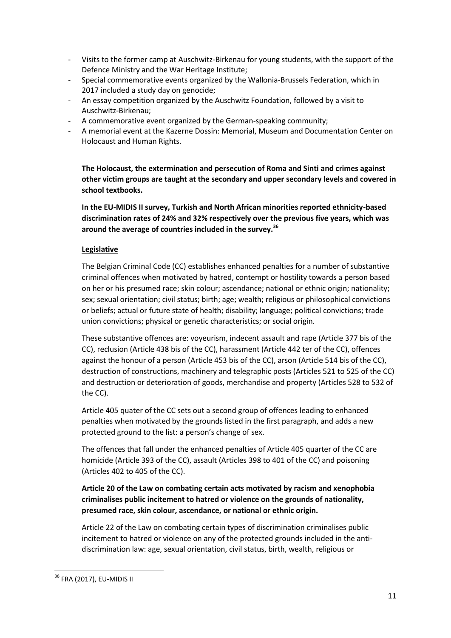- Visits to the former camp at Auschwitz-Birkenau for young students, with the support of the Defence Ministry and the War Heritage Institute;
- Special commemorative events organized by the Wallonia-Brussels Federation, which in 2017 included a study day on genocide;
- An essay competition organized by the Auschwitz Foundation, followed by a visit to Auschwitz-Birkenau;
- A commemorative event organized by the German-speaking community;
- A memorial event at the Kazerne Dossin: Memorial, Museum and Documentation Center on Holocaust and Human Rights.

**The Holocaust, the extermination and persecution of Roma and Sinti and crimes against other victim groups are taught at the secondary and upper secondary levels and covered in school textbooks.**

**In the EU-MIDIS II survey, Turkish and North African minorities reported ethnicity-based discrimination rates of 24% and 32% respectively over the previous five years, which was around the average of countries included in the survey.<sup>36</sup>**

#### **Legislative**

The Belgian Criminal Code (CC) establishes enhanced penalties for a number of substantive criminal offences when motivated by hatred, contempt or hostility towards a person based on her or his presumed race; skin colour; ascendance; national or ethnic origin; nationality; sex; sexual orientation; civil status; birth; age; wealth; religious or philosophical convictions or beliefs; actual or future state of health; disability; language; political convictions; trade union convictions; physical or genetic characteristics; or social origin.

These substantive offences are: voyeurism, indecent assault and rape (Article 377 bis of the CC), reclusion (Article 438 bis of the CC), harassment (Article 442 ter of the CC), offences against the honour of a person (Article 453 bis of the CC), arson (Article 514 bis of the CC), destruction of constructions, machinery and telegraphic posts (Articles 521 to 525 of the CC) and destruction or deterioration of goods, merchandise and property (Articles 528 to 532 of the CC).

Article 405 quater of the CC sets out a second group of offences leading to enhanced penalties when motivated by the grounds listed in the first paragraph, and adds a new protected ground to the list: a person's change of sex.

The offences that fall under the enhanced penalties of Article 405 quarter of the CC are homicide (Article 393 of the CC), assault (Articles 398 to 401 of the CC) and poisoning (Articles 402 to 405 of the CC).

## **Article 20 of the Law on combating certain acts motivated by racism and xenophobia criminalises public incitement to hatred or violence on the grounds of nationality, presumed race, skin colour, ascendance, or national or ethnic origin.**

Article 22 of the Law on combating certain types of discrimination criminalises public incitement to hatred or violence on any of the protected grounds included in the antidiscrimination law: age, sexual orientation, civil status, birth, wealth, religious or

**<sup>.</sup>** <sup>36</sup> FRA (2017), EU-MIDIS II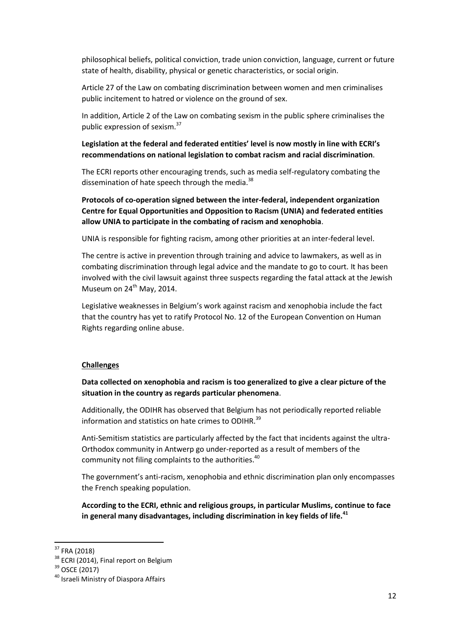philosophical beliefs, political conviction, trade union conviction, language, current or future state of health, disability, physical or genetic characteristics, or social origin.

Article 27 of the Law on combating discrimination between women and men criminalises public incitement to hatred or violence on the ground of sex.

In addition, Article 2 of the Law on combating sexism in the public sphere criminalises the public expression of sexism.<sup>37</sup>

**Legislation at the federal and federated entities' level is now mostly in line with ECRI's recommendations on national legislation to combat racism and racial discrimination**.

The ECRI reports other encouraging trends, such as media self-regulatory combating the dissemination of hate speech through the media.<sup>38</sup>

**Protocols of co-operation signed between the inter-federal, independent organization Centre for Equal Opportunities and Opposition to Racism (UNIA) and federated entities allow UNIA to participate in the combating of racism and xenophobia**.

UNIA is responsible for fighting racism, among other priorities at an inter-federal level.

The centre is active in prevention through training and advice to lawmakers, as well as in combating discrimination through legal advice and the mandate to go to court. It has been involved with the civil lawsuit against three suspects regarding the fatal attack at the Jewish Museum on  $24^{th}$  May, 2014.

Legislative weaknesses in Belgium's work against racism and xenophobia include the fact that the country has yet to ratify Protocol No. 12 of the European Convention on Human Rights regarding online abuse.

#### **Challenges**

**Data collected on xenophobia and racism is too generalized to give a clear picture of the situation in the country as regards particular phenomena**.

Additionally, the ODIHR has observed that Belgium has not periodically reported reliable information and statistics on hate crimes to ODIHR.<sup>39</sup>

Anti-Semitism statistics are particularly affected by the fact that incidents against the ultra-Orthodox community in Antwerp go under-reported as a result of members of the community not filing complaints to the authorities.<sup>40</sup>

The government's anti-racism, xenophobia and ethnic discrimination plan only encompasses the French speaking population.

**According to the ECRI, ethnic and religious groups, in particular Muslims, continue to face in general many disadvantages, including discrimination in key fields of life.<sup>41</sup>**

 $37$  FRA (2018)

 $38$  ECRI (2014), Final report on Belgium

<sup>39</sup> OSCE (2017)

<sup>&</sup>lt;sup>40</sup> Israeli Ministry of Diaspora Affairs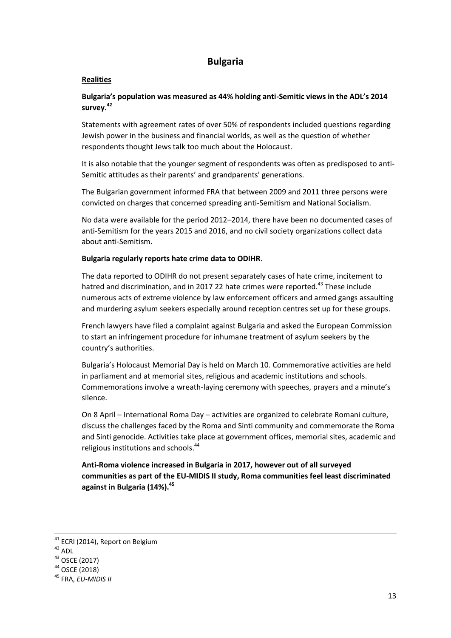## **Bulgaria**

#### **Realities**

#### **Bulgaria's population was measured as 44% holding anti-Semitic views in the ADL's 2014 survey.<sup>42</sup>**

Statements with agreement rates of over 50% of respondents included questions regarding Jewish power in the business and financial worlds, as well as the question of whether respondents thought Jews talk too much about the Holocaust.

It is also notable that the younger segment of respondents was often as predisposed to anti-Semitic attitudes as their parents' and grandparents' generations.

The Bulgarian government informed FRA that between 2009 and 2011 three persons were convicted on charges that concerned spreading anti-Semitism and National Socialism.

No data were available for the period 2012–2014, there have been no documented cases of anti-Semitism for the years 2015 and 2016, and no civil society organizations collect data about anti-Semitism.

#### **Bulgaria regularly reports hate crime data to ODIHR**.

The data reported to ODIHR do not present separately cases of hate crime, incitement to hatred and discrimination, and in 2017 22 hate crimes were reported.<sup>43</sup> These include numerous acts of extreme violence by law enforcement officers and armed gangs assaulting and murdering asylum seekers especially around reception centres set up for these groups.

French lawyers have filed a complaint against Bulgaria and asked the European Commission to start an infringement procedure for inhumane treatment of asylum seekers by the country's authorities.

Bulgaria's Holocaust Memorial Day is held on March 10. Commemorative activities are held in parliament and at memorial sites, religious and academic institutions and schools. Commemorations involve a wreath-laying ceremony with speeches, prayers and a minute's silence.

On 8 April – International Roma Day – activities are organized to celebrate Romani culture, discuss the challenges faced by the Roma and Sinti community and commemorate the Roma and Sinti genocide. Activities take place at government offices, memorial sites, academic and religious institutions and schools.<sup>44</sup>

**Anti-Roma violence increased in Bulgaria in 2017, however out of all surveyed communities as part of the EU-MIDIS II study, Roma communities feel least discriminated against in Bulgaria (14%).<sup>45</sup>**

<sup>&</sup>lt;sup>41</sup> ECRI (2014), Report on Belgium

 $42$  ADL

<sup>43</sup> OSCE (2017)

<sup>44</sup> OSCE (2018)

<sup>45</sup> FRA, *EU-MIDIS II*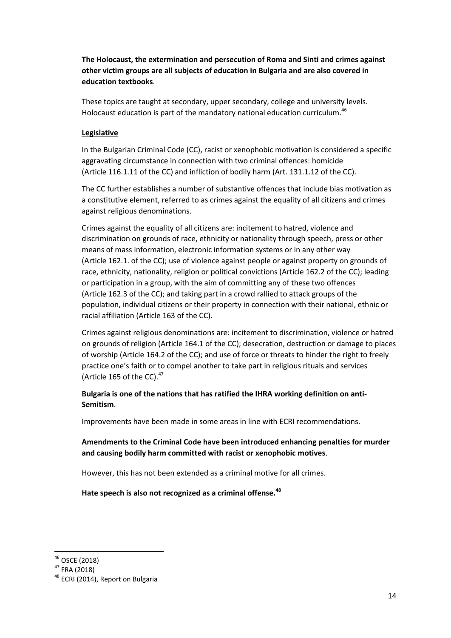**The Holocaust, the extermination and persecution of Roma and Sinti and crimes against other victim groups are all subjects of education in Bulgaria and are also covered in education textbooks**.

These topics are taught at secondary, upper secondary, college and university levels. Holocaust education is part of the mandatory national education curriculum.<sup>46</sup>

#### **Legislative**

In the Bulgarian Criminal Code (CC), racist or xenophobic motivation is considered a specific aggravating circumstance in connection with two criminal offences: homicide (Article 116.1.11 of the CC) and infliction of bodily harm (Art. 131.1.12 of the CC).

The CC further establishes a number of substantive offences that include bias motivation as a constitutive element, referred to as crimes against the equality of all citizens and crimes against religious denominations.

Crimes against the equality of all citizens are: incitement to hatred, violence and discrimination on grounds of race, ethnicity or nationality through speech, press or other means of mass information, electronic information systems or in any other way (Article 162.1. of the CC); use of violence against people or against property on grounds of race, ethnicity, nationality, religion or political convictions (Article 162.2 of the CC); leading or participation in a group, with the aim of committing any of these two offences (Article 162.3 of the CC); and taking part in a crowd rallied to attack groups of the population, individual citizens or their property in connection with their national, ethnic or racial affiliation (Article 163 of the CC).

Crimes against religious denominations are: incitement to discrimination, violence or hatred on grounds of religion (Article 164.1 of the CC); desecration, destruction or damage to places of worship (Article 164.2 of the CC); and use of force or threats to hinder the right to freely practice one's faith or to compel another to take part in religious rituals and services (Article 165 of the CC). $47$ 

#### **Bulgaria is one of the nations that has ratified the IHRA working definition on anti-Semitism**.

Improvements have been made in some areas in line with ECRI recommendations.

#### **Amendments to the Criminal Code have been introduced enhancing penalties for murder and causing bodily harm committed with racist or xenophobic motives**.

However, this has not been extended as a criminal motive for all crimes.

**Hate speech is also not recognized as a criminal offense.<sup>48</sup>**

**<sup>.</sup>**  $46$  OSCE (2018)

<sup>47</sup> FRA (2018)

<sup>&</sup>lt;sup>48</sup> ECRI (2014), Report on Bulgaria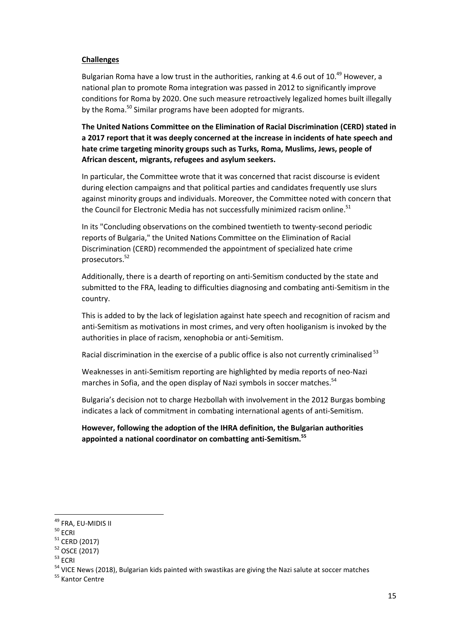#### **Challenges**

Bulgarian Roma have a low trust in the authorities, ranking at 4.6 out of 10. $49$  However, a national plan to promote Roma integration was passed in 2012 to significantly improve conditions for Roma by 2020. One such measure retroactively legalized homes built illegally by the Roma.<sup>50</sup> Similar programs have been adopted for migrants.

**The United Nations Committee on the Elimination of Racial Discrimination (CERD) stated in a 2017 report that it was deeply concerned at the increase in incidents of hate speech and hate crime targeting minority groups such as Turks, Roma, Muslims, Jews, people of African descent, migrants, refugees and asylum seekers.**

In particular, the Committee wrote that it was concerned that racist discourse is evident during election campaigns and that political parties and candidates frequently use slurs against minority groups and individuals. Moreover, the Committee noted with concern that the Council for Electronic Media has not successfully minimized racism online.<sup>51</sup>

In its "Concluding observations on the combined twentieth to twenty-second periodic reports of Bulgaria," the United Nations Committee on the Elimination of Racial Discrimination (CERD) recommended the appointment of specialized hate crime prosecutors.<sup>52</sup>

Additionally, there is a dearth of reporting on anti-Semitism conducted by the state and submitted to the FRA, leading to difficulties diagnosing and combating anti-Semitism in the country.

This is added to by the lack of legislation against hate speech and recognition of racism and anti-Semitism as motivations in most crimes, and very often hooliganism is invoked by the authorities in place of racism, xenophobia or anti-Semitism.

Racial discrimination in the exercise of a public office is also not currently criminalised <sup>53</sup>

Weaknesses in anti-Semitism reporting are highlighted by media reports of neo-Nazi marches in Sofia, and the open display of Nazi symbols in soccer matches.<sup>54</sup>

Bulgaria's decision not to charge Hezbollah with involvement in the 2012 Burgas bombing indicates a lack of commitment in combating international agents of anti-Semitism.

**However, following the adoption of the IHRA definition, the Bulgarian authorities appointed a national coordinator on combatting anti-Semitism.<sup>55</sup>**

<sup>&</sup>lt;sup>49</sup> FRA, EU-MIDIS II

<sup>50</sup> ECRI

 $51$  CERD (2017)

<sup>52</sup> OSCE (2017)

<sup>53</sup> ECRI

<sup>&</sup>lt;sup>54</sup> VICE News (2018), Bulgarian kids painted with swastikas are giving the Nazi salute at soccer matches

<sup>&</sup>lt;sup>55</sup> Kantor Centre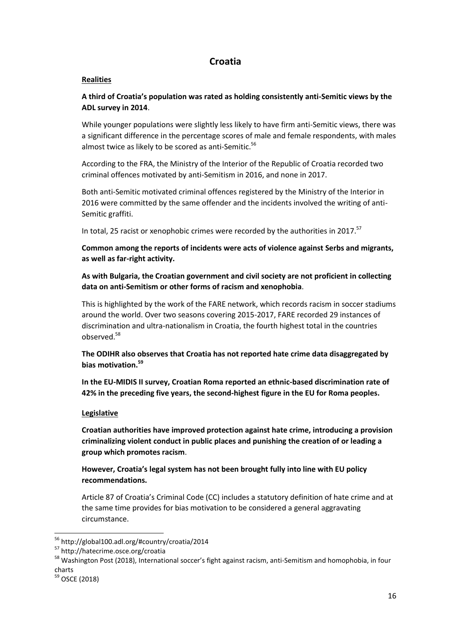## **Croatia**

#### **Realities**

## **A third of Croatia's population was rated as holding consistently anti-Semitic views by the ADL survey in 2014**.

While younger populations were slightly less likely to have firm anti-Semitic views, there was a significant difference in the percentage scores of male and female respondents, with males almost twice as likely to be scored as anti-Semitic.<sup>56</sup>

According to the FRA, the Ministry of the Interior of the Republic of Croatia recorded two criminal offences motivated by anti-Semitism in 2016, and none in 2017.

Both anti-Semitic motivated criminal offences registered by the Ministry of the Interior in 2016 were committed by the same offender and the incidents involved the writing of anti-Semitic graffiti.

In total, 25 racist or xenophobic crimes were recorded by the authorities in 2017.<sup>57</sup>

**Common among the reports of incidents were acts of violence against Serbs and migrants, as well as far-right activity.**

**As with Bulgaria, the Croatian government and civil society are not proficient in collecting data on anti-Semitism or other forms of racism and xenophobia**.

This is highlighted by the work of the FARE network, which records racism in soccer stadiums around the world. Over two seasons covering 2015-2017, FARE recorded 29 instances of discrimination and ultra-nationalism in Croatia, the fourth highest total in the countries observed.<sup>58</sup>

**The ODIHR also observes that Croatia has not reported hate crime data disaggregated by bias motivation.<sup>59</sup>**

**In the EU-MIDIS II survey, Croatian Roma reported an ethnic-based discrimination rate of 42% in the preceding five years, the second-highest figure in the EU for Roma peoples.**

#### **Legislative**

**Croatian authorities have improved protection against hate crime, introducing a provision criminalizing violent conduct in public places and punishing the creation of or leading a group which promotes racism**.

**However, Croatia's legal system has not been brought fully into line with EU policy recommendations.**

Article 87 of Croatia's Criminal Code (CC) includes a statutory definition of hate crime and at the same time provides for bias motivation to be considered a general aggravating circumstance.

<sup>56</sup> http://global100.adl.org/#country/croatia/2014

<sup>57</sup> http://hatecrime.osce.org/croatia

<sup>&</sup>lt;sup>58</sup> Washington Post (2018), International soccer's fight against racism, anti-Semitism and homophobia, in four charts

<sup>59</sup> OSCE (2018)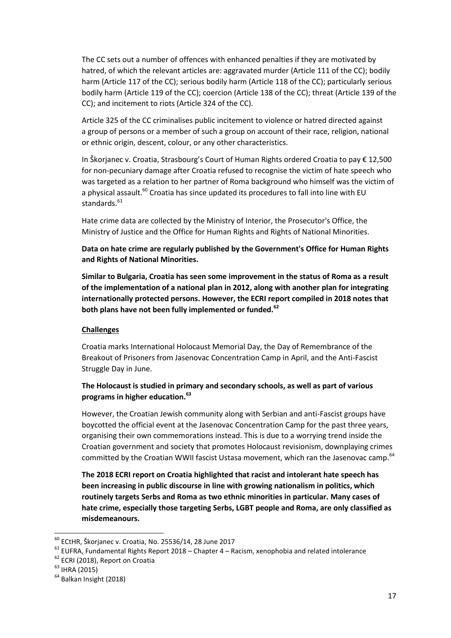The CC sets out a number of offences with enhanced penalties if they are motivated by hatred, of which the relevant articles are: aggravated murder (Article 111 of the CC); bodily harm (Article 117 of the CC); serious bodily harm (Article 118 of the CC); particularly serious bodily harm (Article 119 of the CC); coercion (Article 138 of the CC); threat (Article 139 of the CC); and incitement to riots (Article 324 of the CC).

Article 325 of the CC criminalises public incitement to violence or hatred directed against a group of persons or a member of such a group on account of their race, religion, national or ethnic origin, descent, colour, or any other characteristics.

In Škorjanec v. Croatia, Strasbourg's Court of Human Rights ordered Croatia to pay € 12,500 for non-pecuniary damage after Croatia refused to recognise the victim of hate speech who was targeted as a relation to her partner of Roma background who himself was the victim of a physical assault. $^{60}$  Croatia has since updated its procedures to fall into line with EU standards.<sup>61</sup>

Hate crime data are collected by the Ministry of Interior, the Prosecutor's Office, the Ministry of Justice and the Office for Human Rights and Rights of National Minorities.

**Data on hate crime are regularly published by the Government's Office for Human Rights and Rights of National Minorities.**

**Similar to Bulgaria, Croatia has seen some improvement in the status of Roma as a result of the implementation of a national plan in 2012, along with another plan for integrating internationally protected persons. However, the ECRI report compiled in 2018 notes that both plans have not been fully implemented or funded.<sup>62</sup>**

#### **Challenges**

Croatia marks International Holocaust Memorial Day, the Day of Remembrance of the Breakout of Prisoners from Jasenovac Concentration Camp in April, and the Anti-Fascist Struggle Day in June.

#### **The Holocaust is studied in primary and secondary schools, as well as part of various programs in higher education.<sup>63</sup>**

However, the Croatian Jewish community along with Serbian and anti-Fascist groups have boycotted the official event at the Jasenovac Concentration Camp for the past three years, organising their own commemorations instead. This is due to a worrying trend inside the Croatian government and society that promotes Holocaust revisionism, downplaying crimes committed by the Croatian WWII fascist Ustasa movement, which ran the Jasenovac camp.<sup>64</sup>

**The 2018 ECRI report on Croatia highlighted that racist and intolerant hate speech has been increasing in public discourse in line with growing nationalism in politics, which routinely targets Serbs and Roma as two ethnic minorities in particular. Many cases of hate crime, especially those targeting Serbs, LGBT people and Roma, are only classified as misdemeanours.**

 $^{60}$  ECtHR, Škorjanec v. Croatia, No. 25536/14, 28 June 2017

 $61$  EUFRA, Fundamental Rights Report 2018 – Chapter 4 – Racism, xenophobia and related intolerance

 $62$  ECRI (2018), Report on Croatia

<sup>63</sup> IHRA (2015)

<sup>&</sup>lt;sup>64</sup> Balkan Insight (2018)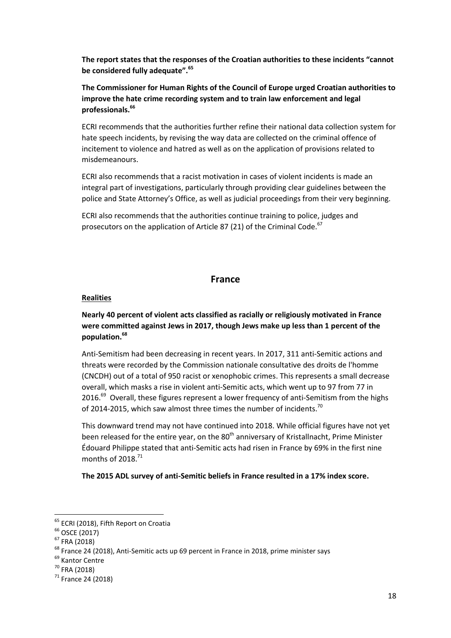**The report states that the responses of the Croatian authorities to these incidents "cannot be considered fully adequate".<sup>65</sup>**

**The Commissioner for Human Rights of the Council of Europe urged Croatian authorities to improve the hate crime recording system and to train law enforcement and legal professionals.<sup>66</sup>**

ECRI recommends that the authorities further refine their national data collection system for hate speech incidents, by revising the way data are collected on the criminal offence of incitement to violence and hatred as well as on the application of provisions related to misdemeanours.

ECRI also recommends that a racist motivation in cases of violent incidents is made an integral part of investigations, particularly through providing clear guidelines between the police and State Attorney's Office, as well as judicial proceedings from their very beginning.

ECRI also recommends that the authorities continue training to police, judges and prosecutors on the application of Article 87 (21) of the Criminal Code.<sup>67</sup>

## **France**

#### **Realities**

#### **Nearly 40 percent of violent acts classified as racially or religiously motivated in France were committed against Jews in 2017, though Jews make up less than 1 percent of the population.<sup>68</sup>**

Anti-Semitism had been decreasing in recent years. In 2017, 311 anti-Semitic actions and threats were recorded by the Commission nationale consultative des droits de l'homme (CNCDH) out of a total of 950 racist or xenophobic crimes. This represents a small decrease overall, which masks a rise in violent anti-Semitic acts, which went up to 97 from 77 in 2016.<sup>69</sup> Overall, these figures represent a lower frequency of anti-Semitism from the highs of 2014-2015, which saw almost three times the number of incidents.<sup>70</sup>

This downward trend may not have continued into 2018. While official figures have not yet been released for the entire year, on the 80<sup>th</sup> anniversary of Kristallnacht, Prime Minister Édouard Philippe stated that anti-Semitic acts had risen in France by 69% in the first nine months of 2018.<sup>71</sup>

#### **The 2015 ADL survey of anti-Semitic beliefs in France resulted in a 17% index score.**

<sup>&</sup>lt;sup>65</sup> ECRI (2018), Fifth Report on Croatia

<sup>&</sup>lt;sup>66</sup> OSCE (2017)

 $67$  FRA (2018)

 $68$  France 24 (2018), Anti-Semitic acts up 69 percent in France in 2018, prime minister says

<sup>69</sup> Kantor Centre

<sup>70</sup> FRA (2018)

 $71$  France 24 (2018)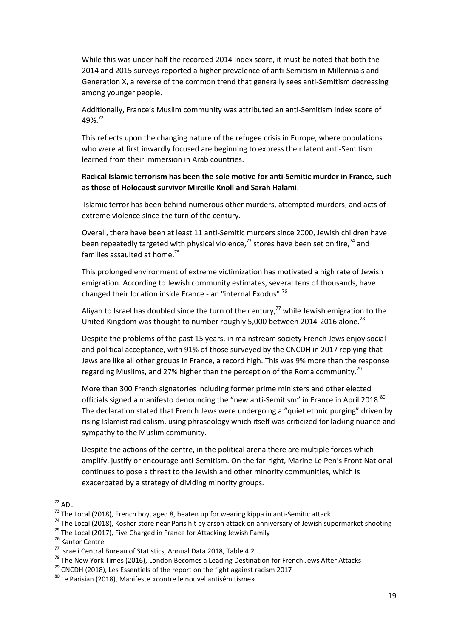While this was under half the recorded 2014 index score, it must be noted that both the 2014 and 2015 surveys reported a higher prevalence of anti-Semitism in Millennials and Generation X, a reverse of the common trend that generally sees anti-Semitism decreasing among younger people.

Additionally, France's Muslim community was attributed an anti-Semitism index score of 49%.<sup>72</sup>

This reflects upon the changing nature of the refugee crisis in Europe, where populations who were at first inwardly focused are beginning to express their latent anti-Semitism learned from their immersion in Arab countries.

#### **Radical Islamic terrorism has been the sole motive for anti-Semitic murder in France, such as those of Holocaust survivor Mireille Knoll and Sarah Halami**.

Islamic terror has been behind numerous other murders, attempted murders, and acts of extreme violence since the turn of the century.

Overall, there have been at least 11 anti-Semitic murders since 2000, Jewish children have been repeatedly targeted with physical violence, $^{73}$  stores have been set on fire, $^{74}$  and families assaulted at home.<sup>75</sup>

This prolonged environment of extreme victimization has motivated a high rate of Jewish emigration. According to Jewish community estimates, several tens of thousands, have changed their location inside France - an "internal Exodus".<sup>76</sup>

Aliyah to Israel has doubled since the turn of the century,<sup>77</sup> while Jewish emigration to the United Kingdom was thought to number roughly 5,000 between 2014-2016 alone.<sup>78</sup>

Despite the problems of the past 15 years, in mainstream society French Jews enjoy social and political acceptance, with 91% of those surveyed by the CNCDH in 2017 replying that Jews are like all other groups in France, a record high. This was 9% more than the response regarding Muslims, and 27% higher than the perception of the Roma community.<sup>79</sup>

More than 300 French signatories including former prime ministers and other elected officials signed a manifesto denouncing the "new anti-Semitism" in France in April 2018.<sup>80</sup> The declaration stated that French Jews were undergoing a "quiet ethnic purging" driven by rising Islamist radicalism, using phraseology which itself was criticized for lacking nuance and sympathy to the Muslim community.

Despite the actions of the centre, in the political arena there are multiple forces which amplify, justify or encourage anti-Semitism. On the far-right, Marine Le Pen's Front National continues to pose a threat to the Jewish and other minority communities, which is exacerbated by a strategy of dividing minority groups.

1

 $72$  ADL

 $73$  The Local (2018), French boy, aged 8, beaten up for wearing kippa in anti-Semitic attack

 $74$  The Local (2018), Kosher store near Paris hit by arson attack on anniversary of Jewish supermarket shooting

 $75$  The Local (2017), Five Charged in France for Attacking Jewish Family

<sup>76</sup> Kantor Centre

<sup>77</sup> Israeli Central Bureau of Statistics, Annual Data 2018, Table 4.2

 $78$  The New York Times (2016), London Becomes a Leading Destination for French Jews After Attacks

 $79$  CNCDH (2018), Les Essentiels of the report on the fight against racism 2017

<sup>80</sup> Le Parisian (2018), Manifeste «contre le nouvel antisémitisme»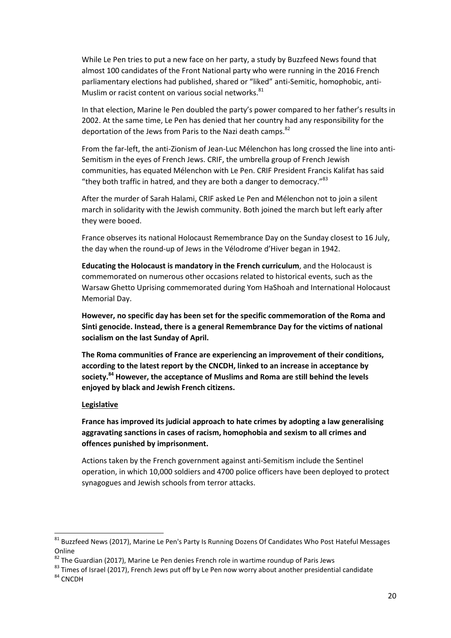While Le Pen tries to put a new face on her party, a study by Buzzfeed News found that almost 100 candidates of the Front National party who were running in the 2016 French parliamentary elections had published, shared or "liked" anti-Semitic, homophobic, anti-Muslim or racist content on various social networks.<sup>81</sup>

In that election, Marine le Pen doubled the party's power compared to her father's results in 2002. At the same time, Le Pen has denied that her country had any responsibility for the deportation of the Jews from Paris to the Nazi death camps.<sup>82</sup>

From the far-left, the anti-Zionism of Jean-Luc Mélenchon has long crossed the line into anti-Semitism in the eyes of French Jews. CRIF, the umbrella group of French Jewish communities, has equated Mélenchon with Le Pen. CRIF President Francis Kalifat has said "they both traffic in hatred, and they are both a danger to democracy."<sup>83</sup>

After the murder of Sarah Halami, CRIF asked Le Pen and Mélenchon not to join a silent march in solidarity with the Jewish community. Both joined the march but left early after they were booed.

France observes its national Holocaust Remembrance Day on the Sunday closest to 16 July, the day when the round-up of Jews in the Vélodrome d'Hiver began in 1942.

**Educating the Holocaust is mandatory in the French curriculum**, and the Holocaust is commemorated on numerous other occasions related to historical events, such as the Warsaw Ghetto Uprising commemorated during Yom HaShoah and International Holocaust Memorial Day.

**However, no specific day has been set for the specific commemoration of the Roma and Sinti genocide. Instead, there is a general Remembrance Day for the victims of national socialism on the last Sunday of April.**

**The Roma communities of France are experiencing an improvement of their conditions, according to the latest report by the CNCDH, linked to an increase in acceptance by society.<sup>84</sup> However, the acceptance of Muslims and Roma are still behind the levels enjoyed by black and Jewish French citizens.**

#### **Legislative**

 $\overline{a}$ 

**France has improved its judicial approach to hate crimes by adopting a law generalising aggravating sanctions in cases of racism, homophobia and sexism to all crimes and offences punished by imprisonment.**

Actions taken by the French government against anti-Semitism include the Sentinel operation, in which 10,000 soldiers and 4700 police officers have been deployed to protect synagogues and Jewish schools from terror attacks.

<sup>&</sup>lt;sup>81</sup> Buzzfeed News (2017), Marine Le Pen's Party Is Running Dozens Of Candidates Who Post Hateful Messages Online

 $82$  The Guardian (2017), Marine Le Pen denies French role in wartime roundup of Paris Jews

<sup>83</sup> Times of Israel (2017), French Jews put off by Le Pen now worry about another presidential candidate 84 CNCDH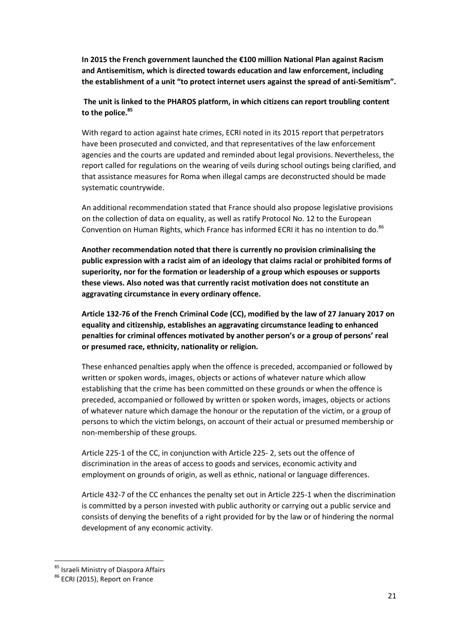**In 2015 the French government launched the €100 million National Plan against Racism and Antisemitism, which is directed towards education and law enforcement, including the establishment of a unit "to protect internet users against the spread of anti-Semitism".**

#### **The unit is linked to the PHAROS platform, in which citizens can report troubling content to the police.<sup>85</sup>**

With regard to action against hate crimes, ECRI noted in its 2015 report that perpetrators have been prosecuted and convicted, and that representatives of the law enforcement agencies and the courts are updated and reminded about legal provisions. Nevertheless, the report called for regulations on the wearing of veils during school outings being clarified, and that assistance measures for Roma when illegal camps are deconstructed should be made systematic countrywide.

An additional recommendation stated that France should also propose legislative provisions on the collection of data on equality, as well as ratify Protocol No. 12 to the European Convention on Human Rights, which France has informed ECRI it has no intention to do.<sup>86</sup>

**Another recommendation noted that there is currently no provision criminalising the public expression with a racist aim of an ideology that claims racial or prohibited forms of superiority, nor for the formation or leadership of a group which espouses or supports these views. Also noted was that currently racist motivation does not constitute an aggravating circumstance in every ordinary offence.**

**Article 132-76 of the French Criminal Code (CC), modified by the law of 27 January 2017 on equality and citizenship, establishes an aggravating circumstance leading to enhanced penalties for criminal offences motivated by another person's or a group of persons' real or presumed race, ethnicity, nationality or religion.** 

These enhanced penalties apply when the offence is preceded, accompanied or followed by written or spoken words, images, objects or actions of whatever nature which allow establishing that the crime has been committed on these grounds or when the offence is preceded, accompanied or followed by written or spoken words, images, objects or actions of whatever nature which damage the honour or the reputation of the victim, or a group of persons to which the victim belongs, on account of their actual or presumed membership or non-membership of these groups.

Article 225-1 of the CC, in conjunction with Article 225- 2, sets out the offence of discrimination in the areas of access to goods and services, economic activity and employment on grounds of origin, as well as ethnic, national or language differences.

Article 432-7 of the CC enhances the penalty set out in Article 225-1 when the discrimination is committed by a person invested with public authority or carrying out a public service and consists of denying the benefits of a right provided for by the law or of hindering the normal development of any economic activity.

<sup>85</sup> Israeli Ministry of Diaspora Affairs

<sup>86</sup> ECRI (2015), Report on France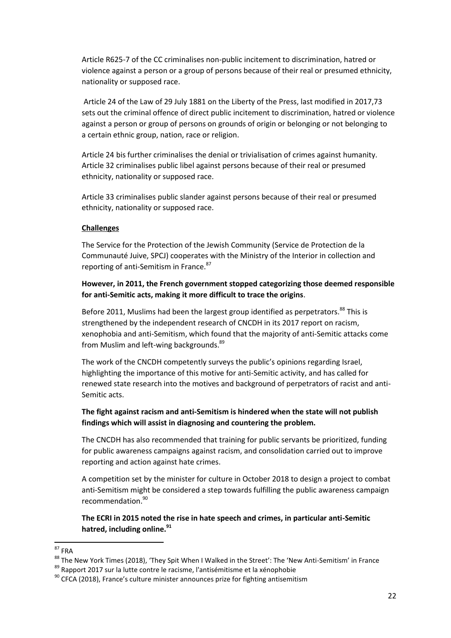Article R625-7 of the CC criminalises non-public incitement to discrimination, hatred or violence against a person or a group of persons because of their real or presumed ethnicity, nationality or supposed race.

Article 24 of the Law of 29 July 1881 on the Liberty of the Press, last modified in 2017,73 sets out the criminal offence of direct public incitement to discrimination, hatred or violence against a person or group of persons on grounds of origin or belonging or not belonging to a certain ethnic group, nation, race or religion.

Article 24 bis further criminalises the denial or trivialisation of crimes against humanity. Article 32 criminalises public libel against persons because of their real or presumed ethnicity, nationality or supposed race.

Article 33 criminalises public slander against persons because of their real or presumed ethnicity, nationality or supposed race.

#### **Challenges**

The Service for the Protection of the Jewish Community (Service de Protection de la Communauté Juive, SPCJ) cooperates with the Ministry of the Interior in collection and reporting of anti-Semitism in France.<sup>87</sup>

#### **However, in 2011, the French government stopped categorizing those deemed responsible for anti-Semitic acts, making it more difficult to trace the origins**.

Before 2011, Muslims had been the largest group identified as perpetrators.<sup>88</sup> This is strengthened by the independent research of CNCDH in its 2017 report on racism, xenophobia and anti-Semitism, which found that the majority of anti-Semitic attacks come from Muslim and left-wing backgrounds.<sup>89</sup>

The work of the CNCDH competently surveys the public's opinions regarding Israel, highlighting the importance of this motive for anti-Semitic activity, and has called for renewed state research into the motives and background of perpetrators of racist and anti-Semitic acts.

#### **The fight against racism and anti-Semitism is hindered when the state will not publish findings which will assist in diagnosing and countering the problem.**

The CNCDH has also recommended that training for public servants be prioritized, funding for public awareness campaigns against racism, and consolidation carried out to improve reporting and action against hate crimes.

A competition set by the minister for culture in October 2018 to design a project to combat anti-Semitism might be considered a step towards fulfilling the public awareness campaign recommendation.<sup>90</sup>

#### **The ECRI in 2015 noted the rise in hate speech and crimes, in particular anti-Semitic hatred, including online.<sup>91</sup>**

 $87$  FRA

<sup>88</sup> The New York Times (2018), 'They Spit When I Walked in the Street': The 'New Anti-Semitism' in France

 $89$  Rapport 2017 sur la lutte contre le racisme, l'antisémitisme et la xénophobie

 $90$  CFCA (2018), France's culture minister announces prize for fighting antisemitism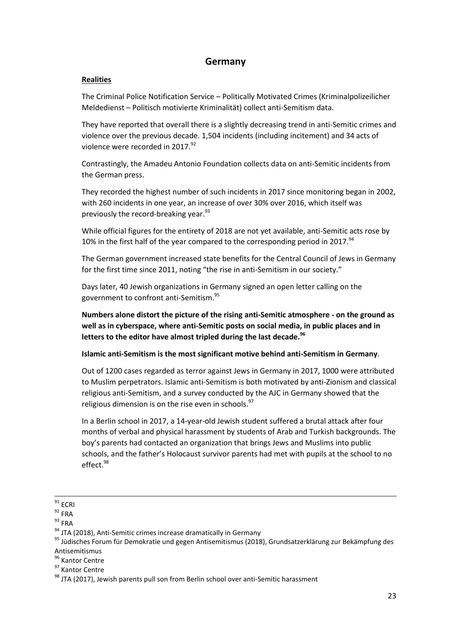## **Germany**

#### **Realities**

The Criminal Police Notification Service – Politically Motivated Crimes (Kriminalpolizeilicher Meldedienst – Politisch motivierte Kriminalität) collect anti-Semitism data.

They have reported that overall there is a slightly decreasing trend in anti-Semitic crimes and violence over the previous decade. 1,504 incidents (including incitement) and 34 acts of violence were recorded in 2017.<sup>92</sup>

Contrastingly, the Amadeu Antonio Foundation collects data on anti-Semitic incidents from the German press.

They recorded the highest number of such incidents in 2017 since monitoring began in 2002, with 260 incidents in one year, an increase of over 30% over 2016, which itself was previously the record-breaking year.<sup>93</sup>

While official figures for the entirety of 2018 are not yet available, anti-Semitic acts rose by 10% in the first half of the year compared to the corresponding period in 2017.<sup>94</sup>

The German government increased state benefits for the Central Council of Jews in Germany for the first time since 2011, noting "the rise in anti-Semitism in our society."

Days later, 40 Jewish organizations in Germany signed an open letter calling on the government to confront anti-Semitism.<sup>95</sup>

**Numbers alone distort the picture of the rising anti-Semitic atmosphere - on the ground as well as in cyberspace, where anti-Semitic posts on social media, in public places and in letters to the editor have almost tripled during the last decade.<sup>96</sup>**

**Islamic anti-Semitism is the most significant motive behind anti-Semitism in Germany**.

Out of 1200 cases regarded as terror against Jews in Germany in 2017, 1000 were attributed to Muslim perpetrators. Islamic anti-Semitism is both motivated by anti-Zionism and classical religious anti-Semitism, and a survey conducted by the AJC in Germany showed that the religious dimension is on the rise even in schools. $97$ 

In a Berlin school in 2017, a 14-year-old Jewish student suffered a brutal attack after four months of verbal and physical harassment by students of Arab and Turkish backgrounds. The boy's parents had contacted an organization that brings Jews and Muslims into public schools, and the father's Holocaust survivor parents had met with pupils at the school to no effect. 98

<sup>95</sup> Jüdisches Forum für Demokratie und gegen Antisemitismus (2018), Grundsatzerklärung zur Bekämpfung des Antisemitismus

<sup>1</sup>  $^{91}$  ECRI

<sup>92</sup> FRA

 $93$  FRA

<sup>&</sup>lt;sup>94</sup> JTA (2018), Anti-Semitic crimes increase dramatically in Germany

<sup>96</sup> Kantor Centre

<sup>97</sup> Kantor Centre

<sup>&</sup>lt;sup>98</sup> JTA (2017), Jewish parents pull son from Berlin school over anti-Semitic harassment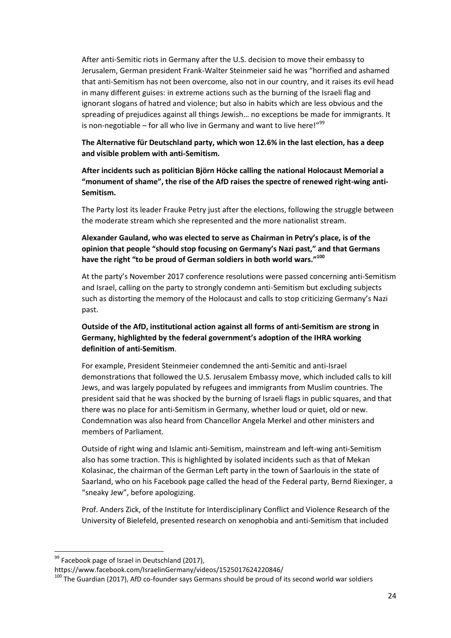After anti-Semitic riots in Germany after the U.S. decision to move their embassy to Jerusalem, German president Frank-Walter Steinmeier said he was "horrified and ashamed that anti-Semitism has not been overcome, also not in our country, and it raises its evil head in many different guises: in extreme actions such as the burning of the Israeli flag and ignorant slogans of hatred and violence; but also in habits which are less obvious and the spreading of prejudices against all things Jewish… no exceptions be made for immigrants. It is non-negotiable – for all who live in Germany and want to live here!" $99$ 

#### **The Alternative für Deutschland party, which won 12.6% in the last election, has a deep and visible problem with anti-Semitism.**

**After incidents such as politician Björn Höcke calling the national Holocaust Memorial a "monument of shame", the rise of the AfD raises the spectre of renewed right-wing anti-Semitism.** 

The Party lost its leader Frauke Petry just after the elections, following the struggle between the moderate stream which she represented and the more nationalist stream.

## **Alexander Gauland, who was elected to serve as Chairman in Petry's place, is of the opinion that people "should stop focusing on Germany's Nazi past," and that Germans have the right "to be proud of German soldiers in both world wars."<sup>100</sup>**

At the party's November 2017 conference resolutions were passed concerning anti-Semitism and Israel, calling on the party to strongly condemn anti-Semitism but excluding subjects such as distorting the memory of the Holocaust and calls to stop criticizing Germany's Nazi past.

### **Outside of the AfD, institutional action against all forms of anti-Semitism are strong in Germany, highlighted by the federal government's adoption of the IHRA working definition of anti-Semitism**.

For example, President Steinmeier condemned the anti-Semitic and anti-Israel demonstrations that followed the U.S. Jerusalem Embassy move, which included calls to kill Jews, and was largely populated by refugees and immigrants from Muslim countries. The president said that he was shocked by the burning of Israeli flags in public squares, and that there was no place for anti-Semitism in Germany, whether loud or quiet, old or new. Condemnation was also heard from Chancellor Angela Merkel and other ministers and members of Parliament.

Outside of right wing and Islamic anti-Semitism, mainstream and left-wing anti-Semitism also has some traction. This is highlighted by isolated incidents such as that of Mekan Kolasinac, the chairman of the German Left party in the town of Saarlouis in the state of Saarland, who on his Facebook page called the head of the Federal party, Bernd Riexinger, a "sneaky Jew", before apologizing.

Prof. Anders Zick, of the Institute for Interdisciplinary Conflict and Violence Research of the University of Bielefeld, presented research on xenophobia and anti-Semitism that included

<sup>99</sup> Facebook page of Israel in Deutschland (2017),

https://www.facebook.com/IsraelinGermany/videos/1525017624220846/

<sup>&</sup>lt;sup>100</sup> The Guardian (2017), AfD co-founder says Germans should be proud of its second world war soldiers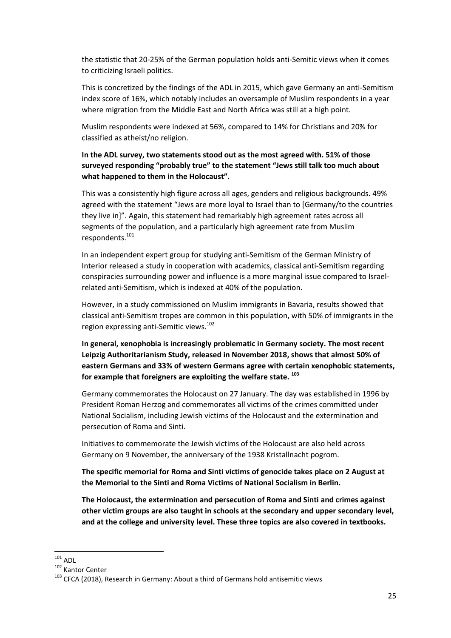the statistic that 20-25% of the German population holds anti-Semitic views when it comes to criticizing Israeli politics.

This is concretized by the findings of the ADL in 2015, which gave Germany an anti-Semitism index score of 16%, which notably includes an oversample of Muslim respondents in a year where migration from the Middle East and North Africa was still at a high point.

Muslim respondents were indexed at 56%, compared to 14% for Christians and 20% for classified as atheist/no religion.

## **In the ADL survey, two statements stood out as the most agreed with. 51% of those surveyed responding "probably true" to the statement "Jews still talk too much about what happened to them in the Holocaust".**

This was a consistently high figure across all ages, genders and religious backgrounds. 49% agreed with the statement "Jews are more loyal to Israel than to [Germany/to the countries they live in]". Again, this statement had remarkably high agreement rates across all segments of the population, and a particularly high agreement rate from Muslim respondents.<sup>101</sup>

In an independent expert group for studying anti-Semitism of the German Ministry of Interior released a study in cooperation with academics, classical anti-Semitism regarding conspiracies surrounding power and influence is a more marginal issue compared to Israelrelated anti-Semitism, which is indexed at 40% of the population.

However, in a study commissioned on Muslim immigrants in Bavaria, results showed that classical anti-Semitism tropes are common in this population, with 50% of immigrants in the region expressing anti-Semitic views.<sup>102</sup>

**In general, xenophobia is increasingly problematic in Germany society. The most recent Leipzig Authoritarianism Study, released in November 2018, shows that almost 50% of eastern Germans and 33% of western Germans agree with certain xenophobic statements, for example that foreigners are exploiting the welfare state. 103**

Germany commemorates the Holocaust on 27 January. The day was established in 1996 by President Roman Herzog and commemorates all victims of the crimes committed under National Socialism, including Jewish victims of the Holocaust and the extermination and persecution of Roma and Sinti.

Initiatives to commemorate the Jewish victims of the Holocaust are also held across Germany on 9 November, the anniversary of the 1938 Kristallnacht pogrom.

**The specific memorial for Roma and Sinti victims of genocide takes place on 2 August at the Memorial to the Sinti and Roma Victims of National Socialism in Berlin.**

**The Holocaust, the extermination and persecution of Roma and Sinti and crimes against other victim groups are also taught in schools at the secondary and upper secondary level, and at the college and university level. These three topics are also covered in textbooks.**

**<sup>.</sup>**  $101$  ADL

<sup>102</sup> Kantor Center

 $103$  CFCA (2018), Research in Germany: About a third of Germans hold antisemitic views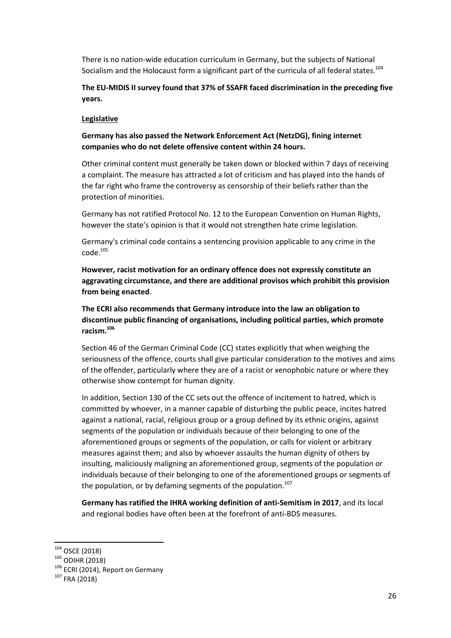There is no nation-wide education curriculum in Germany, but the subjects of National Socialism and the Holocaust form a significant part of the curricula of all federal states.<sup>104</sup>

#### **The EU-MIDIS II survey found that 37% of SSAFR faced discrimination in the preceding five years.**

#### **Legislative**

## **Germany has also passed the Network Enforcement Act (NetzDG), fining internet companies who do not delete offensive content within 24 hours.**

Other criminal content must generally be taken down or blocked within 7 days of receiving a complaint. The measure has attracted a lot of criticism and has played into the hands of the far right who frame the controversy as censorship of their beliefs rather than the protection of minorities.

Germany has not ratified Protocol No. 12 to the European Convention on Human Rights, however the state's opinion is that it would not strengthen hate crime legislation.

Germany's criminal code contains a sentencing provision applicable to any crime in the  $code.<sup>105</sup>$ 

**However, racist motivation for an ordinary offence does not expressly constitute an aggravating circumstance, and there are additional provisos which prohibit this provision from being enacted**.

**The ECRI also recommends that Germany introduce into the law an obligation to discontinue public financing of organisations, including political parties, which promote racism. 106**

Section 46 of the German Criminal Code (CC) states explicitly that when weighing the seriousness of the offence, courts shall give particular consideration to the motives and aims of the offender, particularly where they are of a racist or xenophobic nature or where they otherwise show contempt for human dignity.

In addition, Section 130 of the CC sets out the offence of incitement to hatred, which is committed by whoever, in a manner capable of disturbing the public peace, incites hatred against a national, racial, religious group or a group defined by its ethnic origins, against segments of the population or individuals because of their belonging to one of the aforementioned groups or segments of the population, or calls for violent or arbitrary measures against them; and also by whoever assaults the human dignity of others by insulting, maliciously maligning an aforementioned group, segments of the population or individuals because of their belonging to one of the aforementioned groups or segments of the population, or by defaming segments of the population.<sup>107</sup>

**Germany has ratified the IHRA working definition of anti-Semitism in 2017**, and its local and regional bodies have often been at the forefront of anti-BDS measures.

<sup>104</sup> OSCE (2018)

<sup>105</sup> ODIHR (2018)

<sup>106</sup> ECRI (2014), Report on Germany

 $107$  FRA (2018)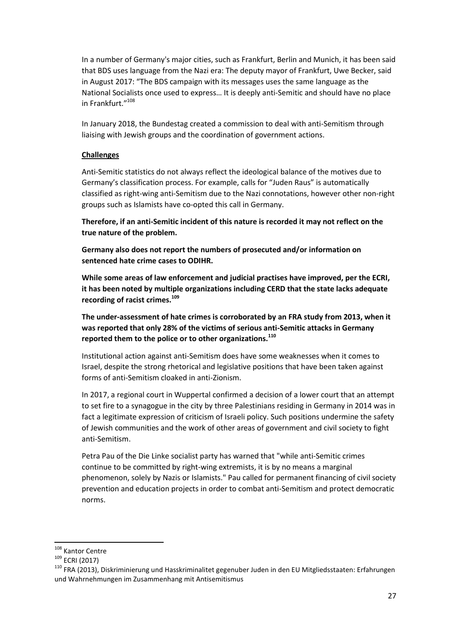In a number of Germany's major cities, such as Frankfurt, Berlin and Munich, it has been said that BDS uses language from the Nazi era: The deputy mayor of Frankfurt, Uwe Becker, said in August 2017: "The BDS campaign with its messages uses the same language as the National Socialists once used to express… It is deeply anti-Semitic and should have no place in Frankfurt."<sup>108</sup>

In January 2018, the Bundestag created a commission to deal with anti-Semitism through liaising with Jewish groups and the coordination of government actions.

#### **Challenges**

Anti-Semitic statistics do not always reflect the ideological balance of the motives due to Germany's classification process. For example, calls for "Juden Raus" is automatically classified as right-wing anti-Semitism due to the Nazi connotations, however other non-right groups such as Islamists have co-opted this call in Germany.

**Therefore, if an anti-Semitic incident of this nature is recorded it may not reflect on the true nature of the problem.**

**Germany also does not report the numbers of prosecuted and/or information on sentenced hate crime cases to ODIHR.**

**While some areas of law enforcement and judicial practises have improved, per the ECRI, it has been noted by multiple organizations including CERD that the state lacks adequate recording of racist crimes.<sup>109</sup>**

**The under-assessment of hate crimes is corroborated by an FRA study from 2013, when it was reported that only 28% of the victims of serious anti-Semitic attacks in Germany reported them to the police or to other organizations.<sup>110</sup>**

Institutional action against anti-Semitism does have some weaknesses when it comes to Israel, despite the strong rhetorical and legislative positions that have been taken against forms of anti-Semitism cloaked in anti-Zionism.

In 2017, a regional court in Wuppertal confirmed a decision of a lower court that an attempt to set fire to a synagogue in the city by three Palestinians residing in Germany in 2014 was in fact a legitimate expression of criticism of Israeli policy. Such positions undermine the safety of Jewish communities and the work of other areas of government and civil society to fight anti-Semitism.

Petra Pau of the Die Linke socialist party has warned that "while anti-Semitic crimes continue to be committed by right-wing extremists, it is by no means a marginal phenomenon, solely by Nazis or Islamists." Pau called for permanent financing of civil society prevention and education projects in order to combat anti-Semitism and protect democratic norms.

<sup>&</sup>lt;sup>108</sup> Kantor Centre

 $^{109}$  ECRI (2017)

<sup>110</sup> FRA (2013), Diskriminierung und Hasskriminalitet gegenuber Juden in den EU Mitgliedsstaaten: Erfahrungen und Wahrnehmungen im Zusammenhang mit Antisemitismus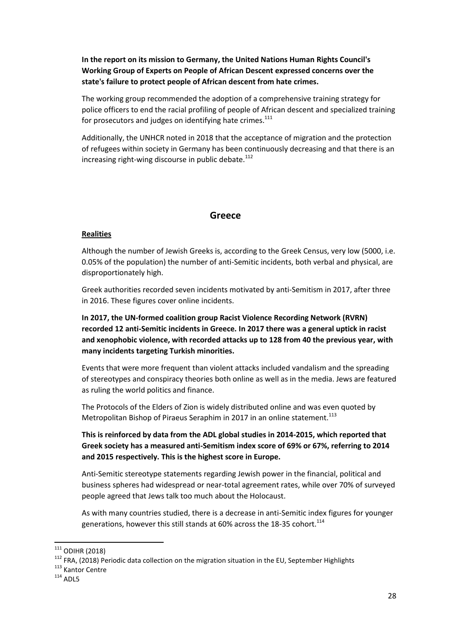**In the report on its mission to Germany, the United Nations Human Rights Council's Working Group of Experts on People of African Descent expressed concerns over the state's failure to protect people of African descent from hate crimes.**

The working group recommended the adoption of a comprehensive training strategy for police officers to end the racial profiling of people of African descent and specialized training for prosecutors and judges on identifying hate crimes.<sup>111</sup>

Additionally, the UNHCR noted in 2018 that the acceptance of migration and the protection of refugees within society in Germany has been continuously decreasing and that there is an increasing right-wing discourse in public debate.<sup>112</sup>

#### **Greece**

#### **Realities**

Although the number of Jewish Greeks is, according to the Greek Census, very low (5000, i.e. 0.05% of the population) the number of anti-Semitic incidents, both verbal and physical, are disproportionately high.

Greek authorities recorded seven incidents motivated by anti-Semitism in 2017, after three in 2016. These figures cover online incidents.

**In 2017, the UN-formed coalition group Racist Violence Recording Network (RVRN) recorded 12 anti-Semitic incidents in Greece. In 2017 there was a general uptick in racist and xenophobic violence, with recorded attacks up to 128 from 40 the previous year, with many incidents targeting Turkish minorities.**

Events that were more frequent than violent attacks included vandalism and the spreading of stereotypes and conspiracy theories both online as well as in the media. Jews are featured as ruling the world politics and finance.

The Protocols of the Elders of Zion is widely distributed online and was even quoted by Metropolitan Bishop of Piraeus Seraphim in 2017 in an online statement.<sup>113</sup>

**This is reinforced by data from the ADL global studies in 2014-2015, which reported that Greek society has a measured anti-Semitism index score of 69% or 67%, referring to 2014 and 2015 respectively. This is the highest score in Europe.**

Anti-Semitic stereotype statements regarding Jewish power in the financial, political and business spheres had widespread or near-total agreement rates, while over 70% of surveyed people agreed that Jews talk too much about the Holocaust.

As with many countries studied, there is a decrease in anti-Semitic index figures for younger generations, however this still stands at 60% across the 18-35 cohort.<sup>114</sup>

<sup>113</sup> Kantor Centre

 $111$  ODIHR (2018)

<sup>112</sup> FRA, (2018) Periodic data collection on the migration situation in the EU, September Highlights

 $114$  ADI 5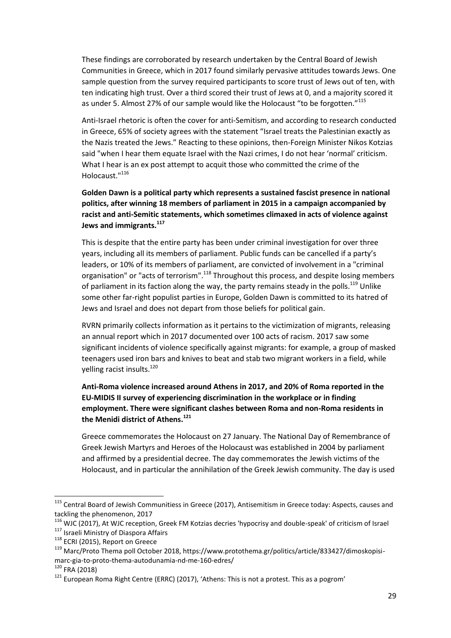These findings are corroborated by research undertaken by the Central Board of Jewish Communities in Greece, which in 2017 found similarly pervasive attitudes towards Jews. One sample question from the survey required participants to score trust of Jews out of ten, with ten indicating high trust. Over a third scored their trust of Jews at 0, and a majority scored it as under 5. Almost 27% of our sample would like the Holocaust "to be forgotten."<sup>115</sup>

Anti-Israel rhetoric is often the cover for anti-Semitism, and according to research conducted in Greece, 65% of society agrees with the statement "Israel treats the Palestinian exactly as the Nazis treated the Jews." Reacting to these opinions, then-Foreign Minister Nikos Kotzias said "when I hear them equate Israel with the Nazi crimes, I do not hear 'normal' criticism. What I hear is an ex post attempt to acquit those who committed the crime of the Holocaust."<sup>116</sup>

## **Golden Dawn is a political party which represents a sustained fascist presence in national politics, after winning 18 members of parliament in 2015 in a campaign accompanied by racist and anti-Semitic statements, which sometimes climaxed in acts of violence against Jews and immigrants.<sup>117</sup>**

This is despite that the entire party has been under criminal investigation for over three years, including all its members of parliament. Public funds can be cancelled if a party's leaders, or 10% of its members of parliament, are convicted of involvement in a "criminal organisation" or "acts of terrorism".<sup>118</sup> Throughout this process, and despite losing members of parliament in its faction along the way, the party remains steady in the polls.<sup>119</sup> Unlike some other far-right populist parties in Europe, Golden Dawn is committed to its hatred of Jews and Israel and does not depart from those beliefs for political gain.

RVRN primarily collects information as it pertains to the victimization of migrants, releasing an annual report which in 2017 documented over 100 acts of racism. 2017 saw some significant incidents of violence specifically against migrants: for example, a group of masked teenagers used iron bars and knives to beat and stab two migrant workers in a field, while yelling racist insults.<sup>120</sup>

## **Anti-Roma violence increased around Athens in 2017, and 20% of Roma reported in the EU-MIDIS II survey of experiencing discrimination in the workplace or in finding employment. There were significant clashes between Roma and non-Roma residents in the Menidi district of Athens.<sup>121</sup>**

Greece commemorates the Holocaust on 27 January. The National Day of Remembrance of Greek Jewish Martyrs and Heroes of the Holocaust was established in 2004 by parliament and affirmed by a presidential decree. The day commemorates the Jewish victims of the Holocaust, and in particular the annihilation of the Greek Jewish community. The day is used

1

<sup>&</sup>lt;sup>115</sup> Central Board of Jewish Communitiess in Greece (2017), Antisemitism in Greece today: Aspects, causes and tackling the phenomenon, 2017

<sup>116</sup> WJC (2017), At WJC reception, Greek FM Kotzias decries 'hypocrisy and double-speak' of criticism of Israel 117 Israeli Ministry of Diaspora Affairs

<sup>118</sup> ECRI (2015), Report on Greece

<sup>119</sup> Marc/Proto Thema poll October 2018, https://www.protothema.gr/politics/article/833427/dimoskopisimarc-gia-to-proto-thema-autodunamia-nd-me-160-edres/

<sup>120</sup> FRA (2018)

<sup>&</sup>lt;sup>121</sup> European Roma Right Centre (ERRC) (2017), 'Athens: This is not a protest. This as a pogrom'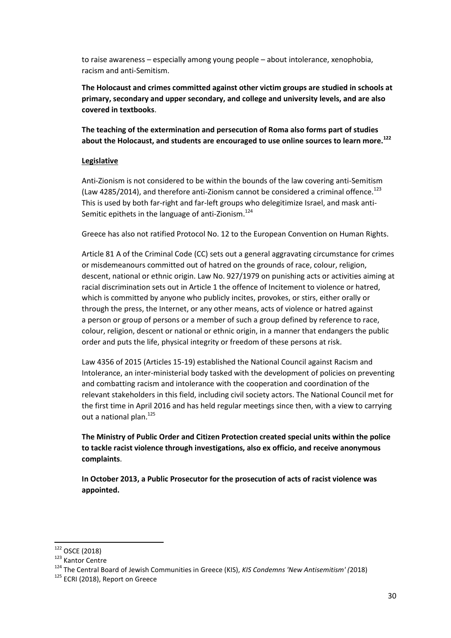to raise awareness – especially among young people – about intolerance, xenophobia, racism and anti-Semitism.

**The Holocaust and crimes committed against other victim groups are studied in schools at primary, secondary and upper secondary, and college and university levels, and are also covered in textbooks**.

**The teaching of the extermination and persecution of Roma also forms part of studies about the Holocaust, and students are encouraged to use online sources to learn more.<sup>122</sup>**

#### **Legislative**

Anti-Zionism is not considered to be within the bounds of the law covering anti-Semitism (Law 4285/2014), and therefore anti-Zionism cannot be considered a criminal offence.<sup>123</sup> This is used by both far-right and far-left groups who delegitimize Israel, and mask anti-Semitic epithets in the language of anti-Zionism.<sup>124</sup>

Greece has also not ratified Protocol No. 12 to the European Convention on Human Rights.

Article 81 A of the Criminal Code (CC) sets out a general aggravating circumstance for crimes or misdemeanours committed out of hatred on the grounds of race, colour, religion, descent, national or ethnic origin. Law No. 927/1979 on punishing acts or activities aiming at racial discrimination sets out in Article 1 the offence of Incitement to violence or hatred, which is committed by anyone who publicly incites, provokes, or stirs, either orally or through the press, the Internet, or any other means, acts of violence or hatred against a person or group of persons or a member of such a group defined by reference to race, colour, religion, descent or national or ethnic origin, in a manner that endangers the public order and puts the life, physical integrity or freedom of these persons at risk.

Law 4356 of 2015 (Articles 15-19) established the National Council against Racism and Intolerance, an inter-ministerial body tasked with the development of policies on preventing and combatting racism and intolerance with the cooperation and coordination of the relevant stakeholders in this field, including civil society actors. The National Council met for the first time in April 2016 and has held regular meetings since then, with a view to carrying out a national plan.<sup>125</sup>

**The Ministry of Public Order and Citizen Protection created special units within the police to tackle racist violence through investigations, also ex officio, and receive anonymous complaints**.

**In October 2013, a Public Prosecutor for the prosecution of acts of racist violence was appointed.**

<sup>122</sup> OSCE (2018)

<sup>123</sup> Kantor Centre

<sup>124</sup> The Central Board of Jewish Communities in Greece (KIS), *KIS Condemns 'New Antisemitism' (*2018)

<sup>&</sup>lt;sup>125</sup> ECRI (2018), Report on Greece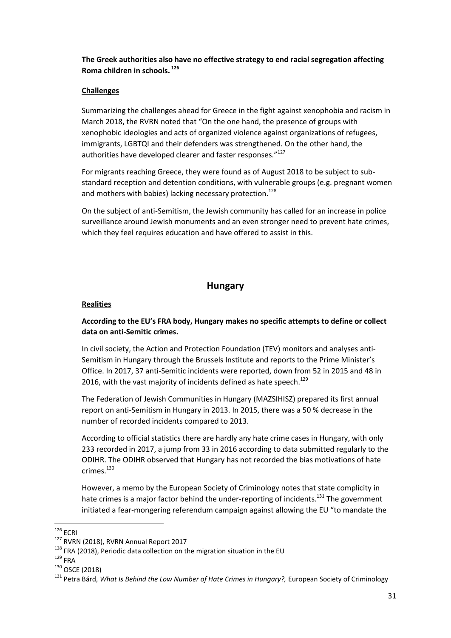**The Greek authorities also have no effective strategy to end racial segregation affecting Roma children in schools. <sup>126</sup>**

#### **Challenges**

Summarizing the challenges ahead for Greece in the fight against xenophobia and racism in March 2018, the RVRN noted that "On the one hand, the presence of groups with xenophobic ideologies and acts of organized violence against organizations of refugees, immigrants, LGBTQI and their defenders was strengthened. On the other hand, the authorities have developed clearer and faster responses."<sup>127</sup>

For migrants reaching Greece, they were found as of August 2018 to be subject to substandard reception and detention conditions, with vulnerable groups (e.g. pregnant women and mothers with babies) lacking necessary protection.<sup>128</sup>

On the subject of anti-Semitism, the Jewish community has called for an increase in police surveillance around Jewish monuments and an even stronger need to prevent hate crimes, which they feel requires education and have offered to assist in this.

## **Hungary**

#### **Realities**

## **According to the EU's FRA body, Hungary makes no specific attempts to define or collect data on anti-Semitic crimes.**

In civil society, the Action and Protection Foundation (TEV) monitors and analyses anti-Semitism in Hungary through the Brussels Institute and reports to the Prime Minister's Office. In 2017, 37 anti-Semitic incidents were reported, down from 52 in 2015 and 48 in 2016, with the vast majority of incidents defined as hate speech.<sup>129</sup>

The Federation of Jewish Communities in Hungary (MAZSIHISZ) prepared its first annual report on anti-Semitism in Hungary in 2013. In 2015, there was a 50 % decrease in the number of recorded incidents compared to 2013.

According to official statistics there are hardly any hate crime cases in Hungary, with only 233 recorded in 2017, a jump from 33 in 2016 according to data submitted regularly to the ODIHR. The ODIHR observed that Hungary has not recorded the bias motivations of hate crimes.<sup>130</sup>

However, a memo by the European Society of Criminology notes that state complicity in hate crimes is a major factor behind the under-reporting of incidents.<sup>131</sup> The government initiated a fear-mongering referendum campaign against allowing the EU "to mandate the

**<sup>.</sup>**  $126$  ECRI

<sup>&</sup>lt;sup>127</sup> RVRN (2018), RVRN Annual Report 2017

 $128$  FRA (2018), Periodic data collection on the migration situation in the EU

 $129$  FRA

<sup>130</sup> OSCE (2018)

<sup>&</sup>lt;sup>131</sup> Petra Bárd. *What Is Behind the Low Number of Hate Crimes in Hungary?*, European Society of Criminology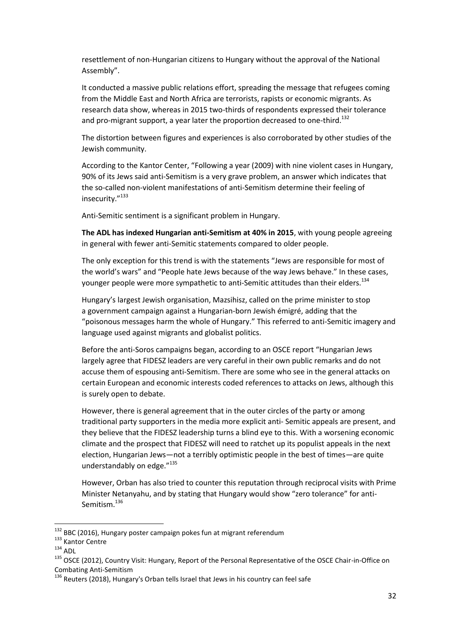resettlement of non-Hungarian citizens to Hungary without the approval of the National Assembly".

It conducted a massive public relations effort, spreading the message that refugees coming from the Middle East and North Africa are terrorists, rapists or economic migrants. As research data show, whereas in 2015 two-thirds of respondents expressed their tolerance and pro-migrant support, a year later the proportion decreased to one-third.<sup>132</sup>

The distortion between figures and experiences is also corroborated by other studies of the Jewish community.

According to the Kantor Center, "Following a year (2009) with nine violent cases in Hungary, 90% of its Jews said anti-Semitism is a very grave problem, an answer which indicates that the so-called non-violent manifestations of anti-Semitism determine their feeling of insecurity."<sup>133</sup>

Anti-Semitic sentiment is a significant problem in Hungary.

**The ADL has indexed Hungarian anti-Semitism at 40% in 2015**, with young people agreeing in general with fewer anti-Semitic statements compared to older people.

The only exception for this trend is with the statements "Jews are responsible for most of the world's wars" and "People hate Jews because of the way Jews behave." In these cases, younger people were more sympathetic to anti-Semitic attitudes than their elders.<sup>134</sup>

Hungary's largest Jewish organisation, Mazsihisz, called on the prime minister to stop a government campaign against a Hungarian-born Jewish émigré, adding that the "poisonous messages harm the whole of Hungary." This referred to anti-Semitic imagery and language used against migrants and globalist politics.

Before the anti-Soros campaigns began, according to an OSCE report "Hungarian Jews largely agree that FIDESZ leaders are very careful in their own public remarks and do not accuse them of espousing anti‐Semitism. There are some who see in the general attacks on certain European and economic interests coded references to attacks on Jews, although this is surely open to debate.

However, there is general agreement that in the outer circles of the party or among traditional party supporters in the media more explicit anti‐ Semitic appeals are present, and they believe that the FIDESZ leadership turns a blind eye to this. With a worsening economic climate and the prospect that FIDESZ will need to ratchet up its populist appeals in the next election, Hungarian Jews—not a terribly optimistic people in the best of times—are quite understandably on edge. $^{\prime\prime}^{135}$ 

However, Orban has also tried to counter this reputation through reciprocal visits with Prime Minister Netanyahu, and by stating that Hungary would show "zero tolerance" for anti-Semitism.<sup>136</sup>

<sup>&</sup>lt;sup>132</sup> BBC (2016), Hungary poster campaign pokes fun at migrant referendum

<sup>133</sup> Kantor Centre

 $134$  ADL

<sup>135</sup> OSCE (2012), Country Visit: Hungary, Report of the Personal Representative of the OSCE Chair-in-Office on Combating Anti-Semitism

<sup>&</sup>lt;sup>136</sup> Reuters (2018), Hungary's Orban tells Israel that Jews in his country can feel safe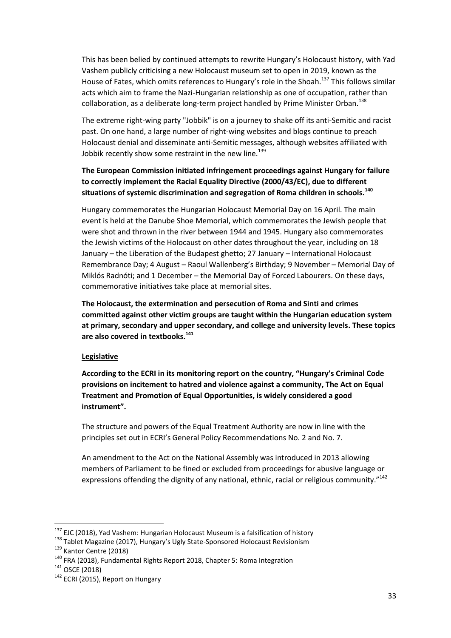This has been belied by continued attempts to rewrite Hungary's Holocaust history, with Yad Vashem publicly criticising a new Holocaust museum set to open in 2019, known as the House of Fates, which omits references to Hungary's role in the Shoah.<sup>137</sup> This follows similar acts which aim to frame the Nazi-Hungarian relationship as one of occupation, rather than collaboration, as a deliberate long-term project handled by Prime Minister Orban.<sup>138</sup>

The extreme right-wing party "Jobbik" is on a journey to shake off its anti-Semitic and racist past. On one hand, a large number of right-wing websites and blogs continue to preach Holocaust denial and disseminate anti-Semitic messages, although websites affiliated with Jobbik recently show some restraint in the new line.<sup>139</sup>

## **The European Commission initiated infringement proceedings against Hungary for failure to correctly implement the Racial Equality Directive (2000/43/EC), due to different situations of systemic discrimination and segregation of Roma children in schools.<sup>140</sup>**

Hungary commemorates the Hungarian Holocaust Memorial Day on 16 April. The main event is held at the Danube Shoe Memorial, which commemorates the Jewish people that were shot and thrown in the river between 1944 and 1945. Hungary also commemorates the Jewish victims of the Holocaust on other dates throughout the year, including on 18 January – the Liberation of the Budapest ghetto; 27 January – International Holocaust Remembrance Day; 4 August – Raoul Wallenberg's Birthday; 9 November – Memorial Day of Miklós Radnóti; and 1 December – the Memorial Day of Forced Labourers. On these days, commemorative initiatives take place at memorial sites.

**The Holocaust, the extermination and persecution of Roma and Sinti and crimes committed against other victim groups are taught within the Hungarian education system at primary, secondary and upper secondary, and college and university levels. These topics are also covered in textbooks.<sup>141</sup>**

#### **Legislative**

**According to the ECRI in its monitoring report on the country, "Hungary's Criminal Code provisions on incitement to hatred and violence against a community, The Act on Equal Treatment and Promotion of Equal Opportunities, is widely considered a good instrument".**

The structure and powers of the Equal Treatment Authority are now in line with the principles set out in ECRI's General Policy Recommendations No. 2 and No. 7.

An amendment to the Act on the National Assembly was introduced in 2013 allowing members of Parliament to be fined or excluded from proceedings for abusive language or expressions offending the dignity of any national, ethnic, racial or religious community."<sup>142</sup>

<sup>&</sup>lt;sup>137</sup> EJC (2018), Yad Vashem: Hungarian Holocaust Museum is a falsification of history

<sup>&</sup>lt;sup>138</sup> Tablet Magazine (2017), Hungary's Ugly State-Sponsored Holocaust Revisionism

<sup>139</sup> Kantor Centre (2018)

<sup>140</sup> FRA (2018), Fundamental Rights Report 2018, Chapter 5: Roma Integration

<sup>141</sup> OSCE (2018)

<sup>&</sup>lt;sup>142</sup> ECRI (2015), Report on Hungary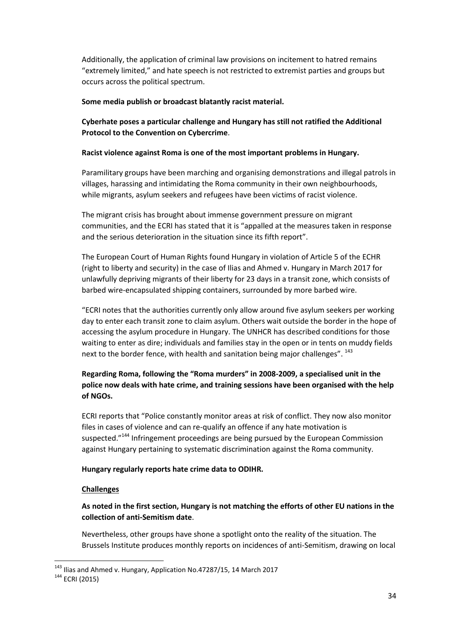Additionally, the application of criminal law provisions on incitement to hatred remains "extremely limited," and hate speech is not restricted to extremist parties and groups but occurs across the political spectrum.

#### **Some media publish or broadcast blatantly racist material.**

**Cyberhate poses a particular challenge and Hungary has still not ratified the Additional Protocol to the Convention on Cybercrime**.

#### **Racist violence against Roma is one of the most important problems in Hungary.**

Paramilitary groups have been marching and organising demonstrations and illegal patrols in villages, harassing and intimidating the Roma community in their own neighbourhoods, while migrants, asylum seekers and refugees have been victims of racist violence.

The migrant crisis has brought about immense government pressure on migrant communities, and the ECRI has stated that it is "appalled at the measures taken in response and the serious deterioration in the situation since its fifth report".

The European Court of Human Rights found Hungary in violation of Article 5 of the ECHR (right to liberty and security) in the case of Ilias and Ahmed v. Hungary in March 2017 for unlawfully depriving migrants of their liberty for 23 days in a transit zone, which consists of barbed wire-encapsulated shipping containers, surrounded by more barbed wire.

"ECRI notes that the authorities currently only allow around five asylum seekers per working day to enter each transit zone to claim asylum. Others wait outside the border in the hope of accessing the asylum procedure in Hungary. The UNHCR has described conditions for those waiting to enter as dire; individuals and families stay in the open or in tents on muddy fields next to the border fence, with health and sanitation being major challenges". <sup>143</sup>

## **Regarding Roma, following the "Roma murders" in 2008-2009, a specialised unit in the police now deals with hate crime, and training sessions have been organised with the help of NGOs.**

ECRI reports that "Police constantly monitor areas at risk of conflict. They now also monitor files in cases of violence and can re-qualify an offence if any hate motivation is suspected."<sup>144</sup> Infringement proceedings are being pursued by the European Commission against Hungary pertaining to systematic discrimination against the Roma community.

#### **Hungary regularly reports hate crime data to ODIHR.**

#### **Challenges**

## **As noted in the first section, Hungary is not matching the efforts of other EU nations in the collection of anti-Semitism date**.

Nevertheless, other groups have shone a spotlight onto the reality of the situation. The Brussels Institute produces monthly reports on incidences of anti-Semitism, drawing on local

<sup>&</sup>lt;sup>143</sup> Ilias and Ahmed v. Hungary, Application No.47287/15, 14 March 2017

<sup>144</sup> ECRI (2015)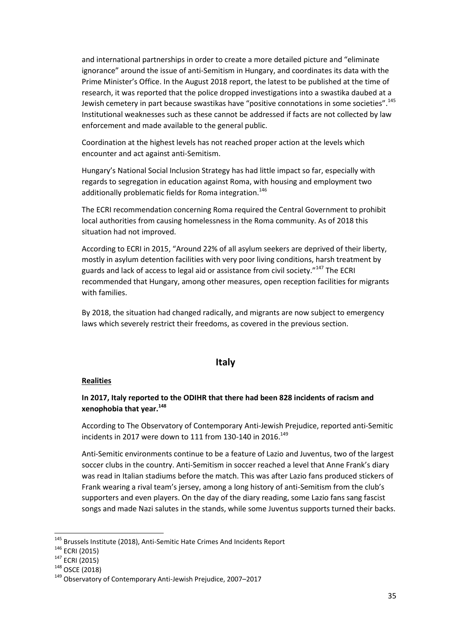and international partnerships in order to create a more detailed picture and "eliminate ignorance" around the issue of anti-Semitism in Hungary, and coordinates its data with the Prime Minister's Office. In the August 2018 report, the latest to be published at the time of research, it was reported that the police dropped investigations into a swastika daubed at a Jewish cemetery in part because swastikas have "positive connotations in some societies".<sup>145</sup> Institutional weaknesses such as these cannot be addressed if facts are not collected by law enforcement and made available to the general public.

Coordination at the highest levels has not reached proper action at the levels which encounter and act against anti-Semitism.

Hungary's National Social Inclusion Strategy has had little impact so far, especially with regards to segregation in education against Roma, with housing and employment two additionally problematic fields for Roma integration.<sup>146</sup>

The ECRI recommendation concerning Roma required the Central Government to prohibit local authorities from causing homelessness in the Roma community. As of 2018 this situation had not improved.

According to ECRI in 2015, "Around 22% of all asylum seekers are deprived of their liberty, mostly in asylum detention facilities with very poor living conditions, harsh treatment by guards and lack of access to legal aid or assistance from civil society."<sup>147</sup> The ECRI recommended that Hungary, among other measures, open reception facilities for migrants with families.

By 2018, the situation had changed radically, and migrants are now subject to emergency laws which severely restrict their freedoms, as covered in the previous section.

## **Italy**

#### **Realities**

#### **In 2017, Italy reported to the ODIHR that there had been 828 incidents of racism and xenophobia that year.<sup>148</sup>**

According to The Observatory of Contemporary Anti-Jewish Prejudice, reported anti-Semitic incidents in 2017 were down to 111 from 130-140 in 2016.<sup>149</sup>

Anti-Semitic environments continue to be a feature of Lazio and Juventus, two of the largest soccer clubs in the country. Anti-Semitism in soccer reached a level that Anne Frank's diary was read in Italian stadiums before the match. This was after Lazio fans produced stickers of Frank wearing a rival team's jersey, among a long history of anti-Semitism from the club's supporters and even players. On the day of the diary reading, some Lazio fans sang fascist songs and made Nazi salutes in the stands, while some Juventus supports turned their backs.

<sup>&</sup>lt;sup>145</sup> Brussels Institute (2018), Anti-Semitic Hate Crimes And Incidents Report

<sup>146</sup> ECRI (2015)

 $147$  ECRI (2015)

<sup>148</sup> OSCE (2018)

<sup>149</sup> Observatory of Contemporary Anti-Jewish Prejudice, 2007–2017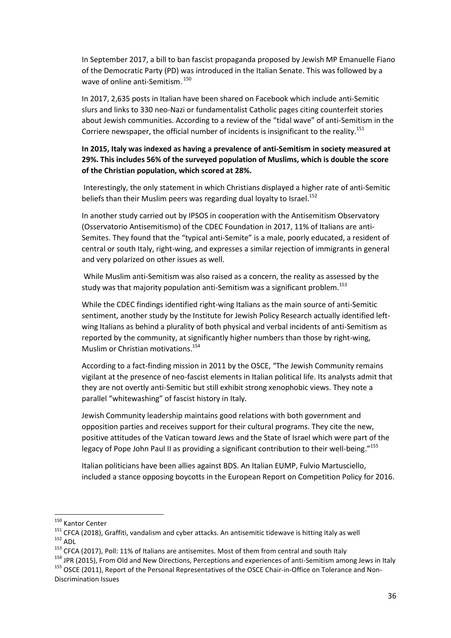In September 2017, a bill to ban fascist propaganda proposed by Jewish MP Emanuelle Fiano of the Democratic Party (PD) was introduced in the Italian Senate. This was followed by a wave of online anti-Semitism.<sup>150</sup>

In 2017, 2,635 posts in Italian have been shared on Facebook which include anti-Semitic slurs and links to 330 neo-Nazi or fundamentalist Catholic pages citing counterfeit stories about Jewish communities. According to a review of the "tidal wave" of anti-Semitism in the Corriere newspaper, the official number of incidents is insignificant to the reality.<sup>151</sup>

### **In 2015, Italy was indexed as having a prevalence of anti-Semitism in society measured at 29%. This includes 56% of the surveyed population of Muslims, which is double the score of the Christian population, which scored at 28%.**

Interestingly, the only statement in which Christians displayed a higher rate of anti-Semitic beliefs than their Muslim peers was regarding dual loyalty to Israel.<sup>152</sup>

In another study carried out by IPSOS in cooperation with the Antisemitism Observatory (Osservatorio Antisemitismo) of the CDEC Foundation in 2017, 11% of Italians are anti-Semites. They found that the "typical anti-Semite" is a male, poorly educated, a resident of central or south Italy, right-wing, and expresses a similar rejection of immigrants in general and very polarized on other issues as well.

While Muslim anti-Semitism was also raised as a concern, the reality as assessed by the study was that majority population anti-Semitism was a significant problem.<sup>153</sup>

While the CDEC findings identified right-wing Italians as the main source of anti-Semitic sentiment, another study by the Institute for Jewish Policy Research actually identified leftwing Italians as behind a plurality of both physical and verbal incidents of anti-Semitism as reported by the community, at significantly higher numbers than those by right-wing, Muslim or Christian motivations.<sup>154</sup>

According to a fact-finding mission in 2011 by the OSCE, "The Jewish Community remains vigilant at the presence of neo-fascist elements in Italian political life. Its analysts admit that they are not overtly anti-Semitic but still exhibit strong xenophobic views. They note a parallel "whitewashing" of fascist history in Italy.

Jewish Community leadership maintains good relations with both government and opposition parties and receives support for their cultural programs. They cite the new, positive attitudes of the Vatican toward Jews and the State of Israel which were part of the legacy of Pope John Paul II as providing a significant contribution to their well-being."<sup>155</sup>

Italian politicians have been allies against BDS. An Italian EUMP, Fulvio Martusciello, included a stance opposing boycotts in the European Report on Competition Policy for 2016.

<sup>&</sup>lt;sup>150</sup> Kantor Center

<sup>151</sup> CFCA (2018), Graffiti, vandalism and cyber attacks. An antisemitic tidewave is hitting Italy as well  $152$  ADL

<sup>&</sup>lt;sup>153</sup> CFCA (2017), Poll: 11% of Italians are antisemites. Most of them from central and south Italy

<sup>154</sup> JPR (2015), From Old and New Directions, Perceptions and experiences of anti-Semitism among Jews in Italy <sup>155</sup> OSCE (2011), Report of the Personal Representatives of the OSCE Chair-in-Office on Tolerance and Non-

Discrimination Issues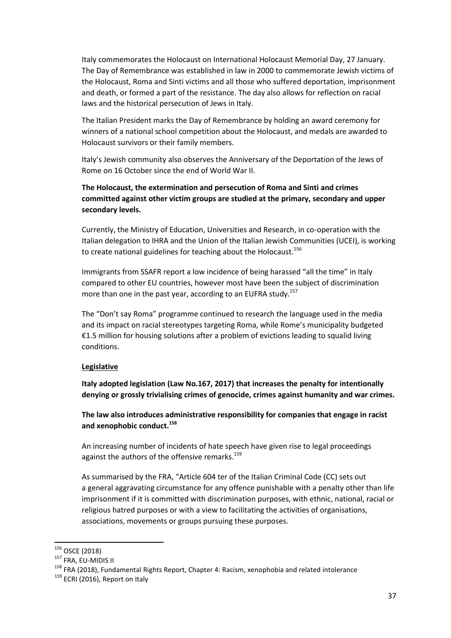Italy commemorates the Holocaust on International Holocaust Memorial Day, 27 January. The Day of Remembrance was established in law in 2000 to commemorate Jewish victims of the Holocaust, Roma and Sinti victims and all those who suffered deportation, imprisonment and death, or formed a part of the resistance. The day also allows for reflection on racial laws and the historical persecution of Jews in Italy.

The Italian President marks the Day of Remembrance by holding an award ceremony for winners of a national school competition about the Holocaust, and medals are awarded to Holocaust survivors or their family members.

Italy's Jewish community also observes the Anniversary of the Deportation of the Jews of Rome on 16 October since the end of World War II.

## **The Holocaust, the extermination and persecution of Roma and Sinti and crimes committed against other victim groups are studied at the primary, secondary and upper secondary levels.**

Currently, the Ministry of Education, Universities and Research, in co-operation with the Italian delegation to IHRA and the Union of the Italian Jewish Communities (UCEI), is working to create national guidelines for teaching about the Holocaust.<sup>156</sup>

Immigrants from SSAFR report a low incidence of being harassed "all the time" in Italy compared to other EU countries, however most have been the subject of discrimination more than one in the past year, according to an EUFRA study.<sup>157</sup>

The "Don't say Roma" programme continued to research the language used in the media and its impact on racial stereotypes targeting Roma, while Rome's municipality budgeted €1.5 million for housing solutions after a problem of evictions leading to squalid living conditions.

#### **Legislative**

**Italy adopted legislation (Law No.167, 2017) that increases the penalty for intentionally denying or grossly trivialising crimes of genocide, crimes against humanity and war crimes.**

**The law also introduces administrative responsibility for companies that engage in racist and xenophobic conduct. 158**

An increasing number of incidents of hate speech have given rise to legal proceedings against the authors of the offensive remarks.<sup>159</sup>

As summarised by the FRA, "Article 604 ter of the Italian Criminal Code (CC) sets out a general aggravating circumstance for any offence punishable with a penalty other than life imprisonment if it is committed with discrimination purposes, with ethnic, national, racial or religious hatred purposes or with a view to facilitating the activities of organisations, associations, movements or groups pursuing these purposes.

<sup>156</sup> OSCE (2018)

<sup>&</sup>lt;sup>157</sup> FRA, EU-MIDIS II

<sup>158</sup> FRA (2018), Fundamental Rights Report, Chapter 4: Racism, xenophobia and related intolerance

<sup>&</sup>lt;sup>159</sup> ECRI (2016), Report on Italy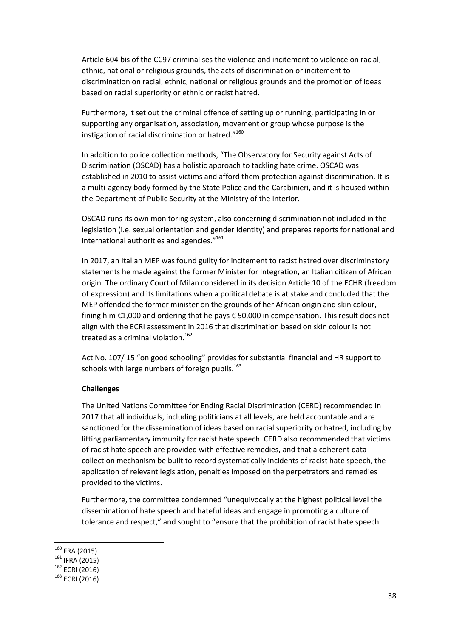Article 604 bis of the CC97 criminalises the violence and incitement to violence on racial, ethnic, national or religious grounds, the acts of discrimination or incitement to discrimination on racial, ethnic, national or religious grounds and the promotion of ideas based on racial superiority or ethnic or racist hatred.

Furthermore, it set out the criminal offence of setting up or running, participating in or supporting any organisation, association, movement or group whose purpose is the instigation of racial discrimination or hatred."<sup>160</sup>

In addition to police collection methods, "The Observatory for Security against Acts of Discrimination (OSCAD) has a holistic approach to tackling hate crime. OSCAD was established in 2010 to assist victims and afford them protection against discrimination. It is a multi-agency body formed by the State Police and the Carabinieri, and it is housed within the Department of Public Security at the Ministry of the Interior.

OSCAD runs its own monitoring system, also concerning discrimination not included in the legislation (i.e. sexual orientation and gender identity) and prepares reports for national and international authorities and agencies."<sup>161</sup>

In 2017, an Italian MEP was found guilty for incitement to racist hatred over discriminatory statements he made against the former Minister for Integration, an Italian citizen of African origin. The ordinary Court of Milan considered in its decision Article 10 of the ECHR (freedom of expression) and its limitations when a political debate is at stake and concluded that the MEP offended the former minister on the grounds of her African origin and skin colour, fining him €1,000 and ordering that he pays € 50,000 in compensation. This result does not align with the ECRI assessment in 2016 that discrimination based on skin colour is not treated as a criminal violation.<sup>162</sup>

Act No. 107/ 15 "on good schooling" provides for substantial financial and HR support to schools with large numbers of foreign pupils.<sup>163</sup>

#### **Challenges**

The United Nations Committee for Ending Racial Discrimination (CERD) recommended in 2017 that all individuals, including politicians at all levels, are held accountable and are sanctioned for the dissemination of ideas based on racial superiority or hatred, including by lifting parliamentary immunity for racist hate speech. CERD also recommended that victims of racist hate speech are provided with effective remedies, and that a coherent data collection mechanism be built to record systematically incidents of racist hate speech, the application of relevant legislation, penalties imposed on the perpetrators and remedies provided to the victims.

Furthermore, the committee condemned "unequivocally at the highest political level the dissemination of hate speech and hateful ideas and engage in promoting a culture of tolerance and respect," and sought to "ensure that the prohibition of racist hate speech

<sup>&</sup>lt;sup>160</sup> FRA (2015)

<sup>161</sup> IFRA (2015)

<sup>&</sup>lt;sup>162</sup> ECRI (2016)

<sup>163</sup> ECRI (2016)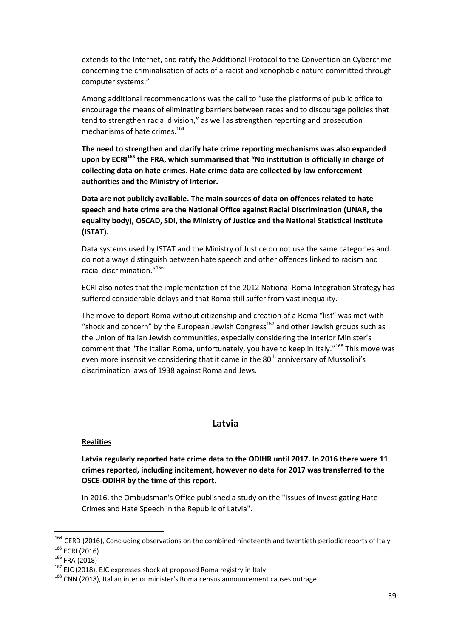extends to the Internet, and ratify the Additional Protocol to the Convention on Cybercrime concerning the criminalisation of acts of a racist and xenophobic nature committed through computer systems."

Among additional recommendations was the call to "use the platforms of public office to encourage the means of eliminating barriers between races and to discourage policies that tend to strengthen racial division," as well as strengthen reporting and prosecution mechanisms of hate crimes.<sup>164</sup>

**The need to strengthen and clarify hate crime reporting mechanisms was also expanded upon by ECRI<sup>165</sup> the FRA, which summarised that "No institution is officially in charge of collecting data on hate crimes. Hate crime data are collected by law enforcement authorities and the Ministry of Interior.**

**Data are not publicly available. The main sources of data on offences related to hate speech and hate crime are the National Office against Racial Discrimination (UNAR, the equality body), OSCAD, SDI, the Ministry of Justice and the National Statistical Institute (ISTAT).**

Data systems used by ISTAT and the Ministry of Justice do not use the same categories and do not always distinguish between hate speech and other offences linked to racism and racial discrimination."<sup>166</sup>

ECRI also notes that the implementation of the 2012 National Roma Integration Strategy has suffered considerable delays and that Roma still suffer from vast inequality.

The move to deport Roma without citizenship and creation of a Roma "list" was met with "shock and concern" by the European Jewish Congress<sup>167</sup> and other Jewish groups such as the Union of Italian Jewish communities, especially considering the Interior Minister's comment that "The Italian Roma, unfortunately, you have to keep in Italy."<sup>168</sup> This move was even more insensitive considering that it came in the 80<sup>th</sup> anniversary of Mussolini's discrimination laws of 1938 against Roma and Jews.

#### **Latvia**

#### **Realities**

**Latvia regularly reported hate crime data to the ODIHR until 2017. In 2016 there were 11 crimes reported, including incitement, however no data for 2017 was transferred to the OSCE-ODIHR by the time of this report.**

In 2016, the Ombudsman's Office published a study on the "Issues of Investigating Hate Crimes and Hate Speech in the Republic of Latvia".

<sup>&</sup>lt;sup>164</sup> CERD (2016), Concluding observations on the combined nineteenth and twentieth periodic reports of Italy

<sup>165</sup> ECRI (2016)

<sup>166</sup> FRA (2018)

 $167$  EJC (2018), EJC expresses shock at proposed Roma registry in Italy

<sup>&</sup>lt;sup>168</sup> CNN (2018), Italian interior minister's Roma census announcement causes outrage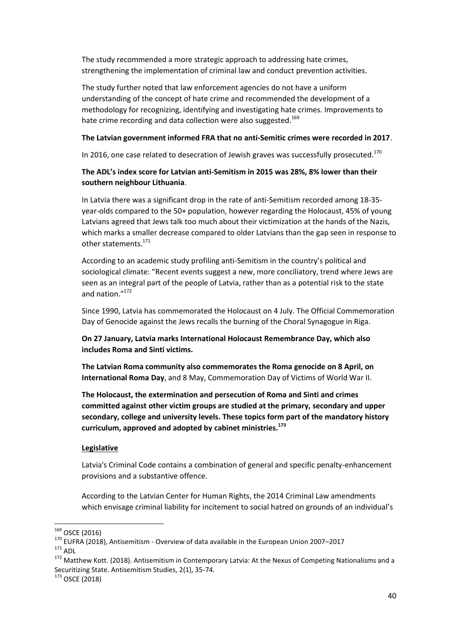The study recommended a more strategic approach to addressing hate crimes, strengthening the implementation of criminal law and conduct prevention activities.

The study further noted that law enforcement agencies do not have a uniform understanding of the concept of hate crime and recommended the development of a methodology for recognizing, identifying and investigating hate crimes. Improvements to hate crime recording and data collection were also suggested.<sup>169</sup>

#### **The Latvian government informed FRA that no anti-Semitic crimes were recorded in 2017**.

In 2016, one case related to desecration of Jewish graves was successfully prosecuted.<sup>170</sup>

#### **The ADL's index score for Latvian anti-Semitism in 2015 was 28%, 8% lower than their southern neighbour Lithuania**.

In Latvia there was a significant drop in the rate of anti-Semitism recorded among 18-35 year-olds compared to the 50+ population, however regarding the Holocaust, 45% of young Latvians agreed that Jews talk too much about their victimization at the hands of the Nazis, which marks a smaller decrease compared to older Latvians than the gap seen in response to other statements.<sup>171</sup>

According to an academic study profiling anti-Semitism in the country's political and sociological climate: "Recent events suggest a new, more conciliatory, trend where Jews are seen as an integral part of the people of Latvia, rather than as a potential risk to the state and nation."<sup>172</sup>

Since 1990, Latvia has commemorated the Holocaust on 4 July. The Official Commemoration Day of Genocide against the Jews recalls the burning of the Choral Synagogue in Riga.

**On 27 January, Latvia marks International Holocaust Remembrance Day, which also includes Roma and Sinti victims.**

**The Latvian Roma community also commemorates the Roma genocide on 8 April, on International Roma Day**, and 8 May, Commemoration Day of Victims of World War II.

**The Holocaust, the extermination and persecution of Roma and Sinti and crimes committed against other victim groups are studied at the primary, secondary and upper secondary, college and university levels. These topics form part of the mandatory history curriculum, approved and adopted by cabinet ministries.<sup>173</sup>**

#### **Legislative**

Latvia's Criminal Code contains a combination of general and specific penalty-enhancement provisions and a substantive offence.

According to the Latvian Center for Human Rights, the 2014 Criminal Law amendments which envisage criminal liability for incitement to social hatred on grounds of an individual's

 $169$  OSCE (2016)

<sup>170</sup> EUFRA (2018), Antisemitism - Overview of data available in the European Union 2007–2017

 $171$  ADL

<sup>172</sup> Matthew Kott. (2018). Antisemitism in Contemporary Latvia: At the Nexus of Competing Nationalisms and a Securitizing State. Antisemitism Studies, 2(1), 35-74.

<sup>173</sup> OSCE (2018)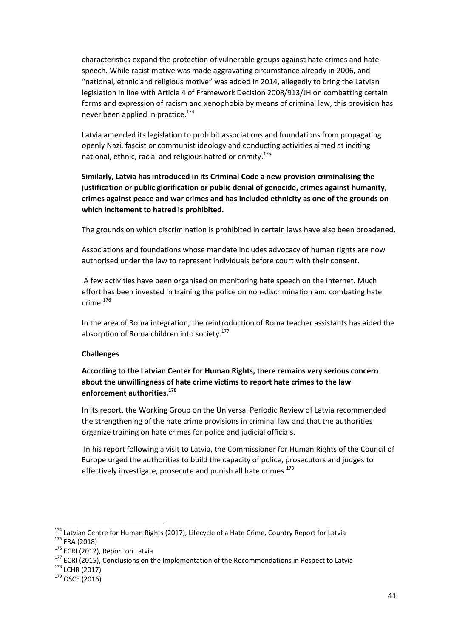characteristics expand the protection of vulnerable groups against hate crimes and hate speech. While racist motive was made aggravating circumstance already in 2006, and "national, ethnic and religious motive" was added in 2014, allegedly to bring the Latvian legislation in line with Article 4 of Framework Decision 2008/913/JH on combatting certain forms and expression of racism and xenophobia by means of criminal law, this provision has never been applied in practice.<sup>174</sup>

Latvia amended its legislation to prohibit associations and foundations from propagating openly Nazi, fascist or communist ideology and conducting activities aimed at inciting national, ethnic, racial and religious hatred or enmity.<sup>175</sup>

## **Similarly, Latvia has introduced in its Criminal Code a new provision criminalising the justification or public glorification or public denial of genocide, crimes against humanity, crimes against peace and war crimes and has included ethnicity as one of the grounds on which incitement to hatred is prohibited.**

The grounds on which discrimination is prohibited in certain laws have also been broadened.

Associations and foundations whose mandate includes advocacy of human rights are now authorised under the law to represent individuals before court with their consent.

A few activities have been organised on monitoring hate speech on the Internet. Much effort has been invested in training the police on non-discrimination and combating hate crime. $176$ 

In the area of Roma integration, the reintroduction of Roma teacher assistants has aided the absorption of Roma children into society.<sup>177</sup>

#### **Challenges**

**According to the Latvian Center for Human Rights, there remains very serious concern about the unwillingness of hate crime victims to report hate crimes to the law enforcement authorities.<sup>178</sup>**

In its report, the Working Group on the Universal Periodic Review of Latvia recommended the strengthening of the hate crime provisions in criminal law and that the authorities organize training on hate crimes for police and judicial officials.

In his report following a visit to Latvia, the Commissioner for Human Rights of the Council of Europe urged the authorities to build the capacity of police, prosecutors and judges to effectively investigate, prosecute and punish all hate crimes.<sup>179</sup>

<sup>&</sup>lt;sup>174</sup> Latvian Centre for Human Rights (2017), Lifecycle of a Hate Crime, Country Report for Latvia

<sup>175</sup> FRA (2018)

<sup>176</sup> ECRI (2012), Report on Latvia

<sup>177</sup> ECRI (2015), Conclusions on the Implementation of the Recommendations in Respect to Latvia

 $178$  LCHR (2017)

 $179$  OSCE (2016)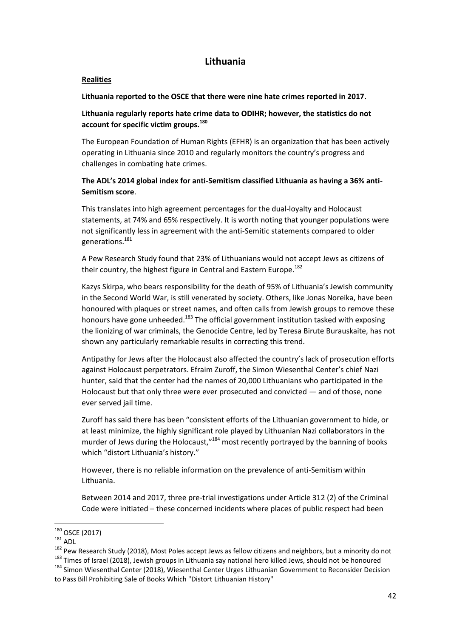## **Lithuania**

#### **Realities**

**Lithuania reported to the OSCE that there were nine hate crimes reported in 2017**.

**Lithuania regularly reports hate crime data to ODIHR; however, the statistics do not account for specific victim groups.<sup>180</sup>**

The European Foundation of Human Rights (EFHR) is an organization that has been actively operating in Lithuania since 2010 and regularly monitors the country's progress and challenges in combating hate crimes.

#### **The ADL's 2014 global index for anti-Semitism classified Lithuania as having a 36% anti-Semitism score**.

This translates into high agreement percentages for the dual-loyalty and Holocaust statements, at 74% and 65% respectively. It is worth noting that younger populations were not significantly less in agreement with the anti-Semitic statements compared to older generations.<sup>181</sup>

A Pew Research Study found that 23% of Lithuanians would not accept Jews as citizens of their country, the highest figure in Central and Eastern Europe.<sup>182</sup>

Kazys Skirpa, who bears responsibility for the death of 95% of Lithuania's Jewish community in the Second World War, is still venerated by society. Others, like Jonas Noreika, have been honoured with plaques or street names, and often calls from Jewish groups to remove these honours have gone unheeded.<sup>183</sup> The official government institution tasked with exposing the lionizing of war criminals, the Genocide Centre, led by Teresa Birute Burauskaite, has not shown any particularly remarkable results in correcting this trend.

Antipathy for Jews after the Holocaust also affected the country's lack of prosecution efforts against Holocaust perpetrators. Efraim Zuroff, the Simon Wiesenthal Center's chief Nazi hunter, said that the center had the names of 20,000 Lithuanians who participated in the Holocaust but that only three were ever prosecuted and convicted — and of those, none ever served jail time.

Zuroff has said there has been "consistent efforts of the Lithuanian government to hide, or at least minimize, the highly significant role played by Lithuanian Nazi collaborators in the murder of Jews during the Holocaust,"<sup>184</sup> most recently portrayed by the banning of books which "distort Lithuania's history."

However, there is no reliable information on the prevalence of anti-Semitism within Lithuania.

Between 2014 and 2017, three pre-trial investigations under Article 312 (2) of the Criminal Code were initiated – these concerned incidents where places of public respect had been

**.** 

<sup>184</sup> Simon Wiesenthal Center (2018), Wiesenthal Center Urges Lithuanian Government to Reconsider Decision to Pass Bill Prohibiting Sale of Books Which "Distort Lithuanian History"

 $180$  OSCE (2017)

 $181$  ADL

<sup>&</sup>lt;sup>182</sup> Pew Research Study (2018), Most Poles accept Jews as fellow citizens and neighbors, but a minority do not

<sup>183</sup> Times of Israel (2018), Jewish groups in Lithuania say national hero killed Jews, should not be honoured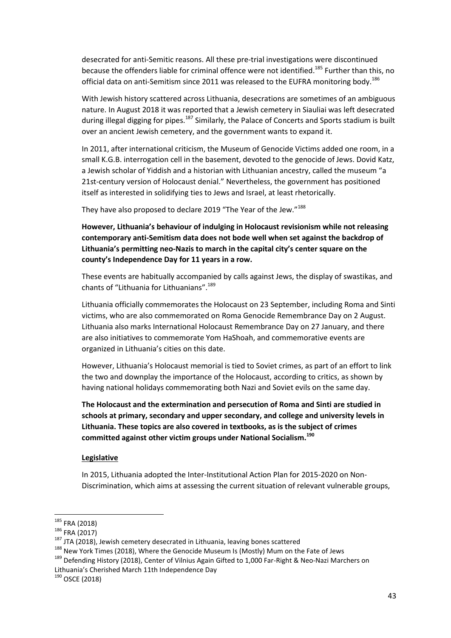desecrated for anti-Semitic reasons. All these pre-trial investigations were discontinued because the offenders liable for criminal offence were not identified.<sup>185</sup> Further than this, no official data on anti-Semitism since 2011 was released to the EUFRA monitoring body.<sup>186</sup>

With Jewish history scattered across Lithuania, desecrations are sometimes of an ambiguous nature. In August 2018 it was reported that a Jewish cemetery in Siauliai was left desecrated during illegal digging for pipes.<sup>187</sup> Similarly, the Palace of Concerts and Sports stadium is built over an ancient Jewish cemetery, and the government wants to expand it.

In 2011, after international criticism, the Museum of Genocide Victims added one room, in a small K.G.B. interrogation cell in the basement, devoted to the genocide of Jews. Dovid Katz, a Jewish scholar of Yiddish and a historian with Lithuanian ancestry, called the museum "a 21st-century version of Holocaust denial." Nevertheless, the government has positioned itself as interested in solidifying ties to Jews and Israel, at least rhetorically.

They have also proposed to declare 2019 "The Year of the Jew."<sup>188</sup>

**However, Lithuania's behaviour of indulging in Holocaust revisionism while not releasing contemporary anti-Semitism data does not bode well when set against the backdrop of Lithuania's permitting neo-Nazis to march in the capital city's center square on the county's Independence Day for 11 years in a row.** 

These events are habitually accompanied by calls against Jews, the display of swastikas, and chants of "Lithuania for Lithuanians".<sup>189</sup>

Lithuania officially commemorates the Holocaust on 23 September, including Roma and Sinti victims, who are also commemorated on Roma Genocide Remembrance Day on 2 August. Lithuania also marks International Holocaust Remembrance Day on 27 January, and there are also initiatives to commemorate Yom HaShoah, and commemorative events are organized in Lithuania's cities on this date.

However, Lithuania's Holocaust memorial is tied to Soviet crimes, as part of an effort to link the two and downplay the importance of the Holocaust, according to critics, as shown by having national holidays commemorating both Nazi and Soviet evils on the same day.

**The Holocaust and the extermination and persecution of Roma and Sinti are studied in schools at primary, secondary and upper secondary, and college and university levels in Lithuania. These topics are also covered in textbooks, as is the subject of crimes committed against other victim groups under National Socialism.<sup>190</sup>**

#### **Legislative**

In 2015, Lithuania adopted the Inter-Institutional Action Plan for 2015-2020 on Non-Discrimination, which aims at assessing the current situation of relevant vulnerable groups,

 $\overline{\phantom{a}}$ 

 $^{185}$  FRA (2018)

<sup>186</sup> FRA (2017)

 $187$  JTA (2018), Jewish cemetery desecrated in Lithuania, leaving bones scattered

<sup>188</sup> New York Times (2018), Where the Genocide Museum Is (Mostly) Mum on the Fate of Jews

<sup>&</sup>lt;sup>189</sup> Defending History (2018), Center of Vilnius Again Gifted to 1,000 Far-Right & Neo-Nazi Marchers on Lithuania's Cherished March 11th Independence Day

 $190$  OSCE (2018)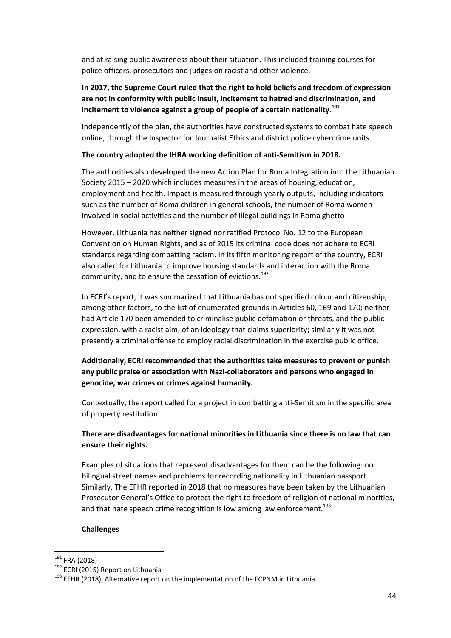and at raising public awareness about their situation. This included training courses for police officers, prosecutors and judges on racist and other violence.

## **In 2017, the Supreme Court ruled that the right to hold beliefs and freedom of expression are not in conformity with public insult, incitement to hatred and discrimination, and incitement to violence against a group of people of a certain nationality. 191**

Independently of the plan, the authorities have constructed systems to combat hate speech online, through the Inspector for Journalist Ethics and district police cybercrime units.

#### **The country adopted the IHRA working definition of anti-Semitism in 2018.**

The authorities also developed the new Action Plan for Roma Integration into the Lithuanian Society 2015 – 2020 which includes measures in the areas of housing, education, employment and health. Impact is measured through yearly outputs, including indicators such as the number of Roma children in general schools, the number of Roma women involved in social activities and the number of illegal buildings in Roma ghetto

However, Lithuania has neither signed nor ratified Protocol No. 12 to the European Convention on Human Rights, and as of 2015 its criminal code does not adhere to ECRI standards regarding combatting racism. In its fifth monitoring report of the country, ECRI also called for Lithuania to improve housing standards and interaction with the Roma community, and to ensure the cessation of evictions.<sup>192</sup>

In ECRI's report, it was summarized that Lithuania has not specified colour and citizenship, among other factors, to the list of enumerated grounds in Articles 60, 169 and 170; neither had Article 170 been amended to criminalise public defamation or threats, and the public expression, with a racist aim, of an ideology that claims superiority; similarly it was not presently a criminal offense to employ racial discrimination in the exercise public office.

**Additionally, ECRI recommended that the authorities take measures to prevent or punish any public praise or association with Nazi-collaborators and persons who engaged in genocide, war crimes or crimes against humanity.**

Contextually, the report called for a project in combatting anti-Semitism in the specific area of property restitution.

#### **There are disadvantages for national minorities in Lithuania since there is no law that can ensure their rights.**

Examples of situations that represent disadvantages for them can be the following: no bilingual street names and problems for recording nationality in Lithuanian passport. Similarly, The EFHR reported in 2018 that no measures have been taken by the Lithuanian Prosecutor General's Office to protect the right to freedom of religion of national minorities, and that hate speech crime recognition is low among law enforcement.<sup>193</sup>

#### **Challenges**

**<sup>.</sup>**  $^{191}$  FRA (2018)

 $192$  ECRI (2015) Report on Lithuania

 $193$  EFHR (2018), Alternative report on the implementation of the FCPNM in Lithuania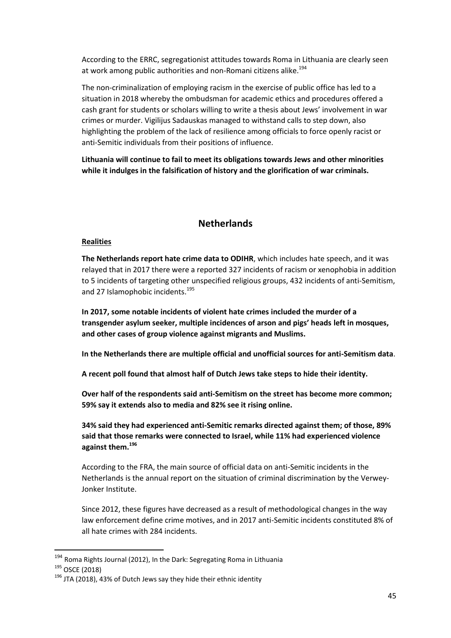According to the ERRC, segregationist attitudes towards Roma in Lithuania are clearly seen at work among public authorities and non-Romani citizens alike.<sup>194</sup>

The non-criminalization of employing racism in the exercise of public office has led to a situation in 2018 whereby the ombudsman for academic ethics and procedures offered a cash grant for students or scholars willing to write a thesis about Jews' involvement in war crimes or murder. Vigilijus Sadauskas managed to withstand calls to step down, also highlighting the problem of the lack of resilience among officials to force openly racist or anti-Semitic individuals from their positions of influence.

**Lithuania will continue to fail to meet its obligations towards Jews and other minorities while it indulges in the falsification of history and the glorification of war criminals.**

## **Netherlands**

#### **Realities**

**The Netherlands report hate crime data to ODIHR**, which includes hate speech, and it was relayed that in 2017 there were a reported 327 incidents of racism or xenophobia in addition to 5 incidents of targeting other unspecified religious groups, 432 incidents of anti-Semitism, and 27 Islamophobic incidents.<sup>195</sup>

**In 2017, some notable incidents of violent hate crimes included the murder of a transgender asylum seeker, multiple incidences of arson and pigs' heads left in mosques, and other cases of group violence against migrants and Muslims.**

**In the Netherlands there are multiple official and unofficial sources for anti-Semitism data**.

**A recent poll found that almost half of Dutch Jews take steps to hide their identity.** 

**Over half of the respondents said anti-Semitism on the street has become more common; 59% say it extends also to media and 82% see it rising online.** 

**34% said they had experienced anti-Semitic remarks directed against them; of those, 89% said that those remarks were connected to Israel, while 11% had experienced violence against them.<sup>196</sup>**

According to the FRA, the main source of official data on anti-Semitic incidents in the Netherlands is the annual report on the situation of criminal discrimination by the Verwey-Jonker Institute.

Since 2012, these figures have decreased as a result of methodological changes in the way law enforcement define crime motives, and in 2017 anti-Semitic incidents constituted 8% of all hate crimes with 284 incidents.

<sup>&</sup>lt;sup>194</sup> Roma Rights Journal (2012), In the Dark: Segregating Roma in Lithuania

<sup>195</sup> OSCE (2018)

 $196$  JTA (2018), 43% of Dutch Jews say they hide their ethnic identity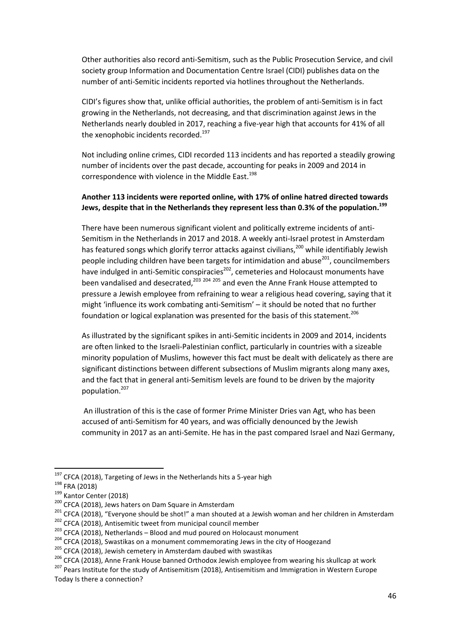Other authorities also record anti-Semitism, such as the Public Prosecution Service, and civil society group Information and Documentation Centre Israel (CIDI) publishes data on the number of anti-Semitic incidents reported via hotlines throughout the Netherlands.

CIDI's figures show that, unlike official authorities, the problem of anti-Semitism is in fact growing in the Netherlands, not decreasing, and that discrimination against Jews in the Netherlands nearly doubled in 2017, reaching a five-year high that accounts for 41% of all the xenophobic incidents recorded.<sup>197</sup>

Not including online crimes, CIDI recorded 113 incidents and has reported a steadily growing number of incidents over the past decade, accounting for peaks in 2009 and 2014 in correspondence with violence in the Middle East.<sup>198</sup>

## **Another 113 incidents were reported online, with 17% of online hatred directed towards Jews, despite that in the Netherlands they represent less than 0.3% of the population. 199**

There have been numerous significant violent and politically extreme incidents of anti-Semitism in the Netherlands in 2017 and 2018. A weekly anti-Israel protest in Amsterdam has featured songs which glorify terror attacks against civilians,<sup>200</sup> while identifiably Jewish people including children have been targets for intimidation and abuse $^{201}$ , councilmembers have indulged in anti-Semitic conspiracies<sup>202</sup>, cemeteries and Holocaust monuments have been vandalised and desecrated,<sup>203</sup> <sup>204</sup> <sup>205</sup> and even the Anne Frank House attempted to pressure a Jewish employee from refraining to wear a religious head covering, saying that it might 'influence its work combating anti-Semitism' – it should be noted that no further foundation or logical explanation was presented for the basis of this statement.<sup>206</sup>

As illustrated by the significant spikes in anti-Semitic incidents in 2009 and 2014, incidents are often linked to the Israeli-Palestinian conflict, particularly in countries with a sizeable minority population of Muslims, however this fact must be dealt with delicately as there are significant distinctions between different subsections of Muslim migrants along many axes, and the fact that in general anti-Semitism levels are found to be driven by the majority population. 207

An illustration of this is the case of former Prime Minister Dries van Agt, who has been accused of anti-Semitism for 40 years, and was officially denounced by the Jewish community in 2017 as an anti-Semite. He has in the past compared Israel and Nazi Germany,

 $\overline{\phantom{a}}$ 

206 CFCA (2018), Anne Frank House banned Orthodox Jewish employee from wearing his skullcap at work

<sup>207</sup> Pears Institute for the study of Antisemitism (2018), Antisemitism and Immigration in Western Europe Today Is there a connection?

<sup>&</sup>lt;sup>197</sup> CFCA (2018), Targeting of Jews in the Netherlands hits a 5-year high

<sup>198</sup> FRA (2018)

<sup>199</sup> Kantor Center (2018)

<sup>200</sup> CFCA (2018), Jews haters on Dam Square in Amsterdam

<sup>&</sup>lt;sup>201</sup> CFCA (2018), "Everyone should be shot!" a man shouted at a Jewish woman and her children in Amsterdam

<sup>&</sup>lt;sup>202</sup> CFCA (2018), Antisemitic tweet from municipal council member

<sup>203</sup> CFCA (2018), Netherlands – Blood and mud poured on Holocaust monument

<sup>&</sup>lt;sup>204</sup> CFCA (2018), Swastikas on a monument commemorating Jews in the city of Hoogezand

<sup>&</sup>lt;sup>205</sup> CFCA (2018), Jewish cemetery in Amsterdam daubed with swastikas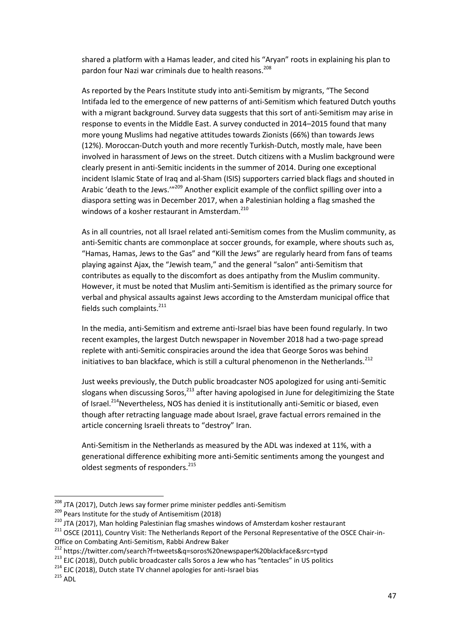shared a platform with a Hamas leader, and cited his "Aryan" roots in explaining his plan to pardon four Nazi war criminals due to health reasons.<sup>208</sup>

As reported by the Pears Institute study into anti-Semitism by migrants, "The Second Intifada led to the emergence of new patterns of anti-Semitism which featured Dutch youths with a migrant background. Survey data suggests that this sort of anti-Semitism may arise in response to events in the Middle East. A survey conducted in 2014–2015 found that many more young Muslims had negative attitudes towards Zionists (66%) than towards Jews (12%). Moroccan-Dutch youth and more recently Turkish-Dutch, mostly male, have been involved in harassment of Jews on the street. Dutch citizens with a Muslim background were clearly present in anti-Semitic incidents in the summer of 2014. During one exceptional incident Islamic State of Iraq and al-Sham (ISIS) supporters carried black flags and shouted in Arabic 'death to the Jews.'"<sup>209</sup> Another explicit example of the conflict spilling over into a diaspora setting was in December 2017, when a Palestinian holding a flag smashed the windows of a kosher restaurant in Amsterdam.<sup>210</sup>

As in all countries, not all Israel related anti-Semitism comes from the Muslim community, as anti-Semitic chants are commonplace at soccer grounds, for example, where shouts such as, "Hamas, Hamas, Jews to the Gas" and "Kill the Jews" are regularly heard from fans of teams playing against Ajax, the "Jewish team," and the general "salon" anti‐Semitism that contributes as equally to the discomfort as does antipathy from the Muslim community. However, it must be noted that Muslim anti-Semitism is identified as the primary source for verbal and physical assaults against Jews according to the Amsterdam municipal office that fields such complaints. $^{211}$ 

In the media, anti-Semitism and extreme anti-Israel bias have been found regularly. In two recent examples, the largest Dutch newspaper in November 2018 had a two-page spread replete with anti-Semitic conspiracies around the idea that George Soros was behind initiatives to ban blackface, which is still a cultural phenomenon in the Netherlands.<sup>212</sup>

Just weeks previously, the Dutch public broadcaster NOS apologized for using anti-Semitic slogans when discussing Soros, $^{213}$  after having apologised in June for delegitimizing the State of Israel.<sup>214</sup>Nevertheless, NOS has denied it is institutionally anti-Semitic or biased, even though after retracting language made about Israel, grave factual errors remained in the article concerning Israeli threats to "destroy" Iran.

Anti-Semitism in the Netherlands as measured by the ADL was indexed at 11%, with a generational difference exhibiting more anti-Semitic sentiments among the youngest and oldest segments of responders.<sup>215</sup>

1

<sup>&</sup>lt;sup>208</sup> JTA (2017), Dutch Jews say former prime minister peddles anti-Semitism

<sup>&</sup>lt;sup>209</sup> Pears Institute for the study of Antisemitism (2018)

<sup>&</sup>lt;sup>210</sup> JTA (2017), Man holding Palestinian flag smashes windows of Amsterdam kosher restaurant

<sup>&</sup>lt;sup>211</sup> OSCE (2011), Country Visit: The Netherlands Report of the Personal Representative of the OSCE Chair-in-Office on Combating Anti-Semitism, Rabbi Andrew Baker

<sup>212</sup> https://twitter.com/search?f=tweets&q=soros%20newspaper%20blackface&src=typd

<sup>213</sup> EJC (2018), Dutch public broadcaster calls Soros a Jew who has "tentacles" in US politics

 $214$  EJC (2018), Dutch state TV channel apologies for anti-Israel bias

 $^{215}$  ADI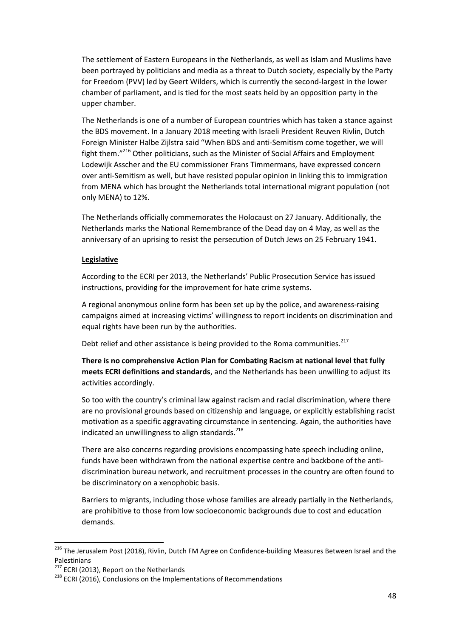The settlement of Eastern Europeans in the Netherlands, as well as Islam and Muslims have been portrayed by politicians and media as a threat to Dutch society, especially by the Party for Freedom (PVV) led by Geert Wilders, which is currently the second-largest in the lower chamber of parliament, and is tied for the most seats held by an opposition party in the upper chamber.

The Netherlands is one of a number of European countries which has taken a stance against the BDS movement. In a January 2018 meeting with Israeli President Reuven Rivlin, Dutch Foreign Minister Halbe Zijlstra said "When BDS and anti-Semitism come together, we will fight them."<sup>216</sup> Other politicians, such as the Minister of Social Affairs and Employment Lodewijk Asscher and the EU commissioner Frans Timmermans, have expressed concern over anti-Semitism as well, but have resisted popular opinion in linking this to immigration from MENA which has brought the Netherlands total international migrant population (not only MENA) to 12%.

The Netherlands officially commemorates the Holocaust on 27 January. Additionally, the Netherlands marks the National Remembrance of the Dead day on 4 May, as well as the anniversary of an uprising to resist the persecution of Dutch Jews on 25 February 1941.

#### **Legislative**

According to the ECRI per 2013, the Netherlands' Public Prosecution Service has issued instructions, providing for the improvement for hate crime systems.

A regional anonymous online form has been set up by the police, and awareness-raising campaigns aimed at increasing victims' willingness to report incidents on discrimination and equal rights have been run by the authorities.

Debt relief and other assistance is being provided to the Roma communities. $^{217}$ 

**There is no comprehensive Action Plan for Combating Racism at national level that fully meets ECRI definitions and standards**, and the Netherlands has been unwilling to adjust its activities accordingly.

So too with the country's criminal law against racism and racial discrimination, where there are no provisional grounds based on citizenship and language, or explicitly establishing racist motivation as a specific aggravating circumstance in sentencing. Again, the authorities have indicated an unwillingness to align standards. $^{218}$ 

There are also concerns regarding provisions encompassing hate speech including online, funds have been withdrawn from the national expertise centre and backbone of the antidiscrimination bureau network, and recruitment processes in the country are often found to be discriminatory on a xenophobic basis.

Barriers to migrants, including those whose families are already partially in the Netherlands, are prohibitive to those from low socioeconomic backgrounds due to cost and education demands.

<sup>&</sup>lt;sup>216</sup> The Jerusalem Post (2018), Rivlin, Dutch FM Agree on Confidence-building Measures Between Israel and the Palestinians

<sup>&</sup>lt;sup>217</sup> ECRI (2013), Report on the Netherlands

<sup>&</sup>lt;sup>218</sup> ECRI (2016), Conclusions on the Implementations of Recommendations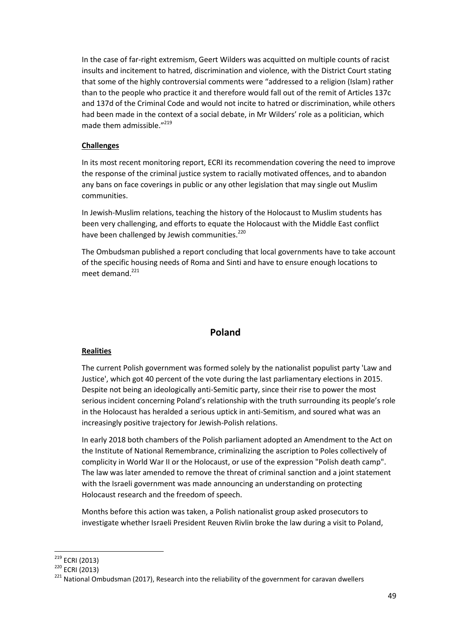In the case of far-right extremism, Geert Wilders was acquitted on multiple counts of racist insults and incitement to hatred, discrimination and violence, with the District Court stating that some of the highly controversial comments were "addressed to a religion (Islam) rather than to the people who practice it and therefore would fall out of the remit of Articles 137c and 137d of the Criminal Code and would not incite to hatred or discrimination, while others had been made in the context of a social debate, in Mr Wilders' role as a politician, which made them admissible."<sup>219</sup>

#### **Challenges**

In its most recent monitoring report, ECRI its recommendation covering the need to improve the response of the criminal justice system to racially motivated offences, and to abandon any bans on face coverings in public or any other legislation that may single out Muslim communities.

In Jewish-Muslim relations, teaching the history of the Holocaust to Muslim students has been very challenging, and efforts to equate the Holocaust with the Middle East conflict have been challenged by Jewish communities.<sup>220</sup>

The Ombudsman published a report concluding that local governments have to take account of the specific housing needs of Roma and Sinti and have to ensure enough locations to meet demand. 221

## **Poland**

#### **Realities**

The current Polish government was formed solely by the nationalist populist party 'Law and Justice', which got 40 percent of the vote during the last parliamentary elections in 2015. Despite not being an ideologically anti-Semitic party, since their rise to power the most serious incident concerning Poland's relationship with the truth surrounding its people's role in the Holocaust has heralded a serious uptick in anti-Semitism, and soured what was an increasingly positive trajectory for Jewish-Polish relations.

In early 2018 both chambers of the Polish parliament adopted an Amendment to the Act on the Institute of National Remembrance, criminalizing the ascription to Poles collectively of complicity in World War II or the Holocaust, or use of the expression "Polish death camp". The law was later amended to remove the threat of criminal sanction and a joint statement with the Israeli government was made announcing an understanding on protecting Holocaust research and the freedom of speech.

Months before this action was taken, a Polish nationalist group asked prosecutors to investigate whether Israeli President Reuven Rivlin broke the law during a visit to Poland,

<sup>&</sup>lt;sup>219</sup> ECRI (2013)

<sup>&</sup>lt;sup>220</sup> ECRI (2013)

<sup>&</sup>lt;sup>221</sup> National Ombudsman (2017), Research into the reliability of the government for caravan dwellers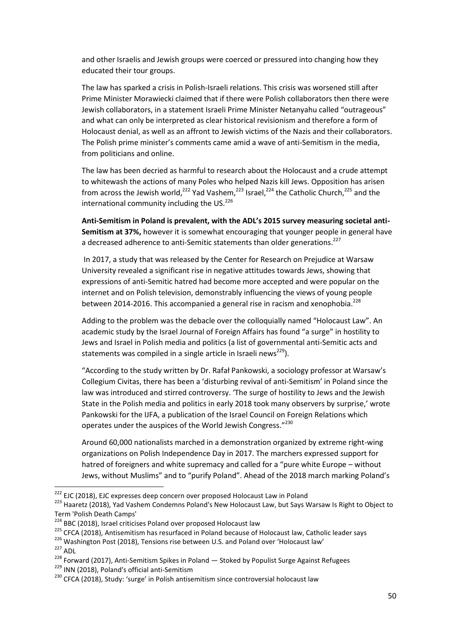and other Israelis and Jewish groups were coerced or pressured into changing how they educated their tour groups.

The law has sparked a crisis in Polish-Israeli relations. This crisis was worsened still after Prime Minister Morawiecki claimed that if there were Polish collaborators then there were Jewish collaborators, in a statement Israeli Prime Minister Netanyahu called "outrageous" and what can only be interpreted as clear historical revisionism and therefore a form of Holocaust denial, as well as an affront to Jewish victims of the Nazis and their collaborators. The Polish prime minister's comments came amid a wave of anti-Semitism in the media, from politicians and online.

The law has been decried as harmful to research about the Holocaust and a crude attempt to whitewash the actions of many Poles who helped Nazis kill Jews. Opposition has arisen from across the Jewish world,<sup>222</sup> Yad Vashem,<sup>223</sup> Israel,<sup>224</sup> the Catholic Church,<sup>225</sup> and the international community including the US.<sup>226</sup>

**Anti-Semitism in Poland is prevalent, with the ADL's 2015 survey measuring societal anti-Semitism at 37%,** however it is somewhat encouraging that younger people in general have a decreased adherence to anti-Semitic statements than older generations.<sup>227</sup>

In 2017, a study that was released by the Center for Research on Prejudice at Warsaw University revealed a significant rise in negative attitudes towards Jews, showing that expressions of anti-Semitic hatred had become more accepted and were popular on the internet and on Polish television, demonstrably influencing the views of young people between 2014-2016. This accompanied a general rise in racism and xenophobia.<sup>228</sup>

Adding to the problem was the debacle over the colloquially named "Holocaust Law". An academic study by the Israel Journal of Foreign Affairs has found "a surge" in hostility to Jews and Israel in Polish media and politics (a list of governmental anti-Semitic acts and statements was compiled in a single article in Israeli news<sup>229</sup>).

"According to the study written by Dr. Rafał Pankowski, a sociology professor at Warsaw's Collegium Civitas, there has been a 'disturbing revival of anti-Semitism' in Poland since the law was introduced and stirred controversy. 'The surge of hostility to Jews and the Jewish State in the Polish media and politics in early 2018 took many observers by surprise,' wrote Pankowski for the IJFA, a publication of the Israel Council on Foreign Relations which operates under the auspices of the World Jewish Congress."<sup>230</sup>

Around 60,000 nationalists marched in a demonstration organized by extreme right-wing organizations on Polish Independence Day in 2017. The marchers expressed support for hatred of foreigners and white supremacy and called for a "pure white Europe – without Jews, without Muslims" and to "purify Poland". Ahead of the 2018 march marking Poland's

<sup>&</sup>lt;sup>222</sup> EJC (2018), EJC expresses deep concern over proposed Holocaust Law in Poland

<sup>223</sup> Haaretz (2018), Yad Vashem Condemns Poland's New Holocaust Law, but Says Warsaw Is Right to Object to Term 'Polish Death Camps'

<sup>&</sup>lt;sup>224</sup> BBC (2018), Israel criticises Poland over proposed Holocaust law

<sup>225</sup> CFCA (2018), Antisemitism has resurfaced in Poland because of Holocaust law, Catholic leader says

<sup>&</sup>lt;sup>226</sup> Washington Post (2018), Tensions rise between U.S. and Poland over 'Holocaust law'

 $227$  ADL

<sup>228</sup> Forward (2017), Anti-Semitism Spikes in Poland — Stoked by Populist Surge Against Refugees

<sup>229</sup> INN (2018), Poland's official anti-Semitism

<sup>&</sup>lt;sup>230</sup> CFCA (2018), Study: 'surge' in Polish antisemitism since controversial holocaust law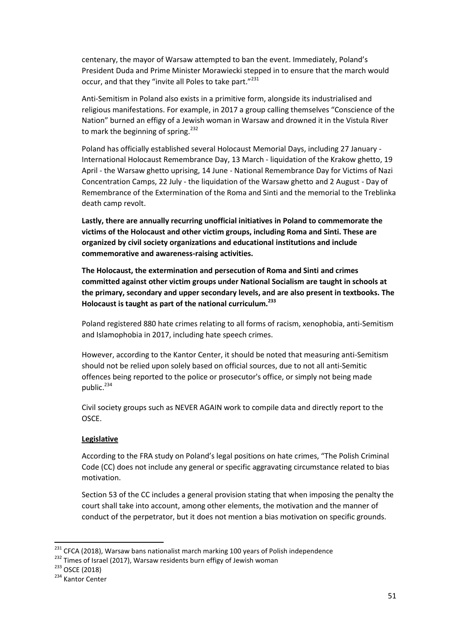centenary, the mayor of Warsaw attempted to ban the event. Immediately, Poland's President Duda and Prime Minister Morawiecki stepped in to ensure that the march would occur, and that they "invite all Poles to take part."<sup>231</sup>

Anti-Semitism in Poland also exists in a primitive form, alongside its industrialised and religious manifestations. For example, in 2017 a group calling themselves "Conscience of the Nation" burned an effigy of a Jewish woman in Warsaw and drowned it in the Vistula River to mark the beginning of spring.<sup>232</sup>

Poland has officially established several Holocaust Memorial Days, including 27 January - International Holocaust Remembrance Day, 13 March - liquidation of the Krakow ghetto, 19 April - the Warsaw ghetto uprising, 14 June - National Remembrance Day for Victims of Nazi Concentration Camps, 22 July - the liquidation of the Warsaw ghetto and 2 August - Day of Remembrance of the Extermination of the Roma and Sinti and the memorial to the Treblinka death camp revolt.

**Lastly, there are annually recurring unofficial initiatives in Poland to commemorate the victims of the Holocaust and other victim groups, including Roma and Sinti. These are organized by civil society organizations and educational institutions and include commemorative and awareness-raising activities.**

**The Holocaust, the extermination and persecution of Roma and Sinti and crimes committed against other victim groups under National Socialism are taught in schools at the primary, secondary and upper secondary levels, and are also present in textbooks. The Holocaust is taught as part of the national curriculum.<sup>233</sup>**

Poland registered 880 hate crimes relating to all forms of racism, xenophobia, anti-Semitism and Islamophobia in 2017, including hate speech crimes.

However, according to the Kantor Center, it should be noted that measuring anti-Semitism should not be relied upon solely based on official sources, due to not all anti-Semitic offences being reported to the police or prosecutor's office, or simply not being made public.<sup>234</sup>

Civil society groups such as NEVER AGAIN work to compile data and directly report to the OSCE.

#### **Legislative**

According to the FRA study on Poland's legal positions on hate crimes, "The Polish Criminal Code (CC) does not include any general or specific aggravating circumstance related to bias motivation.

Section 53 of the CC includes a general provision stating that when imposing the penalty the court shall take into account, among other elements, the motivation and the manner of conduct of the perpetrator, but it does not mention a bias motivation on specific grounds.

<sup>&</sup>lt;sup>231</sup> CFCA (2018), Warsaw bans nationalist march marking 100 years of Polish independence

<sup>232</sup> Times of Israel (2017), Warsaw residents burn effigy of Jewish woman

<sup>233</sup> OSCE (2018)

<sup>&</sup>lt;sup>234</sup> Kantor Center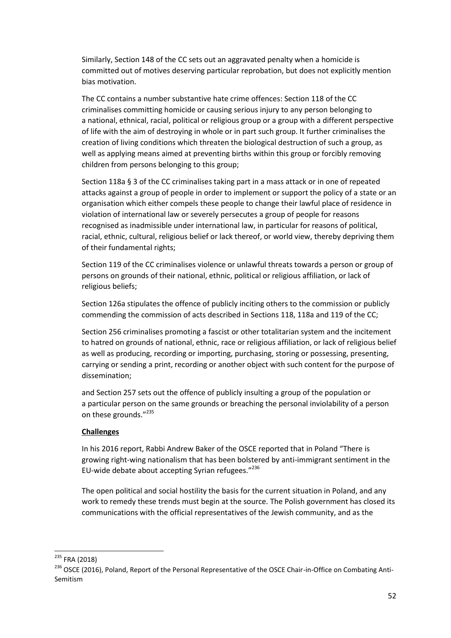Similarly, Section 148 of the CC sets out an aggravated penalty when a homicide is committed out of motives deserving particular reprobation, but does not explicitly mention bias motivation.

The CC contains a number substantive hate crime offences: Section 118 of the CC criminalises committing homicide or causing serious injury to any person belonging to a national, ethnical, racial, political or religious group or a group with a different perspective of life with the aim of destroying in whole or in part such group. It further criminalises the creation of living conditions which threaten the biological destruction of such a group, as well as applying means aimed at preventing births within this group or forcibly removing children from persons belonging to this group;

Section 118a § 3 of the CC criminalises taking part in a mass attack or in one of repeated attacks against a group of people in order to implement or support the policy of a state or an organisation which either compels these people to change their lawful place of residence in violation of international law or severely persecutes a group of people for reasons recognised as inadmissible under international law, in particular for reasons of political, racial, ethnic, cultural, religious belief or lack thereof, or world view, thereby depriving them of their fundamental rights;

Section 119 of the CC criminalises violence or unlawful threats towards a person or group of persons on grounds of their national, ethnic, political or religious affiliation, or lack of religious beliefs;

Section 126a stipulates the offence of publicly inciting others to the commission or publicly commending the commission of acts described in Sections 118, 118a and 119 of the CC;

Section 256 criminalises promoting a fascist or other totalitarian system and the incitement to hatred on grounds of national, ethnic, race or religious affiliation, or lack of religious belief as well as producing, recording or importing, purchasing, storing or possessing, presenting, carrying or sending a print, recording or another object with such content for the purpose of dissemination;

and Section 257 sets out the offence of publicly insulting a group of the population or a particular person on the same grounds or breaching the personal inviolability of a person on these grounds."235

#### **Challenges**

In his 2016 report, Rabbi Andrew Baker of the OSCE reported that in Poland "There is growing right-wing nationalism that has been bolstered by anti-immigrant sentiment in the EU-wide debate about accepting Syrian refugees."<sup>236</sup>

The open political and social hostility the basis for the current situation in Poland, and any work to remedy these trends must begin at the source. The Polish government has closed its communications with the official representatives of the Jewish community, and as the

1

<sup>&</sup>lt;sup>235</sup> FRA (2018)

<sup>&</sup>lt;sup>236</sup> OSCE (2016), Poland, Report of the Personal Representative of the OSCE Chair-in-Office on Combating Anti-Semitism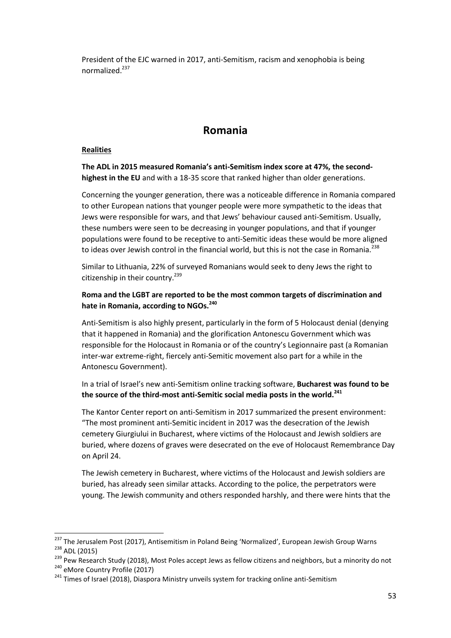President of the EJC warned in 2017, anti-Semitism, racism and xenophobia is being normalized.<sup>237</sup>

## **Romania**

#### **Realities**

**The ADL in 2015 measured Romania's anti-Semitism index score at 47%, the secondhighest in the EU** and with a 18-35 score that ranked higher than older generations.

Concerning the younger generation, there was a noticeable difference in Romania compared to other European nations that younger people were more sympathetic to the ideas that Jews were responsible for wars, and that Jews' behaviour caused anti-Semitism. Usually, these numbers were seen to be decreasing in younger populations, and that if younger populations were found to be receptive to anti-Semitic ideas these would be more aligned to ideas over Jewish control in the financial world, but this is not the case in Romania.<sup>238</sup>

Similar to Lithuania, 22% of surveyed Romanians would seek to deny Jews the right to citizenship in their country.<sup>239</sup>

#### **Roma and the LGBT are reported to be the most common targets of discrimination and hate in Romania, according to NGOs.<sup>240</sup>**

Anti-Semitism is also highly present, particularly in the form of 5 Holocaust denial (denying that it happened in Romania) and the glorification Antonescu Government which was responsible for the Holocaust in Romania or of the country's Legionnaire past (a Romanian inter-war extreme-right, fiercely anti-Semitic movement also part for a while in the Antonescu Government).

In a trial of Israel's new anti-Semitism online tracking software, **Bucharest was found to be the source of the third-most anti-Semitic social media posts in the world.<sup>241</sup>**

The Kantor Center report on anti-Semitism in 2017 summarized the present environment: "The most prominent anti-Semitic incident in 2017 was the desecration of the Jewish cemetery Giurgiului in Bucharest, where victims of the Holocaust and Jewish soldiers are buried, where dozens of graves were desecrated on the eve of Holocaust Remembrance Day on April 24.

The Jewish cemetery in Bucharest, where victims of the Holocaust and Jewish soldiers are buried, has already seen similar attacks. According to the police, the perpetrators were young. The Jewish community and others responded harshly, and there were hints that the

 $\overline{\phantom{a}}$ 

<sup>&</sup>lt;sup>237</sup> The Jerusalem Post (2017), Antisemitism in Poland Being 'Normalized', European Jewish Group Warns <sup>238</sup> ADL (2015)

<sup>239</sup> Pew Research Study (2018), Most Poles accept Jews as fellow citizens and neighbors, but a minority do not

<sup>&</sup>lt;sup>240</sup> eMore Country Profile (2017)

<sup>&</sup>lt;sup>241</sup> Times of Israel (2018), Diaspora Ministry unveils system for tracking online anti-Semitism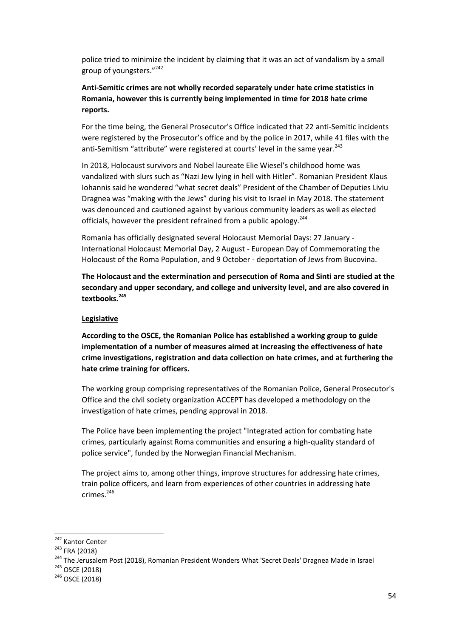police tried to minimize the incident by claiming that it was an act of vandalism by a small group of youngsters."<sup>242</sup>

### **Anti-Semitic crimes are not wholly recorded separately under hate crime statistics in Romania, however this is currently being implemented in time for 2018 hate crime reports.**

For the time being, the General Prosecutor's Office indicated that 22 anti-Semitic incidents were registered by the Prosecutor's office and by the police in 2017, while 41 files with the anti-Semitism "attribute" were registered at courts' level in the same year.<sup>243</sup>

In 2018, Holocaust survivors and Nobel laureate Elie Wiesel's childhood home was vandalized with slurs such as "Nazi Jew lying in hell with Hitler". Romanian President Klaus Iohannis said he wondered "what secret deals" President of the Chamber of Deputies Liviu Dragnea was "making with the Jews" during his visit to Israel in May 2018. The statement was denounced and cautioned against by various community leaders as well as elected officials, however the president refrained from a public apology.<sup>244</sup>

Romania has officially designated several Holocaust Memorial Days: 27 January - International Holocaust Memorial Day, 2 August - European Day of Commemorating the Holocaust of the Roma Population, and 9 October - deportation of Jews from Bucovina.

**The Holocaust and the extermination and persecution of Roma and Sinti are studied at the secondary and upper secondary, and college and university level, and are also covered in textbooks.<sup>245</sup>**

#### **Legislative**

**According to the OSCE, the Romanian Police has established a working group to guide implementation of a number of measures aimed at increasing the effectiveness of hate crime investigations, registration and data collection on hate crimes, and at furthering the hate crime training for officers.** 

The working group comprising representatives of the Romanian Police, General Prosecutor's Office and the civil society organization ACCEPT has developed a methodology on the investigation of hate crimes, pending approval in 2018.

The Police have been implementing the project "Integrated action for combating hate crimes, particularly against Roma communities and ensuring a high-quality standard of police service", funded by the Norwegian Financial Mechanism.

The project aims to, among other things, improve structures for addressing hate crimes, train police officers, and learn from experiences of other countries in addressing hate crimes. 246

 $\overline{\phantom{a}}$ 

<sup>&</sup>lt;sup>242</sup> Kantor Center

<sup>243</sup> FRA (2018)

<sup>244</sup> The Jerusalem Post (2018), Romanian President Wonders What 'Secret Deals' Dragnea Made in Israel

<sup>245</sup> OSCE (2018)

<sup>246</sup> OSCE (2018)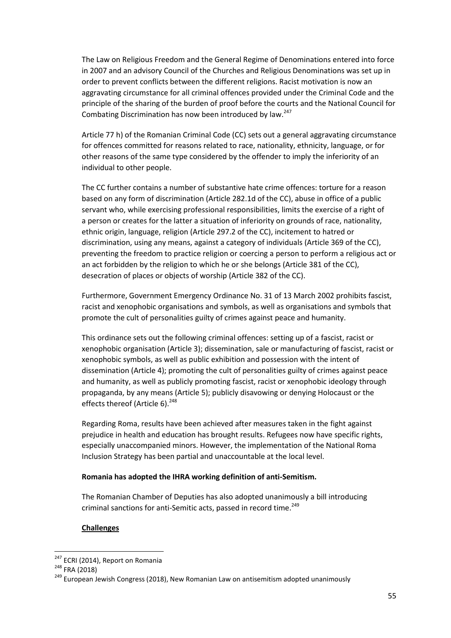The Law on Religious Freedom and the General Regime of Denominations entered into force in 2007 and an advisory Council of the Churches and Religious Denominations was set up in order to prevent conflicts between the different religions. Racist motivation is now an aggravating circumstance for all criminal offences provided under the Criminal Code and the principle of the sharing of the burden of proof before the courts and the National Council for Combating Discrimination has now been introduced by law.<sup>247</sup>

Article 77 h) of the Romanian Criminal Code (CC) sets out a general aggravating circumstance for offences committed for reasons related to race, nationality, ethnicity, language, or for other reasons of the same type considered by the offender to imply the inferiority of an individual to other people.

The CC further contains a number of substantive hate crime offences: torture for a reason based on any form of discrimination (Article 282.1d of the CC), abuse in office of a public servant who, while exercising professional responsibilities, limits the exercise of a right of a person or creates for the latter a situation of inferiority on grounds of race, nationality, ethnic origin, language, religion (Article 297.2 of the CC), incitement to hatred or discrimination, using any means, against a category of individuals (Article 369 of the CC), preventing the freedom to practice religion or coercing a person to perform a religious act or an act forbidden by the religion to which he or she belongs (Article 381 of the CC), desecration of places or objects of worship (Article 382 of the CC).

Furthermore, Government Emergency Ordinance No. 31 of 13 March 2002 prohibits fascist, racist and xenophobic organisations and symbols, as well as organisations and symbols that promote the cult of personalities guilty of crimes against peace and humanity.

This ordinance sets out the following criminal offences: setting up of a fascist, racist or xenophobic organisation (Article 3); dissemination, sale or manufacturing of fascist, racist or xenophobic symbols, as well as public exhibition and possession with the intent of dissemination (Article 4); promoting the cult of personalities guilty of crimes against peace and humanity, as well as publicly promoting fascist, racist or xenophobic ideology through propaganda, by any means (Article 5); publicly disavowing or denying Holocaust or the effects thereof (Article 6).<sup>248</sup>

Regarding Roma, results have been achieved after measures taken in the fight against prejudice in health and education has brought results. Refugees now have specific rights, especially unaccompanied minors. However, the implementation of the National Roma Inclusion Strategy has been partial and unaccountable at the local level.

#### **Romania has adopted the IHRA working definition of anti-Semitism.**

The Romanian Chamber of Deputies has also adopted unanimously a bill introducing criminal sanctions for anti-Semitic acts, passed in record time.<sup>249</sup>

#### **Challenges**

<sup>&</sup>lt;sup>247</sup> ECRI (2014), Report on Romania

<sup>&</sup>lt;sup>248</sup> FRA (2018)

<sup>&</sup>lt;sup>249</sup> European Jewish Congress (2018), New Romanian Law on antisemitism adopted unanimously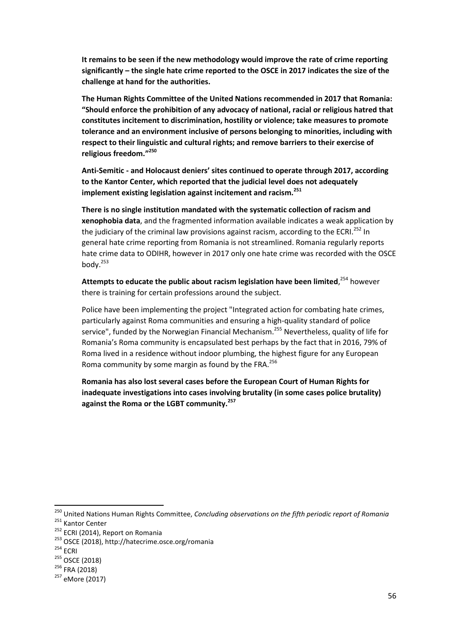**It remains to be seen if the new methodology would improve the rate of crime reporting significantly – the single hate crime reported to the OSCE in 2017 indicates the size of the challenge at hand for the authorities.**

**The Human Rights Committee of the United Nations recommended in 2017 that Romania: "Should enforce the prohibition of any advocacy of national, racial or religious hatred that constitutes incitement to discrimination, hostility or violence; take measures to promote tolerance and an environment inclusive of persons belonging to minorities, including with respect to their linguistic and cultural rights; and remove barriers to their exercise of religious freedom."<sup>250</sup>**

**Anti-Semitic - and Holocaust deniers' sites continued to operate through 2017, according to the Kantor Center, which reported that the judicial level does not adequately implement existing legislation against incitement and racism.<sup>251</sup>**

**There is no single institution mandated with the systematic collection of racism and xenophobia data**, and the fragmented information available indicates a weak application by the judiciary of the criminal law provisions against racism, according to the ECRI.<sup>252</sup> In general hate crime reporting from Romania is not streamlined. Romania regularly reports hate crime data to ODIHR, however in 2017 only one hate crime was recorded with the OSCE  $b$ ody. $253$ 

**Attempts to educate the public about racism legislation have been limited**, <sup>254</sup> however there is training for certain professions around the subject.

Police have been implementing the project "Integrated action for combating hate crimes, particularly against Roma communities and ensuring a high-quality standard of police service", funded by the Norwegian Financial Mechanism.<sup>255</sup> Nevertheless, quality of life for Romania's Roma community is encapsulated best perhaps by the fact that in 2016, 79% of Roma lived in a residence without indoor plumbing, the highest figure for any European Roma community by some margin as found by the FRA.<sup>256</sup>

**Romania has also lost several cases before the European Court of Human Rights for inadequate investigations into cases involving brutality (in some cases police brutality) against the Roma or the LGBT community.<sup>257</sup>**

<sup>254</sup> ECRI

<sup>250</sup> United Nations Human Rights Committee, *Concluding observations on the fifth periodic report of Romania*

<sup>&</sup>lt;sup>251</sup> Kantor Center

<sup>252</sup> ECRI (2014), Report on Romania

<sup>253</sup> OSCE (2018), http://hatecrime.osce.org/romania

 $255$  OSCE (2018)

 $256$  FRA (2018)

 $257$  eMore (2017)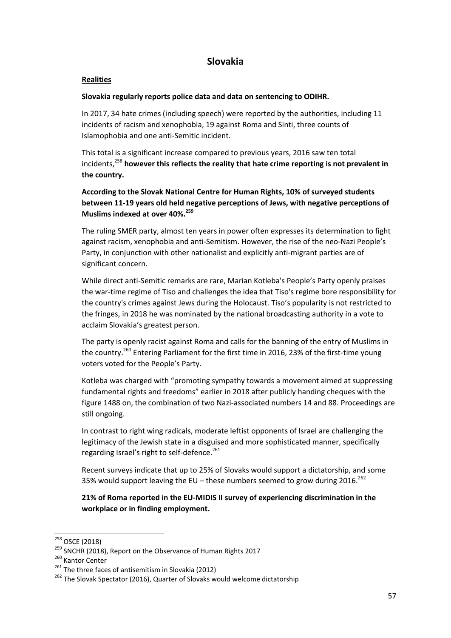## **Slovakia**

#### **Realities**

#### **Slovakia regularly reports police data and data on sentencing to ODIHR.**

In 2017, 34 hate crimes (including speech) were reported by the authorities, including 11 incidents of racism and xenophobia, 19 against Roma and Sinti, three counts of Islamophobia and one anti-Semitic incident.

This total is a significant increase compared to previous years, 2016 saw ten total incidents, <sup>258</sup> **however this reflects the reality that hate crime reporting is not prevalent in the country.**

**According to the Slovak National Centre for Human Rights, 10% of surveyed students between 11-19 years old held negative perceptions of Jews, with negative perceptions of Muslims indexed at over 40%.<sup>259</sup>**

The ruling SMER party, almost ten years in power often expresses its determination to fight against racism, xenophobia and anti-Semitism. However, the rise of the neo-Nazi People's Party, in conjunction with other nationalist and explicitly anti-migrant parties are of significant concern.

While direct anti-Semitic remarks are rare, Marian Kotleba's People's Party openly praises the war-time regime of Tiso and challenges the idea that Tiso's regime bore responsibility for the country's crimes against Jews during the Holocaust. Tiso's popularity is not restricted to the fringes, in 2018 he was nominated by the national broadcasting authority in a vote to acclaim Slovakia's greatest person.

The party is openly racist against Roma and calls for the banning of the entry of Muslims in the country.<sup>260</sup> Entering Parliament for the first time in 2016, 23% of the first-time young voters voted for the People's Party.

Kotleba was charged with "promoting sympathy towards a movement aimed at suppressing fundamental rights and freedoms" earlier in 2018 after publicly handing cheques with the figure 1488 on, the combination of two Nazi-associated numbers 14 and 88. Proceedings are still ongoing.

In contrast to right wing radicals, moderate leftist opponents of Israel are challenging the legitimacy of the Jewish state in a disguised and more sophisticated manner, specifically regarding Israel's right to self-defence.<sup>261</sup>

Recent surveys indicate that up to 25% of Slovaks would support a dictatorship, and some 35% would support leaving the EU – these numbers seemed to grow during 2016.<sup>262</sup>

**21% of Roma reported in the EU-MIDIS II survey of experiencing discrimination in the workplace or in finding employment.**

 $\overline{\phantom{a}}$ 

<sup>&</sup>lt;sup>258</sup> OSCE (2018)

<sup>&</sup>lt;sup>259</sup> SNCHR (2018), Report on the Observance of Human Rights 2017

<sup>260</sup> Kantor Center

<sup>&</sup>lt;sup>261</sup> The three faces of antisemitism in Slovakia (2012)

<sup>&</sup>lt;sup>262</sup> The Slovak Spectator (2016), Quarter of Slovaks would welcome dictatorship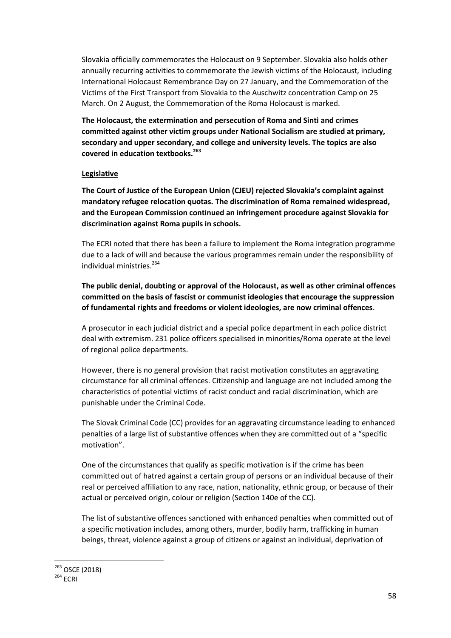Slovakia officially commemorates the Holocaust on 9 September. Slovakia also holds other annually recurring activities to commemorate the Jewish victims of the Holocaust, including International Holocaust Remembrance Day on 27 January, and the Commemoration of the Victims of the First Transport from Slovakia to the Auschwitz concentration Camp on 25 March. On 2 August, the Commemoration of the Roma Holocaust is marked.

**The Holocaust, the extermination and persecution of Roma and Sinti and crimes committed against other victim groups under National Socialism are studied at primary, secondary and upper secondary, and college and university levels. The topics are also covered in education textbooks.<sup>263</sup>**

#### **Legislative**

**The Court of Justice of the European Union (CJEU) rejected Slovakia's complaint against mandatory refugee relocation quotas. The discrimination of Roma remained widespread, and the European Commission continued an infringement procedure against Slovakia for discrimination against Roma pupils in schools.**

The ECRI noted that there has been a failure to implement the Roma integration programme due to a lack of will and because the various programmes remain under the responsibility of individual ministries.<sup>264</sup>

**The public denial, doubting or approval of the Holocaust, as well as other criminal offences committed on the basis of fascist or communist ideologies that encourage the suppression of fundamental rights and freedoms or violent ideologies, are now criminal offences**.

A prosecutor in each judicial district and a special police department in each police district deal with extremism. 231 police officers specialised in minorities/Roma operate at the level of regional police departments.

However, there is no general provision that racist motivation constitutes an aggravating circumstance for all criminal offences. Citizenship and language are not included among the characteristics of potential victims of racist conduct and racial discrimination, which are punishable under the Criminal Code.

The Slovak Criminal Code (CC) provides for an aggravating circumstance leading to enhanced penalties of a large list of substantive offences when they are committed out of a "specific motivation".

One of the circumstances that qualify as specific motivation is if the crime has been committed out of hatred against a certain group of persons or an individual because of their real or perceived affiliation to any race, nation, nationality, ethnic group, or because of their actual or perceived origin, colour or religion (Section 140e of the CC).

The list of substantive offences sanctioned with enhanced penalties when committed out of a specific motivation includes, among others, murder, bodily harm, trafficking in human beings, threat, violence against a group of citizens or against an individual, deprivation of

<sup>&</sup>lt;sup>263</sup> OSCE (2018)

<sup>264</sup> ECRI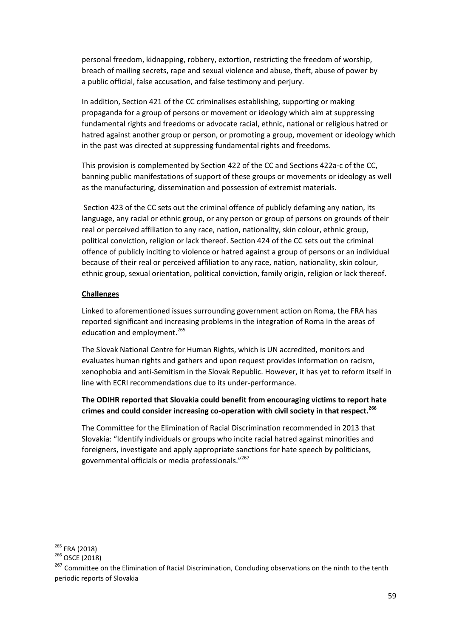personal freedom, kidnapping, robbery, extortion, restricting the freedom of worship, breach of mailing secrets, rape and sexual violence and abuse, theft, abuse of power by a public official, false accusation, and false testimony and perjury.

In addition, Section 421 of the CC criminalises establishing, supporting or making propaganda for a group of persons or movement or ideology which aim at suppressing fundamental rights and freedoms or advocate racial, ethnic, national or religious hatred or hatred against another group or person, or promoting a group, movement or ideology which in the past was directed at suppressing fundamental rights and freedoms.

This provision is complemented by Section 422 of the CC and Sections 422a-c of the CC, banning public manifestations of support of these groups or movements or ideology as well as the manufacturing, dissemination and possession of extremist materials.

Section 423 of the CC sets out the criminal offence of publicly defaming any nation, its language, any racial or ethnic group, or any person or group of persons on grounds of their real or perceived affiliation to any race, nation, nationality, skin colour, ethnic group, political conviction, religion or lack thereof. Section 424 of the CC sets out the criminal offence of publicly inciting to violence or hatred against a group of persons or an individual because of their real or perceived affiliation to any race, nation, nationality, skin colour, ethnic group, sexual orientation, political conviction, family origin, religion or lack thereof.

## **Challenges**

Linked to aforementioned issues surrounding government action on Roma, the FRA has reported significant and increasing problems in the integration of Roma in the areas of education and employment.<sup>265</sup>

The Slovak National Centre for Human Rights, which is UN accredited, monitors and evaluates human rights and gathers and upon request provides information on racism, xenophobia and anti-Semitism in the Slovak Republic. However, it has yet to reform itself in line with ECRI recommendations due to its under-performance.

## **The ODIHR reported that Slovakia could benefit from encouraging victims to report hate crimes and could consider increasing co-operation with civil society in that respect.<sup>266</sup>**

The Committee for the Elimination of Racial Discrimination recommended in 2013 that Slovakia: "Identify individuals or groups who incite racial hatred against minorities and foreigners, investigate and apply appropriate sanctions for hate speech by politicians, governmental officials or media professionals."<sup>267</sup>

**<sup>.</sup>** <sup>265</sup> FRA (2018)

<sup>266</sup> OSCE (2018)

<sup>&</sup>lt;sup>267</sup> Committee on the Elimination of Racial Discrimination, Concluding observations on the ninth to the tenth periodic reports of Slovakia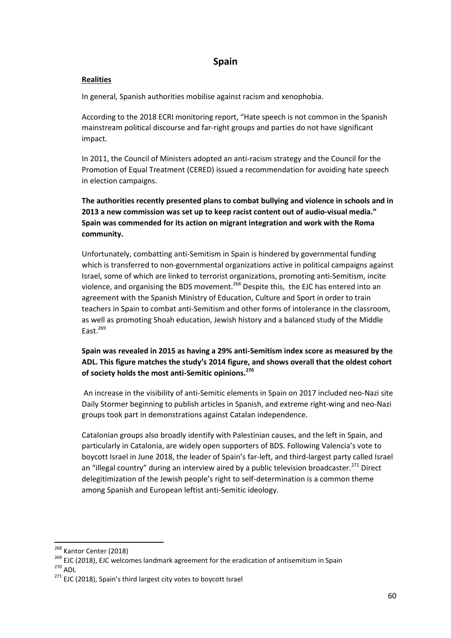## **Spain**

#### **Realities**

In general, Spanish authorities mobilise against racism and xenophobia.

According to the 2018 ECRI monitoring report, "Hate speech is not common in the Spanish mainstream political discourse and far-right groups and parties do not have significant impact.

In 2011, the Council of Ministers adopted an anti-racism strategy and the Council for the Promotion of Equal Treatment (CERED) issued a recommendation for avoiding hate speech in election campaigns.

**The authorities recently presented plans to combat bullying and violence in schools and in 2013 a new commission was set up to keep racist content out of audio-visual media." Spain was commended for its action on migrant integration and work with the Roma community.**

Unfortunately, combatting anti-Semitism in Spain is hindered by governmental funding which is transferred to non-governmental organizations active in political campaigns against Israel, some of which are linked to terrorist organizations, promoting anti-Semitism, incite violence, and organising the BDS movement.<sup>268</sup> Despite this, the EJC has entered into an agreement with the Spanish Ministry of Education, Culture and Sport in order to train teachers in Spain to combat anti-Semitism and other forms of intolerance in the classroom, as well as promoting Shoah education, Jewish history and a balanced study of the Middle East.<sup>269</sup>

**Spain was revealed in 2015 as having a 29% anti-Semitism index score as measured by the ADL. This figure matches the study's 2014 figure, and shows overall that the oldest cohort of society holds the most anti-Semitic opinions.<sup>270</sup>**

An increase in the visibility of anti-Semitic elements in Spain on 2017 included neo-Nazi site Daily Stormer beginning to publish articles in Spanish, and extreme right-wing and neo-Nazi groups took part in demonstrations against Catalan independence.

Catalonian groups also broadly identify with Palestinian causes, and the left in Spain, and particularly in Catalonia, are widely open supporters of BDS. Following Valencia's vote to boycott Israel in June 2018, the leader of Spain's far-left, and third-largest party called Israel an "illegal country" during an interview aired by a public television broadcaster. $^{271}$  Direct delegitimization of the Jewish people's right to self-determination is a common theme among Spanish and European leftist anti-Semitic ideology.

<sup>270</sup> ADL

<sup>&</sup>lt;sup>268</sup> Kantor Center (2018)

<sup>&</sup>lt;sup>269</sup> EJC (2018), EJC welcomes landmark agreement for the eradication of antisemitism in Spain

 $271$  EJC (2018), Spain's third largest city votes to boycott Israel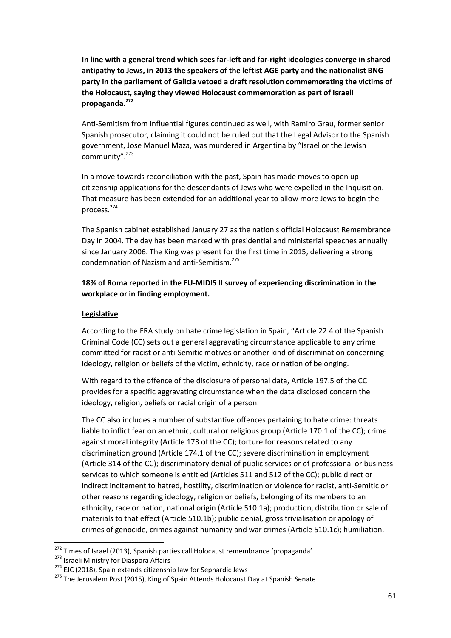**In line with a general trend which sees far-left and far-right ideologies converge in shared antipathy to Jews, in 2013 the speakers of the leftist AGE party and the nationalist BNG party in the parliament of Galicia vetoed a draft resolution commemorating the victims of the Holocaust, saying they viewed Holocaust commemoration as part of Israeli propaganda.<sup>272</sup>**

Anti-Semitism from influential figures continued as well, with Ramiro Grau, former senior Spanish prosecutor, claiming it could not be ruled out that the Legal Advisor to the Spanish government, Jose Manuel Maza, was murdered in Argentina by "Israel or the Jewish community".<sup>273</sup>

In a move towards reconciliation with the past, Spain has made moves to open up citizenship applications for the descendants of Jews who were expelled in the Inquisition. That measure has been extended for an additional year to allow more Jews to begin the process.<sup>274</sup>

The Spanish cabinet established January 27 as the nation's official Holocaust Remembrance Day in 2004. The day has been marked with presidential and ministerial speeches annually since January 2006. The King was present for the first time in 2015, delivering a strong condemnation of Nazism and anti-Semitism.<sup>275</sup>

## **18% of Roma reported in the EU-MIDIS II survey of experiencing discrimination in the workplace or in finding employment.**

#### **Legislative**

According to the FRA study on hate crime legislation in Spain, "Article 22.4 of the Spanish Criminal Code (CC) sets out a general aggravating circumstance applicable to any crime committed for racist or anti-Semitic motives or another kind of discrimination concerning ideology, religion or beliefs of the victim, ethnicity, race or nation of belonging.

With regard to the offence of the disclosure of personal data, Article 197.5 of the CC provides for a specific aggravating circumstance when the data disclosed concern the ideology, religion, beliefs or racial origin of a person.

The CC also includes a number of substantive offences pertaining to hate crime: threats liable to inflict fear on an ethnic, cultural or religious group (Article 170.1 of the CC); crime against moral integrity (Article 173 of the CC); torture for reasons related to any discrimination ground (Article 174.1 of the CC); severe discrimination in employment (Article 314 of the CC); discriminatory denial of public services or of professional or business services to which someone is entitled (Articles 511 and 512 of the CC); public direct or indirect incitement to hatred, hostility, discrimination or violence for racist, anti-Semitic or other reasons regarding ideology, religion or beliefs, belonging of its members to an ethnicity, race or nation, national origin (Article 510.1a); production, distribution or sale of materials to that effect (Article 510.1b); public denial, gross trivialisation or apology of crimes of genocide, crimes against humanity and war crimes (Article 510.1c); humiliation,

<sup>&</sup>lt;sup>272</sup> Times of Israel (2013), Spanish parties call Holocaust remembrance 'propaganda'

<sup>&</sup>lt;sup>273</sup> Israeli Ministry for Diaspora Affairs

 $274$  EJC (2018), Spain extends citizenship law for Sephardic Jews

<sup>&</sup>lt;sup>275</sup> The Jerusalem Post (2015), King of Spain Attends Holocaust Day at Spanish Senate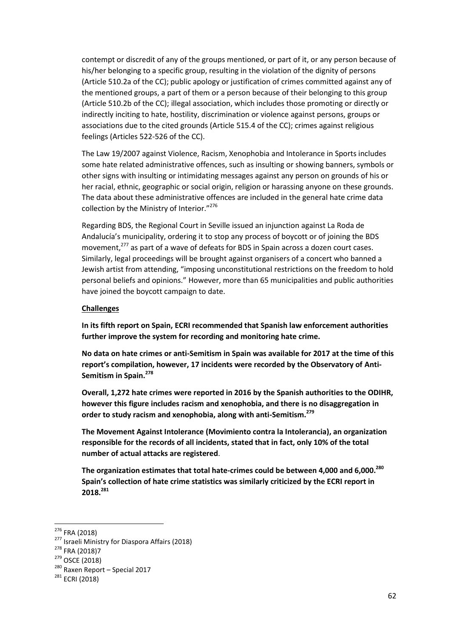contempt or discredit of any of the groups mentioned, or part of it, or any person because of his/her belonging to a specific group, resulting in the violation of the dignity of persons (Article 510.2a of the CC); public apology or justification of crimes committed against any of the mentioned groups, a part of them or a person because of their belonging to this group (Article 510.2b of the CC); illegal association, which includes those promoting or directly or indirectly inciting to hate, hostility, discrimination or violence against persons, groups or associations due to the cited grounds (Article 515.4 of the CC); crimes against religious feelings (Articles 522-526 of the CC).

The Law 19/2007 against Violence, Racism, Xenophobia and Intolerance in Sports includes some hate related administrative offences, such as insulting or showing banners, symbols or other signs with insulting or intimidating messages against any person on grounds of his or her racial, ethnic, geographic or social origin, religion or harassing anyone on these grounds. The data about these administrative offences are included in the general hate crime data collection by the Ministry of Interior."<sup>276</sup>

Regarding BDS, the Regional Court in Seville issued an injunction against La Roda de Andalucía's municipality, ordering it to stop any process of boycott or of joining the BDS movement,<sup>277</sup> as part of a wave of defeats for BDS in Spain across a dozen court cases. Similarly, legal proceedings will be brought against organisers of a concert who banned a Jewish artist from attending, "imposing unconstitutional restrictions on the freedom to hold personal beliefs and opinions." However, more than 65 municipalities and public authorities have joined the boycott campaign to date.

#### **Challenges**

**In its fifth report on Spain, ECRI recommended that Spanish law enforcement authorities further improve the system for recording and monitoring hate crime.**

**No data on hate crimes or anti-Semitism in Spain was available for 2017 at the time of this report's compilation, however, 17 incidents were recorded by the Observatory of Anti-Semitism in Spain.<sup>278</sup>**

**Overall, 1,272 hate crimes were reported in 2016 by the Spanish authorities to the ODIHR, however this figure includes racism and xenophobia, and there is no disaggregation in order to study racism and xenophobia, along with anti-Semitism. 279**

**The Movement Against Intolerance (Movimiento contra la Intolerancia), an organization responsible for the records of all incidents, stated that in fact, only 10% of the total number of actual attacks are registered**.

**The organization estimates that total hate-crimes could be between 4,000 and 6,000.<sup>280</sup> Spain's collection of hate crime statistics was similarly criticized by the ECRI report in 2018.<sup>281</sup>**

**<sup>.</sup>** <sup>276</sup> FRA (2018)

<sup>&</sup>lt;sup>277</sup> Israeli Ministry for Diaspora Affairs (2018)

<sup>278</sup> FRA (2018)7

<sup>279</sup> OSCE (2018)

<sup>280</sup> Raxen Report – Special 2017

 $281$  FCRI (2018)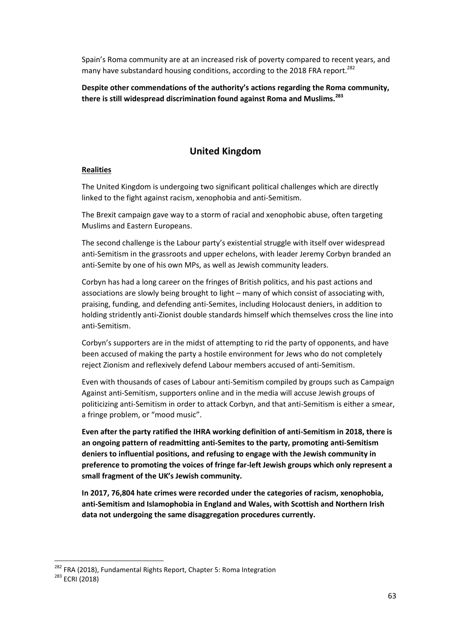Spain's Roma community are at an increased risk of poverty compared to recent years, and many have substandard housing conditions, according to the 2018 FRA report.<sup>282</sup>

**Despite other commendations of the authority's actions regarding the Roma community, there is still widespread discrimination found against Roma and Muslims.<sup>283</sup>**

## **United Kingdom**

#### **Realities**

The United Kingdom is undergoing two significant political challenges which are directly linked to the fight against racism, xenophobia and anti-Semitism.

The Brexit campaign gave way to a storm of racial and xenophobic abuse, often targeting Muslims and Eastern Europeans.

The second challenge is the Labour party's existential struggle with itself over widespread anti-Semitism in the grassroots and upper echelons, with leader Jeremy Corbyn branded an anti-Semite by one of his own MPs, as well as Jewish community leaders.

Corbyn has had a long career on the fringes of British politics, and his past actions and associations are slowly being brought to light – many of which consist of associating with, praising, funding, and defending anti-Semites, including Holocaust deniers, in addition to holding stridently anti-Zionist double standards himself which themselves cross the line into anti-Semitism.

Corbyn's supporters are in the midst of attempting to rid the party of opponents, and have been accused of making the party a hostile environment for Jews who do not completely reject Zionism and reflexively defend Labour members accused of anti-Semitism.

Even with thousands of cases of Labour anti-Semitism compiled by groups such as Campaign Against anti-Semitism, supporters online and in the media will accuse Jewish groups of politicizing anti-Semitism in order to attack Corbyn, and that anti-Semitism is either a smear, a fringe problem, or "mood music".

**Even after the party ratified the IHRA working definition of anti-Semitism in 2018, there is an ongoing pattern of readmitting anti-Semites to the party, promoting anti-Semitism deniers to influential positions, and refusing to engage with the Jewish community in preference to promoting the voices of fringe far-left Jewish groups which only represent a small fragment of the UK's Jewish community.**

**In 2017, 76,804 hate crimes were recorded under the categories of racism, xenophobia, anti-Semitism and Islamophobia in England and Wales, with Scottish and Northern Irish data not undergoing the same disaggregation procedures currently.** 

<sup>&</sup>lt;sup>282</sup> FRA (2018), Fundamental Rights Report, Chapter 5: Roma Integration

<sup>&</sup>lt;sup>283</sup> ECRI (2018)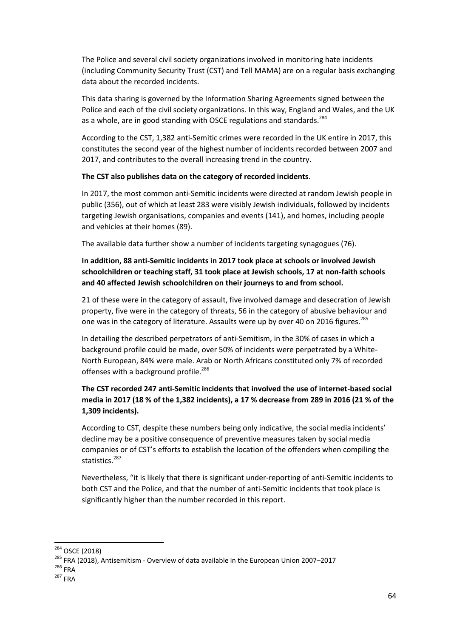The Police and several civil society organizations involved in monitoring hate incidents (including Community Security Trust (CST) and Tell MAMA) are on a regular basis exchanging data about the recorded incidents.

This data sharing is governed by the Information Sharing Agreements signed between the Police and each of the civil society organizations. In this way, England and Wales, and the UK as a whole, are in good standing with OSCE regulations and standards.<sup>284</sup>

According to the CST, 1,382 anti-Semitic crimes were recorded in the UK entire in 2017, this constitutes the second year of the highest number of incidents recorded between 2007 and 2017, and contributes to the overall increasing trend in the country.

#### **The CST also publishes data on the category of recorded incidents**.

In 2017, the most common anti-Semitic incidents were directed at random Jewish people in public (356), out of which at least 283 were visibly Jewish individuals, followed by incidents targeting Jewish organisations, companies and events (141), and homes, including people and vehicles at their homes (89).

The available data further show a number of incidents targeting synagogues (76).

## **In addition, 88 anti-Semitic incidents in 2017 took place at schools or involved Jewish schoolchildren or teaching staff, 31 took place at Jewish schools, 17 at non-faith schools and 40 affected Jewish schoolchildren on their journeys to and from school.**

21 of these were in the category of assault, five involved damage and desecration of Jewish property, five were in the category of threats, 56 in the category of abusive behaviour and one was in the category of literature. Assaults were up by over 40 on 2016 figures.<sup>285</sup>

In detailing the described perpetrators of anti-Semitism, in the 30% of cases in which a background profile could be made, over 50% of incidents were perpetrated by a White-North European, 84% were male. Arab or North Africans constituted only 7% of recorded offenses with a background profile.<sup>286</sup>

## **The CST recorded 247 anti-Semitic incidents that involved the use of internet-based social media in 2017 (18 % of the 1,382 incidents), a 17 % decrease from 289 in 2016 (21 % of the 1,309 incidents).**

According to CST, despite these numbers being only indicative, the social media incidents' decline may be a positive consequence of preventive measures taken by social media companies or of CST's efforts to establish the location of the offenders when compiling the statistics.<sup>287</sup>

Nevertheless, "it is likely that there is significant under-reporting of anti-Semitic incidents to both CST and the Police, and that the number of anti-Semitic incidents that took place is significantly higher than the number recorded in this report.

<sup>&</sup>lt;sup>284</sup> OSCE (2018)

<sup>285</sup> FRA (2018), Antisemitism - Overview of data available in the European Union 2007–2017

<sup>286</sup> FRA

<sup>287</sup> FRA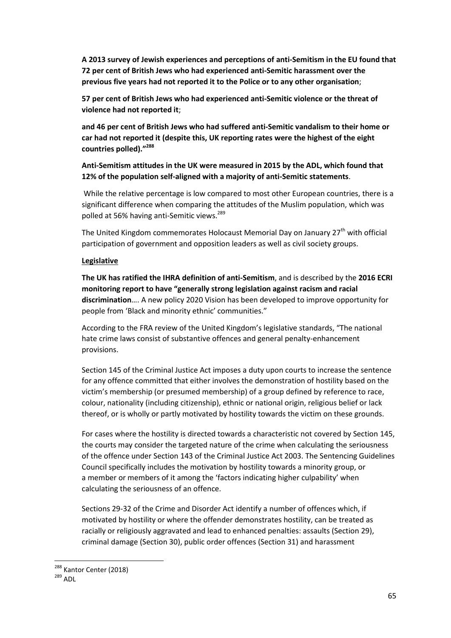**A 2013 survey of Jewish experiences and perceptions of anti-Semitism in the EU found that 72 per cent of British Jews who had experienced anti-Semitic harassment over the previous five years had not reported it to the Police or to any other organisation**;

**57 per cent of British Jews who had experienced anti-Semitic violence or the threat of violence had not reported it**;

**and 46 per cent of British Jews who had suffered anti-Semitic vandalism to their home or car had not reported it (despite this, UK reporting rates were the highest of the eight countries polled)."<sup>288</sup>**

**Anti-Semitism attitudes in the UK were measured in 2015 by the ADL, which found that 12% of the population self-aligned with a majority of anti-Semitic statements**.

While the relative percentage is low compared to most other European countries, there is a significant difference when comparing the attitudes of the Muslim population, which was polled at 56% having anti-Semitic views.<sup>289</sup>

The United Kingdom commemorates Holocaust Memorial Day on January 27<sup>th</sup> with official participation of government and opposition leaders as well as civil society groups.

#### **Legislative**

**The UK has ratified the IHRA definition of anti-Semitism**, and is described by the **2016 ECRI monitoring report to have "generally strong legislation against racism and racial discrimination**…. A new policy 2020 Vision has been developed to improve opportunity for people from 'Black and minority ethnic' communities."

According to the FRA review of the United Kingdom's legislative standards, "The national hate crime laws consist of substantive offences and general penalty-enhancement provisions.

Section 145 of the Criminal Justice Act imposes a duty upon courts to increase the sentence for any offence committed that either involves the demonstration of hostility based on the victim's membership (or presumed membership) of a group defined by reference to race, colour, nationality (including citizenship), ethnic or national origin, religious belief or lack thereof, or is wholly or partly motivated by hostility towards the victim on these grounds.

For cases where the hostility is directed towards a characteristic not covered by Section 145, the courts may consider the targeted nature of the crime when calculating the seriousness of the offence under Section 143 of the Criminal Justice Act 2003. The Sentencing Guidelines Council specifically includes the motivation by hostility towards a minority group, or a member or members of it among the 'factors indicating higher culpability' when calculating the seriousness of an offence.

Sections 29-32 of the Crime and Disorder Act identify a number of offences which, if motivated by hostility or where the offender demonstrates hostility, can be treated as racially or religiously aggravated and lead to enhanced penalties: assaults (Section 29), criminal damage (Section 30), public order offences (Section 31) and harassment

**<sup>.</sup>** <sup>288</sup> Kantor Center (2018)

<sup>289</sup> ADL